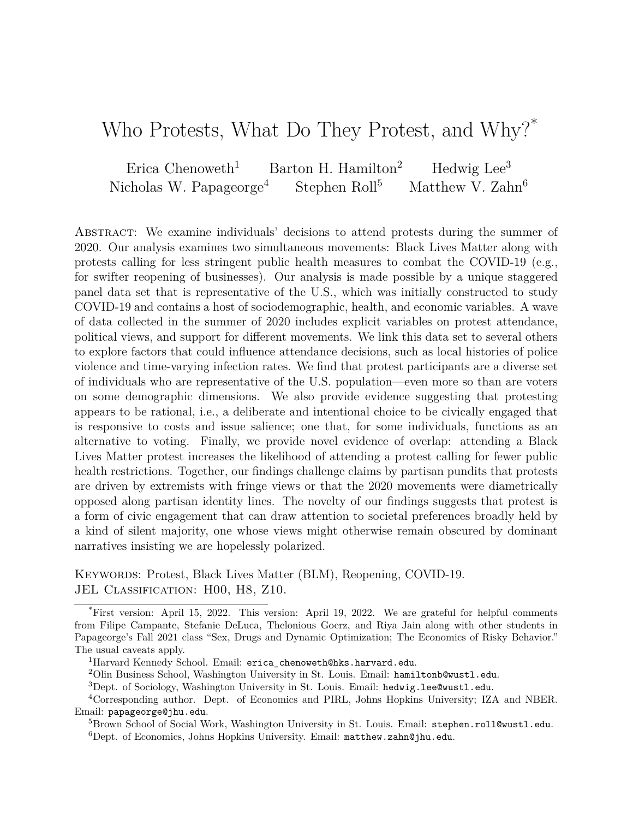# <span id="page-0-0"></span>Who Protests, What Do They Protest, and Why?<sup>\*</sup>

Erica Chenoweth<sup>1</sup> Barton H. Hamilton<sup>2</sup> Hedwig Lee<sup>3</sup> Nicholas W. Papageorge<sup>4</sup> Stephen Roll<sup>5</sup> Matthew V. Zahn<sup>6</sup>

Abstract: We examine individuals' decisions to attend protests during the summer of 2020. Our analysis examines two simultaneous movements: Black Lives Matter along with protests calling for less stringent public health measures to combat the COVID-19 (e.g., for swifter reopening of businesses). Our analysis is made possible by a unique staggered panel data set that is representative of the U.S., which was initially constructed to study COVID-19 and contains a host of sociodemographic, health, and economic variables. A wave of data collected in the summer of 2020 includes explicit variables on protest attendance, political views, and support for different movements. We link this data set to several others to explore factors that could influence attendance decisions, such as local histories of police violence and time-varying infection rates. We find that protest participants are a diverse set of individuals who are representative of the U.S. population—even more so than are voters on some demographic dimensions. We also provide evidence suggesting that protesting appears to be rational, i.e., a deliberate and intentional choice to be civically engaged that is responsive to costs and issue salience; one that, for some individuals, functions as an alternative to voting. Finally, we provide novel evidence of overlap: attending a Black Lives Matter protest increases the likelihood of attending a protest calling for fewer public health restrictions. Together, our findings challenge claims by partisan pundits that protests are driven by extremists with fringe views or that the 2020 movements were diametrically opposed along partisan identity lines. The novelty of our findings suggests that protest is a form of civic engagement that can draw attention to societal preferences broadly held by a kind of silent majority, one whose views might otherwise remain obscured by dominant narratives insisting we are hopelessly polarized.

Keywords: Protest, Black Lives Matter (BLM), Reopening, COVID-19. JEL CLASSIFICATION: H00, H8, Z10.

<sup>\*</sup>First version: April 15, 2022. This version: April 19, 2022. We are grateful for helpful comments from Filipe Campante, Stefanie DeLuca, Thelonious Goerz, and Riya Jain along with other students in Papageorge's Fall 2021 class "Sex, Drugs and Dynamic Optimization; The Economics of Risky Behavior." The usual caveats apply.

<sup>&</sup>lt;sup>1</sup>Harvard Kennedy School. Email: erica chenoweth@hks.harvard.edu.

<sup>&</sup>lt;sup>2</sup>Olin Business School, Washington University in St. Louis. Email: hamiltonb@wustl.edu.

<sup>3</sup>Dept. of Sociology, Washington University in St. Louis. Email: hedwig.lee@wustl.edu.

<sup>4</sup>Corresponding author. Dept. of Economics and PIRL, Johns Hopkins University; IZA and NBER. Email: papageorge@jhu.edu.

<sup>5</sup>Brown School of Social Work, Washington University in St. Louis. Email: stephen.roll@wustl.edu.  ${}^{6}$ Dept. of Economics, Johns Hopkins University. Email: matthew.zahn@jhu.edu.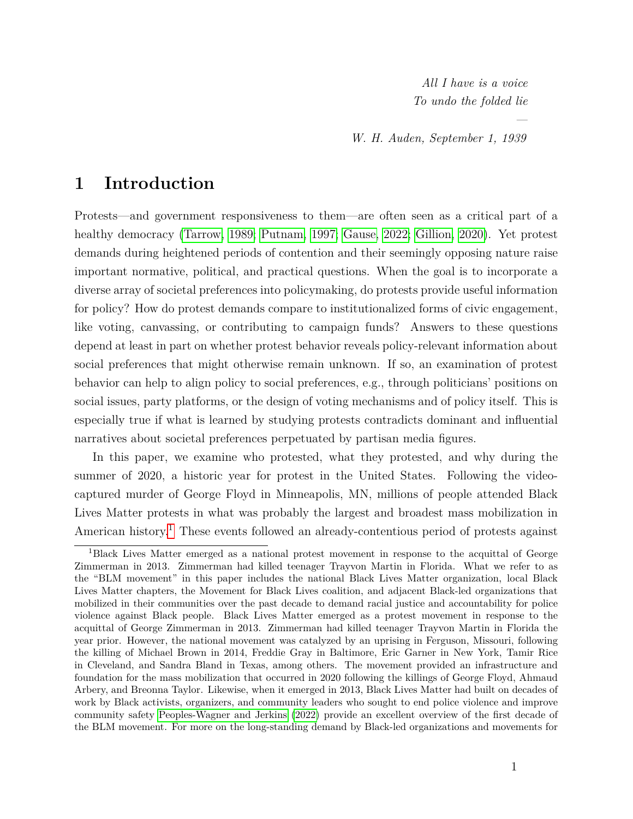*All I have is a voice To undo the folded lie*

*—*

*W. H. Auden, September 1, 1939*

## **1 Introduction**

Protests—and government responsiveness to them—are often seen as a critical part of a healthy democracy [\(Tarrow, 1989;](#page-35-0) [Putnam, 1997;](#page-34-0) [Gause, 2022;](#page-31-0) [Gillion, 2020\)](#page-31-1). Yet protest demands during heightened periods of contention and their seemingly opposing nature raise important normative, political, and practical questions. When the goal is to incorporate a diverse array of societal preferences into policymaking, do protests provide useful information for policy? How do protest demands compare to institutionalized forms of civic engagement, like voting, canvassing, or contributing to campaign funds? Answers to these questions depend at least in part on whether protest behavior reveals policy-relevant information about social preferences that might otherwise remain unknown. If so, an examination of protest behavior can help to align policy to social preferences, e.g., through politicians' positions on social issues, party platforms, or the design of voting mechanisms and of policy itself. This is especially true if what is learned by studying protests contradicts dominant and influential narratives about societal preferences perpetuated by partisan media figures.

In this paper, we examine who protested, what they protested, and why during the summer of 2020, a historic year for protest in the United States. Following the videocaptured murder of George Floyd in Minneapolis, MN, millions of people attended Black Lives Matter protests in what was probably the largest and broadest mass mobilization in American history.<sup>[1](#page-1-0)</sup> These events followed an already-contentious period of protests against

<span id="page-1-0"></span><sup>1</sup>Black Lives Matter emerged as a national protest movement in response to the acquittal of George Zimmerman in 2013. Zimmerman had killed teenager Trayvon Martin in Florida. What we refer to as the "BLM movement" in this paper includes the national Black Lives Matter organization, local Black Lives Matter chapters, the Movement for Black Lives coalition, and adjacent Black-led organizations that mobilized in their communities over the past decade to demand racial justice and accountability for police violence against Black people. Black Lives Matter emerged as a protest movement in response to the acquittal of George Zimmerman in 2013. Zimmerman had killed teenager Trayvon Martin in Florida the year prior. However, the national movement was catalyzed by an uprising in Ferguson, Missouri, following the killing of Michael Brown in 2014, Freddie Gray in Baltimore, Eric Garner in New York, Tamir Rice in Cleveland, and Sandra Bland in Texas, among others. The movement provided an infrastructure and foundation for the mass mobilization that occurred in 2020 following the killings of George Floyd, Ahmaud Arbery, and Breonna Taylor. Likewise, when it emerged in 2013, Black Lives Matter had built on decades of work by Black activists, organizers, and community leaders who sought to end police violence and improve community safety [Peoples-Wagner and Jerkins](#page-34-1) [\(2022\)](#page-34-1) provide an excellent overview of the first decade of the BLM movement. For more on the long-standing demand by Black-led organizations and movements for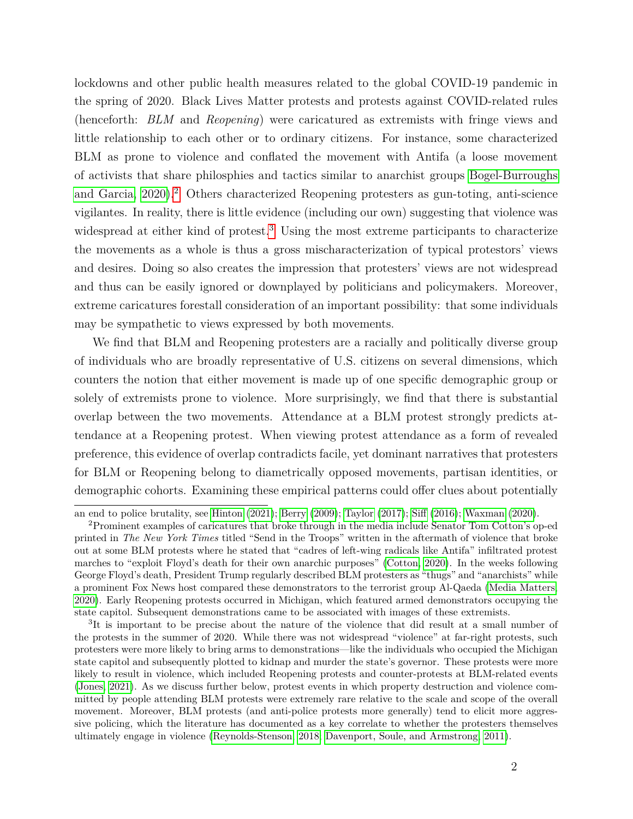lockdowns and other public health measures related to the global COVID-19 pandemic in the spring of 2020. Black Lives Matter protests and protests against COVID-related rules (henceforth: *BLM* and *Reopening*) were caricatured as extremists with fringe views and little relationship to each other or to ordinary citizens. For instance, some characterized BLM as prone to violence and conflated the movement with Antifa (a loose movement of activists that share philosphies and tactics similar to anarchist groups [Bogel-Burroughs](#page-29-0) and Garcia,  $2020$  $2020$ ).<sup>2</sup> Others characterized Reopening protesters as gun-toting, anti-science vigilantes. In reality, there is little evidence (including our own) suggesting that violence was widespread at either kind of protest.<sup>[3](#page-2-1)</sup> Using the most extreme participants to characterize the movements as a whole is thus a gross mischaracterization of typical protestors' views and desires. Doing so also creates the impression that protesters' views are not widespread and thus can be easily ignored or downplayed by politicians and policymakers. Moreover, extreme caricatures forestall consideration of an important possibility: that some individuals may be sympathetic to views expressed by both movements.

We find that BLM and Reopening protesters are a racially and politically diverse group of individuals who are broadly representative of U.S. citizens on several dimensions, which counters the notion that either movement is made up of one specific demographic group or solely of extremists prone to violence. More surprisingly, we find that there is substantial overlap between the two movements. Attendance at a BLM protest strongly predicts attendance at a Reopening protest. When viewing protest attendance as a form of revealed preference, this evidence of overlap contradicts facile, yet dominant narratives that protesters for BLM or Reopening belong to diametrically opposed movements, partisan identities, or demographic cohorts. Examining these empirical patterns could offer clues about potentially

an end to police brutality, see [Hinton](#page-31-2) [\(2021\)](#page-31-2); [Berry](#page-29-1) [\(2009\)](#page-29-1); [Taylor](#page-35-1) [\(2017\)](#page-35-1); [Siff](#page-35-2) [\(2016\)](#page-35-2); [Waxman](#page-36-0) [\(2020\)](#page-36-0).

<span id="page-2-0"></span><sup>2</sup>Prominent examples of caricatures that broke through in the media include Senator Tom Cotton's op-ed printed in *The New York Times* titled "Send in the Troops" written in the aftermath of violence that broke out at some BLM protests where he stated that "cadres of left-wing radicals like Antifa" infiltrated protest marches to "exploit Floyd's death for their own anarchic purposes" [\(Cotton, 2020\)](#page-30-0). In the weeks following George Floyd's death, President Trump regularly described BLM protesters as "thugs" and "anarchists" while a prominent Fox News host compared these demonstrators to the terrorist group Al-Qaeda [\(Media Matters,](#page-33-0) [2020\)](#page-33-0). Early Reopening protests occurred in Michigan, which featured armed demonstrators occupying the state capitol. Subsequent demonstrations came to be associated with images of these extremists.

<span id="page-2-1"></span><sup>&</sup>lt;sup>3</sup>It is important to be precise about the nature of the violence that did result at a small number of the protests in the summer of 2020. While there was not widespread "violence" at far-right protests, such protesters were more likely to bring arms to demonstrations—like the individuals who occupied the Michigan state capitol and subsequently plotted to kidnap and murder the state's governor. These protests were more likely to result in violence, which included Reopening protests and counter-protests at BLM-related events [\(Jones, 2021\)](#page-32-0). As we discuss further below, protest events in which property destruction and violence committed by people attending BLM protests were extremely rare relative to the scale and scope of the overall movement. Moreover, BLM protests (and anti-police protests more generally) tend to elicit more aggressive policing, which the literature has documented as a key correlate to whether the protesters themselves ultimately engage in violence [\(Reynolds-Stenson, 2018;](#page-34-2) [Davenport, Soule, and Armstrong, 2011\)](#page-30-1).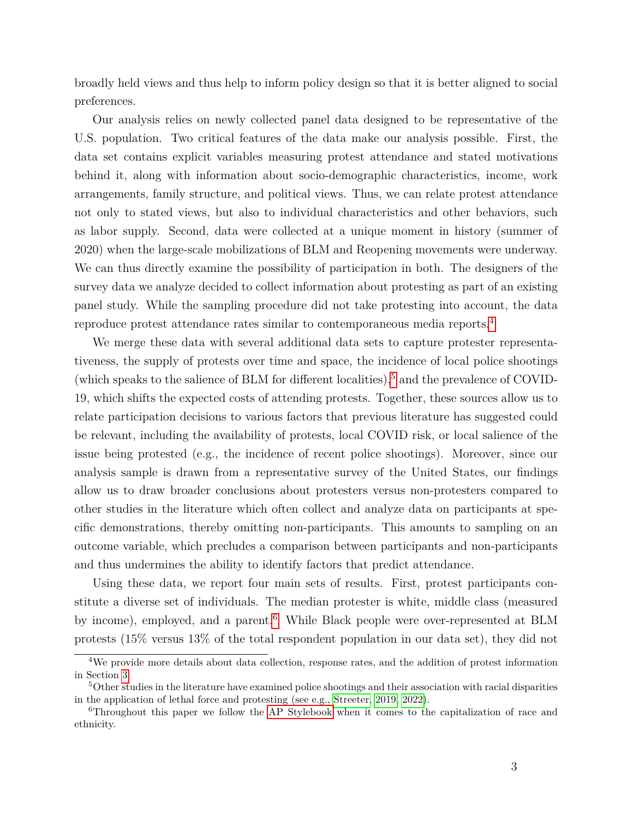broadly held views and thus help to inform policy design so that it is better aligned to social preferences.

Our analysis relies on newly collected panel data designed to be representative of the U.S. population. Two critical features of the data make our analysis possible. First, the data set contains explicit variables measuring protest attendance and stated motivations behind it, along with information about socio-demographic characteristics, income, work arrangements, family structure, and political views. Thus, we can relate protest attendance not only to stated views, but also to individual characteristics and other behaviors, such as labor supply. Second, data were collected at a unique moment in history (summer of 2020) when the large-scale mobilizations of BLM and Reopening movements were underway. We can thus directly examine the possibility of participation in both. The designers of the survey data we analyze decided to collect information about protesting as part of an existing panel study. While the sampling procedure did not take protesting into account, the data reproduce protest attendance rates similar to contemporaneous media reports.[4](#page-3-0)

We merge these data with several additional data sets to capture protester representativeness, the supply of protests over time and space, the incidence of local police shootings (which speaks to the salience of BLM for different localities), $5$  and the prevalence of COVID-19, which shifts the expected costs of attending protests. Together, these sources allow us to relate participation decisions to various factors that previous literature has suggested could be relevant, including the availability of protests, local COVID risk, or local salience of the issue being protested (e.g., the incidence of recent police shootings). Moreover, since our analysis sample is drawn from a representative survey of the United States, our findings allow us to draw broader conclusions about protesters versus non-protesters compared to other studies in the literature which often collect and analyze data on participants at specific demonstrations, thereby omitting non-participants. This amounts to sampling on an outcome variable, which precludes a comparison between participants and non-participants and thus undermines the ability to identify factors that predict attendance.

Using these data, we report four main sets of results. First, protest participants constitute a diverse set of individuals. The median protester is white, middle class (measured by income), employed, and a parent.<sup>[6](#page-3-2)</sup> While Black people were over-represented at BLM protests (15% versus 13% of the total respondent population in our data set), they did not

<span id="page-3-0"></span><sup>&</sup>lt;sup>4</sup>We provide more details about data collection, response rates, and the addition of protest information in Section [3.](#page-9-0)

<span id="page-3-1"></span><sup>5</sup>Other studies in the literature have examined police shootings and their association with racial disparities in the application of lethal force and protesting (see e.g., [Streeter, 2019,](#page-35-3) [2022\)](#page-35-4).

<span id="page-3-2"></span><sup>6</sup>Throughout this paper we follow the [AP Stylebook](#page-0-0) when it comes to the capitalization of race and ethnicity.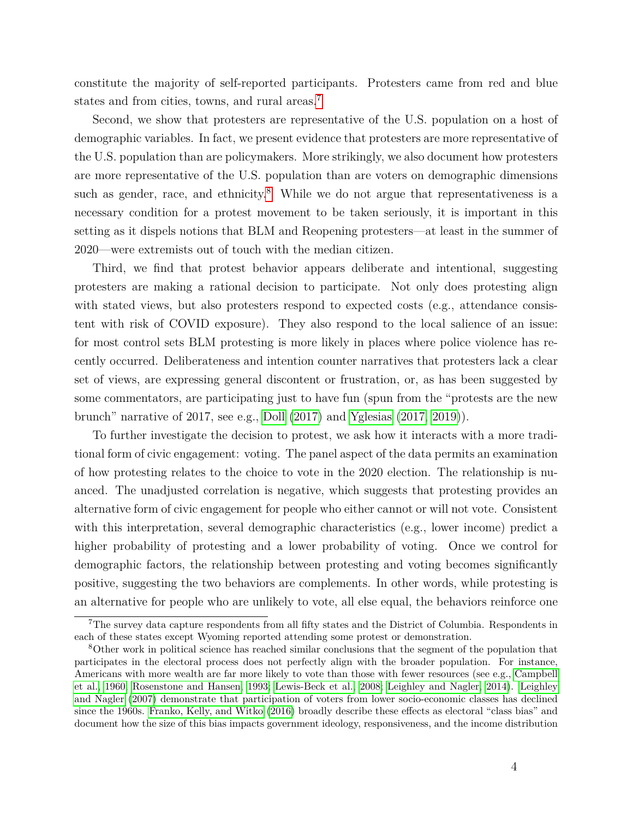constitute the majority of self-reported participants. Protesters came from red and blue states and from cities, towns, and rural areas.<sup>[7](#page-4-0)</sup>

Second, we show that protesters are representative of the U.S. population on a host of demographic variables. In fact, we present evidence that protesters are more representative of the U.S. population than are policymakers. More strikingly, we also document how protesters are more representative of the U.S. population than are voters on demographic dimensions such as gender, race, and ethnicity.<sup>[8](#page-4-1)</sup> While we do not argue that representativeness is a necessary condition for a protest movement to be taken seriously, it is important in this setting as it dispels notions that BLM and Reopening protesters—at least in the summer of 2020—were extremists out of touch with the median citizen.

Third, we find that protest behavior appears deliberate and intentional, suggesting protesters are making a rational decision to participate. Not only does protesting align with stated views, but also protesters respond to expected costs (e.g., attendance consistent with risk of COVID exposure). They also respond to the local salience of an issue: for most control sets BLM protesting is more likely in places where police violence has recently occurred. Deliberateness and intention counter narratives that protesters lack a clear set of views, are expressing general discontent or frustration, or, as has been suggested by some commentators, are participating just to have fun (spun from the "protests are the new brunch" narrative of 2017, see e.g., [Doll](#page-31-3) [\(2017\)](#page-31-3) and [Yglesias](#page-36-1) [\(2017,](#page-36-1) [2019\)](#page-36-2)).

To further investigate the decision to protest, we ask how it interacts with a more traditional form of civic engagement: voting. The panel aspect of the data permits an examination of how protesting relates to the choice to vote in the 2020 election. The relationship is nuanced. The unadjusted correlation is negative, which suggests that protesting provides an alternative form of civic engagement for people who either cannot or will not vote. Consistent with this interpretation, several demographic characteristics (e.g., lower income) predict a higher probability of protesting and a lower probability of voting. Once we control for demographic factors, the relationship between protesting and voting becomes significantly positive, suggesting the two behaviors are complements. In other words, while protesting is an alternative for people who are unlikely to vote, all else equal, the behaviors reinforce one

<span id="page-4-0"></span><sup>7</sup>The survey data capture respondents from all fifty states and the District of Columbia. Respondents in each of these states except Wyoming reported attending some protest or demonstration.

<span id="page-4-1"></span><sup>8</sup>Other work in political science has reached similar conclusions that the segment of the population that participates in the electoral process does not perfectly align with the broader population. For instance, Americans with more wealth are far more likely to vote than those with fewer resources (see e.g., [Campbell](#page-30-2) [et al., 1960;](#page-30-2) [Rosenstone and Hansen, 1993;](#page-34-3) [Lewis-Beck et al., 2008;](#page-33-1) [Leighley and Nagler, 2014\)](#page-33-2). [Leighley](#page-33-3) [and Nagler](#page-33-3) [\(2007\)](#page-33-3) demonstrate that participation of voters from lower socio-economic classes has declined since the 1960s. [Franko, Kelly, and Witko](#page-31-4) [\(2016\)](#page-31-4) broadly describe these effects as electoral "class bias" and document how the size of this bias impacts government ideology, responsiveness, and the income distribution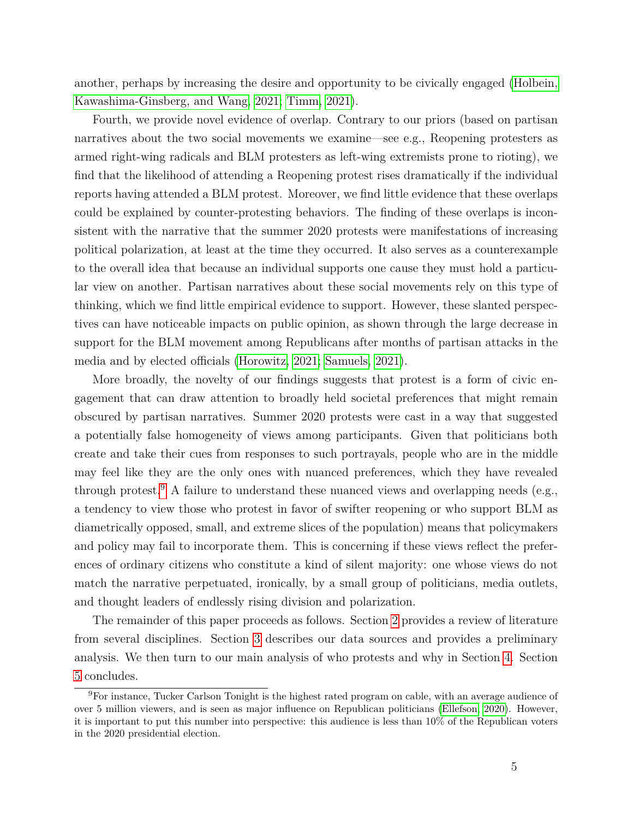another, perhaps by increasing the desire and opportunity to be civically engaged [\(Holbein,](#page-32-1) [Kawashima-Ginsberg, and Wang, 2021;](#page-32-1) [Timm, 2021\)](#page-35-5).

Fourth, we provide novel evidence of overlap. Contrary to our priors (based on partisan narratives about the two social movements we examine—see e.g., Reopening protesters as armed right-wing radicals and BLM protesters as left-wing extremists prone to rioting), we find that the likelihood of attending a Reopening protest rises dramatically if the individual reports having attended a BLM protest. Moreover, we find little evidence that these overlaps could be explained by counter-protesting behaviors. The finding of these overlaps is inconsistent with the narrative that the summer 2020 protests were manifestations of increasing political polarization, at least at the time they occurred. It also serves as a counterexample to the overall idea that because an individual supports one cause they must hold a particular view on another. Partisan narratives about these social movements rely on this type of thinking, which we find little empirical evidence to support. However, these slanted perspectives can have noticeable impacts on public opinion, as shown through the large decrease in support for the BLM movement among Republicans after months of partisan attacks in the media and by elected officials [\(Horowitz, 2021;](#page-32-2) [Samuels, 2021\)](#page-35-6).

More broadly, the novelty of our findings suggests that protest is a form of civic engagement that can draw attention to broadly held societal preferences that might remain obscured by partisan narratives. Summer 2020 protests were cast in a way that suggested a potentially false homogeneity of views among participants. Given that politicians both create and take their cues from responses to such portrayals, people who are in the middle may feel like they are the only ones with nuanced preferences, which they have revealed through protest.<sup>[9](#page-5-0)</sup> A failure to understand these nuanced views and overlapping needs (e.g., a tendency to view those who protest in favor of swifter reopening or who support BLM as diametrically opposed, small, and extreme slices of the population) means that policymakers and policy may fail to incorporate them. This is concerning if these views reflect the preferences of ordinary citizens who constitute a kind of silent majority: one whose views do not match the narrative perpetuated, ironically, by a small group of politicians, media outlets, and thought leaders of endlessly rising division and polarization.

The remainder of this paper proceeds as follows. Section [2](#page-6-0) provides a review of literature from several disciplines. Section [3](#page-9-0) describes our data sources and provides a preliminary analysis. We then turn to our main analysis of who protests and why in Section [4.](#page-15-0) Section [5](#page-26-0) concludes.

<span id="page-5-0"></span><sup>9</sup>For instance, Tucker Carlson Tonight is the highest rated program on cable, with an average audience of over 5 million viewers, and is seen as major influence on Republican politicians [\(Ellefson, 2020\)](#page-31-5). However, it is important to put this number into perspective: this audience is less than 10% of the Republican voters in the 2020 presidential election.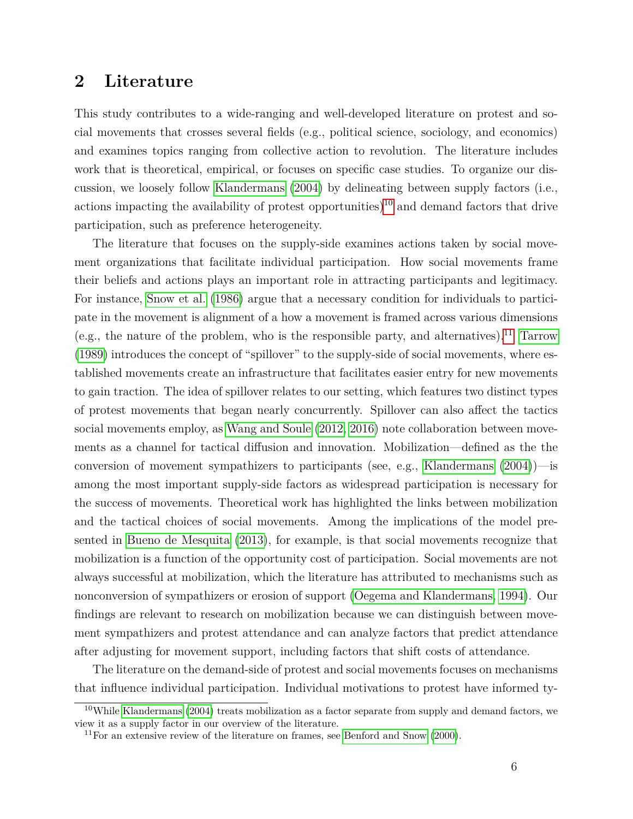### <span id="page-6-0"></span>**2 Literature**

This study contributes to a wide-ranging and well-developed literature on protest and social movements that crosses several fields (e.g., political science, sociology, and economics) and examines topics ranging from collective action to revolution. The literature includes work that is theoretical, empirical, or focuses on specific case studies. To organize our discussion, we loosely follow [Klandermans](#page-32-3) [\(2004\)](#page-32-3) by delineating between supply factors (i.e., actions impacting the availability of protest opportunities)<sup>[10](#page-6-1)</sup> and demand factors that drive participation, such as preference heterogeneity.

The literature that focuses on the supply-side examines actions taken by social movement organizations that facilitate individual participation. How social movements frame their beliefs and actions plays an important role in attracting participants and legitimacy. For instance, [Snow et al.](#page-35-7) [\(1986\)](#page-35-7) argue that a necessary condition for individuals to participate in the movement is alignment of a how a movement is framed across various dimensions (e.g., the nature of the problem, who is the responsible party, and alternatives).<sup>[11](#page-6-2)</sup> [Tarrow](#page-35-0) [\(1989\)](#page-35-0) introduces the concept of "spillover" to the supply-side of social movements, where established movements create an infrastructure that facilitates easier entry for new movements to gain traction. The idea of spillover relates to our setting, which features two distinct types of protest movements that began nearly concurrently. Spillover can also affect the tactics social movements employ, as [Wang and Soule](#page-36-3) [\(2012,](#page-36-3) [2016\)](#page-36-4) note collaboration between movements as a channel for tactical diffusion and innovation. Mobilization—defined as the the conversion of movement sympathizers to participants (see, e.g., [Klandermans](#page-32-3) [\(2004\)](#page-32-3))—is among the most important supply-side factors as widespread participation is necessary for the success of movements. Theoretical work has highlighted the links between mobilization and the tactical choices of social movements. Among the implications of the model presented in [Bueno de Mesquita](#page-29-2) [\(2013\)](#page-29-2), for example, is that social movements recognize that mobilization is a function of the opportunity cost of participation. Social movements are not always successful at mobilization, which the literature has attributed to mechanisms such as nonconversion of sympathizers or erosion of support [\(Oegema and Klandermans, 1994\)](#page-34-4). Our findings are relevant to research on mobilization because we can distinguish between movement sympathizers and protest attendance and can analyze factors that predict attendance after adjusting for movement support, including factors that shift costs of attendance.

The literature on the demand-side of protest and social movements focuses on mechanisms that influence individual participation. Individual motivations to protest have informed ty-

<span id="page-6-1"></span> $10$ While [Klandermans](#page-32-3) [\(2004\)](#page-32-3) treats mobilization as a factor separate from supply and demand factors, we view it as a supply factor in our overview of the literature.

<span id="page-6-2"></span> $11$  For an extensive review of the literature on frames, see [Benford and Snow](#page-29-3) [\(2000\)](#page-29-3).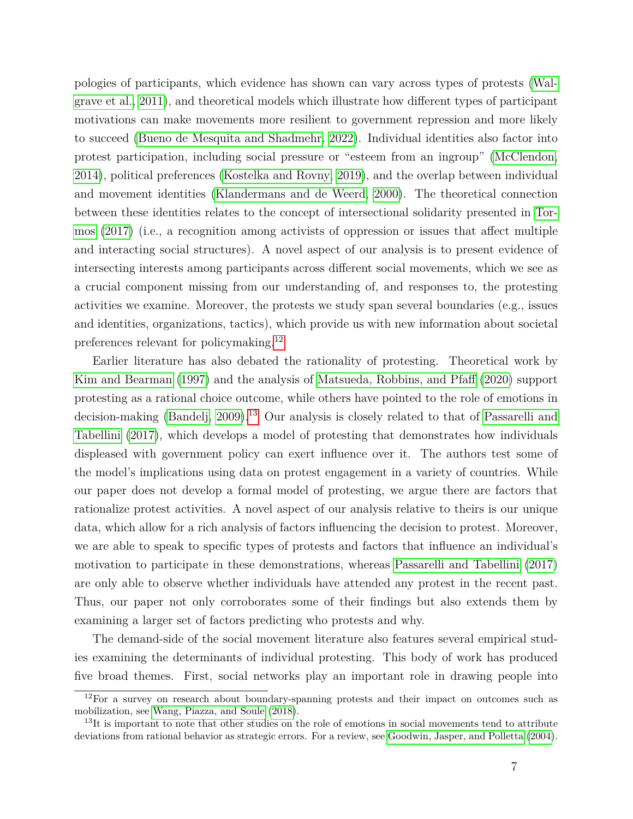pologies of participants, which evidence has shown can vary across types of protests [\(Wal](#page-35-8)[grave et al., 2011\)](#page-35-8), and theoretical models which illustrate how different types of participant motivations can make movements more resilient to government repression and more likely to succeed [\(Bueno de Mesquita and Shadmehr, 2022\)](#page-29-4). Individual identities also factor into protest participation, including social pressure or "esteem from an ingroup" [\(McClendon,](#page-33-4) [2014\)](#page-33-4), political preferences [\(Kostelka and Rovny, 2019\)](#page-32-4), and the overlap between individual and movement identities [\(Klandermans and de Weerd, 2000\)](#page-32-5). The theoretical connection between these identities relates to the concept of intersectional solidarity presented in [Tor](#page-35-9)[mos](#page-35-9) [\(2017\)](#page-35-9) (i.e., a recognition among activists of oppression or issues that affect multiple and interacting social structures). A novel aspect of our analysis is to present evidence of intersecting interests among participants across different social movements, which we see as a crucial component missing from our understanding of, and responses to, the protesting activities we examine. Moreover, the protests we study span several boundaries (e.g., issues and identities, organizations, tactics), which provide us with new information about societal preferences relevant for policymaking.[12](#page-7-0)

Earlier literature has also debated the rationality of protesting. Theoretical work by [Kim and Bearman](#page-32-6) [\(1997\)](#page-32-6) and the analysis of [Matsueda, Robbins, and Pfaff](#page-33-5) [\(2020\)](#page-33-5) support protesting as a rational choice outcome, while others have pointed to the role of emotions in decision-making [\(Bandelj, 2009\)](#page-29-5).[13](#page-7-1) Our analysis is closely related to that of [Passarelli and](#page-34-5) [Tabellini](#page-34-5) [\(2017\)](#page-34-5), which develops a model of protesting that demonstrates how individuals displeased with government policy can exert influence over it. The authors test some of the model's implications using data on protest engagement in a variety of countries. While our paper does not develop a formal model of protesting, we argue there are factors that rationalize protest activities. A novel aspect of our analysis relative to theirs is our unique data, which allow for a rich analysis of factors influencing the decision to protest. Moreover, we are able to speak to specific types of protests and factors that influence an individual's motivation to participate in these demonstrations, whereas [Passarelli and Tabellini](#page-34-5) [\(2017\)](#page-34-5) are only able to observe whether individuals have attended any protest in the recent past. Thus, our paper not only corroborates some of their findings but also extends them by examining a larger set of factors predicting who protests and why.

The demand-side of the social movement literature also features several empirical studies examining the determinants of individual protesting. This body of work has produced five broad themes. First, social networks play an important role in drawing people into

<span id="page-7-0"></span> $12$ For a survey on research about boundary-spanning protests and their impact on outcomes such as mobilization, see [Wang, Piazza, and Soule](#page-36-5) [\(2018\)](#page-36-5).

<span id="page-7-1"></span><sup>&</sup>lt;sup>13</sup>It is important to note that other studies on the role of emotions in social movements tend to attribute deviations from rational behavior as strategic errors. For a review, see [Goodwin, Jasper, and Polletta](#page-31-6) [\(2004\)](#page-31-6).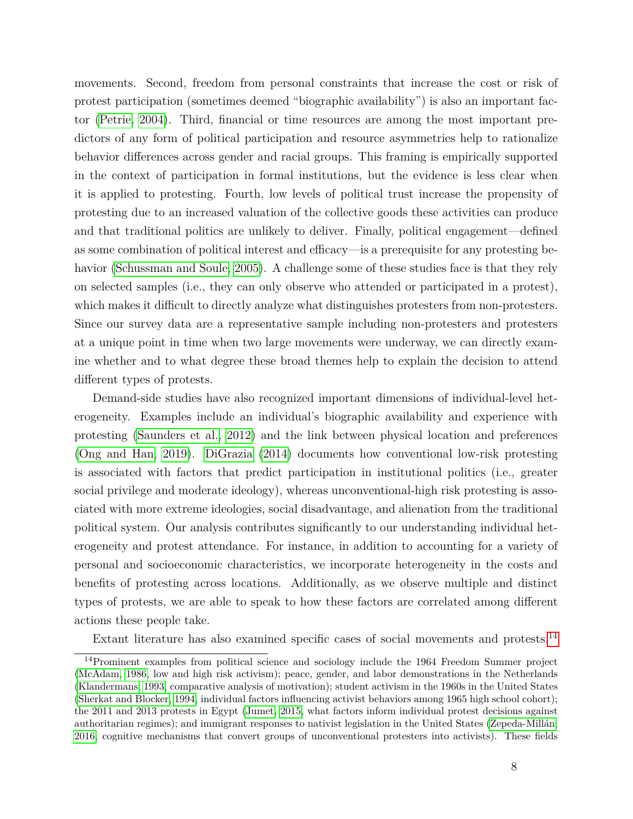movements. Second, freedom from personal constraints that increase the cost or risk of protest participation (sometimes deemed "biographic availability") is also an important factor [\(Petrie, 2004\)](#page-34-6). Third, financial or time resources are among the most important predictors of any form of political participation and resource asymmetries help to rationalize behavior differences across gender and racial groups. This framing is empirically supported in the context of participation in formal institutions, but the evidence is less clear when it is applied to protesting. Fourth, low levels of political trust increase the propensity of protesting due to an increased valuation of the collective goods these activities can produce and that traditional politics are unlikely to deliver. Finally, political engagement—defined as some combination of political interest and efficacy—is a prerequisite for any protesting behavior [\(Schussman and Soule, 2005\)](#page-35-10). A challenge some of these studies face is that they rely on selected samples (i.e., they can only observe who attended or participated in a protest), which makes it difficult to directly analyze what distinguishes protesters from non-protesters. Since our survey data are a representative sample including non-protesters and protesters at a unique point in time when two large movements were underway, we can directly examine whether and to what degree these broad themes help to explain the decision to attend different types of protests.

Demand-side studies have also recognized important dimensions of individual-level heterogeneity. Examples include an individual's biographic availability and experience with protesting [\(Saunders et al., 2012\)](#page-35-11) and the link between physical location and preferences [\(Ong and Han, 2019\)](#page-34-7). [DiGrazia](#page-31-7) [\(2014\)](#page-31-7) documents how conventional low-risk protesting is associated with factors that predict participation in institutional politics (i.e., greater social privilege and moderate ideology), whereas unconventional-high risk protesting is associated with more extreme ideologies, social disadvantage, and alienation from the traditional political system. Our analysis contributes significantly to our understanding individual heterogeneity and protest attendance. For instance, in addition to accounting for a variety of personal and socioeconomic characteristics, we incorporate heterogeneity in the costs and benefits of protesting across locations. Additionally, as we observe multiple and distinct types of protests, we are able to speak to how these factors are correlated among different actions these people take.

Extant literature has also examined specific cases of social movements and protests.[14](#page-8-0)

<span id="page-8-0"></span><sup>&</sup>lt;sup>14</sup>Prominent examples from political science and sociology include the 1964 Freedom Summer project [\(McAdam, 1986,](#page-33-6) low and high risk activism); peace, gender, and labor demonstrations in the Netherlands [\(Klandermans, 1993,](#page-32-7) comparative analysis of motivation); student activism in the 1960s in the United States [\(Sherkat and Blocker, 1994,](#page-35-12) individual factors influencing activist behaviors among 1965 high school cohort); the 2011 and 2013 protests in Egypt [\(Jumet, 2015,](#page-32-8) what factors inform individual protest decisions against authoritarian regimes); and immigrant responses to nativist legislation in the United States [\(Zepeda-Millán,](#page-36-6) [2016,](#page-36-6) cognitive mechanisms that convert groups of unconventional protesters into activists). These fields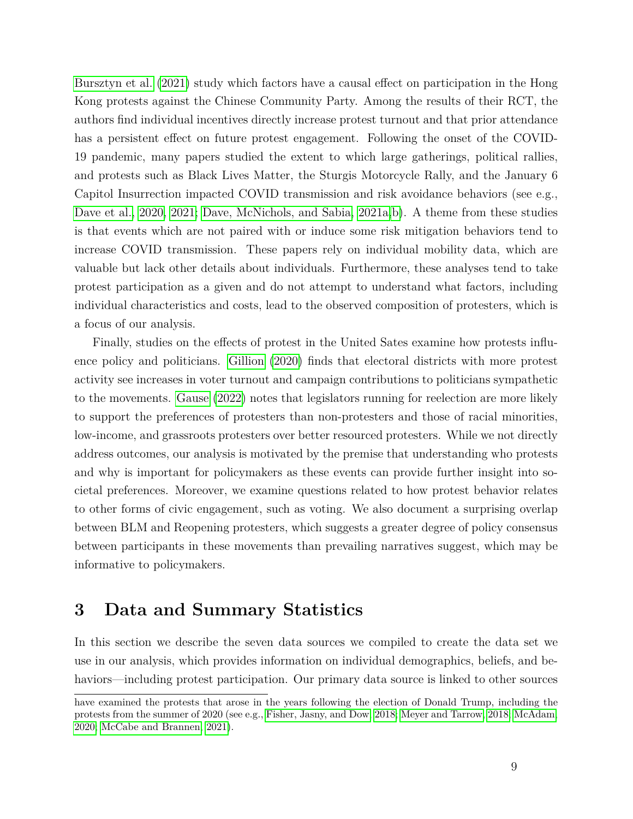[Bursztyn et al.](#page-29-6) [\(2021\)](#page-29-6) study which factors have a causal effect on participation in the Hong Kong protests against the Chinese Community Party. Among the results of their RCT, the authors find individual incentives directly increase protest turnout and that prior attendance has a persistent effect on future protest engagement. Following the onset of the COVID-19 pandemic, many papers studied the extent to which large gatherings, political rallies, and protests such as Black Lives Matter, the Sturgis Motorcycle Rally, and the January 6 Capitol Insurrection impacted COVID transmission and risk avoidance behaviors (see e.g., [Dave et al., 2020,](#page-30-3) [2021;](#page-30-4) [Dave, McNichols, and Sabia, 2021a,](#page-30-5) [b\)](#page-30-6). A theme from these studies is that events which are not paired with or induce some risk mitigation behaviors tend to increase COVID transmission. These papers rely on individual mobility data, which are valuable but lack other details about individuals. Furthermore, these analyses tend to take protest participation as a given and do not attempt to understand what factors, including individual characteristics and costs, lead to the observed composition of protesters, which is a focus of our analysis.

Finally, studies on the effects of protest in the United Sates examine how protests influence policy and politicians. [Gillion](#page-31-1) [\(2020\)](#page-31-1) finds that electoral districts with more protest activity see increases in voter turnout and campaign contributions to politicians sympathetic to the movements. [Gause](#page-31-0) [\(2022\)](#page-31-0) notes that legislators running for reelection are more likely to support the preferences of protesters than non-protesters and those of racial minorities, low-income, and grassroots protesters over better resourced protesters. While we not directly address outcomes, our analysis is motivated by the premise that understanding who protests and why is important for policymakers as these events can provide further insight into societal preferences. Moreover, we examine questions related to how protest behavior relates to other forms of civic engagement, such as voting. We also document a surprising overlap between BLM and Reopening protesters, which suggests a greater degree of policy consensus between participants in these movements than prevailing narratives suggest, which may be informative to policymakers.

### <span id="page-9-0"></span>**3 Data and Summary Statistics**

In this section we describe the seven data sources we compiled to create the data set we use in our analysis, which provides information on individual demographics, beliefs, and behaviors—including protest participation. Our primary data source is linked to other sources

have examined the protests that arose in the years following the election of Donald Trump, including the protests from the summer of 2020 (see e.g., [Fisher, Jasny, and Dow, 2018;](#page-31-8) [Meyer and Tarrow, 2018;](#page-34-8) [McAdam,](#page-33-7) [2020;](#page-33-7) [McCabe and Brannen, 2021\)](#page-33-8).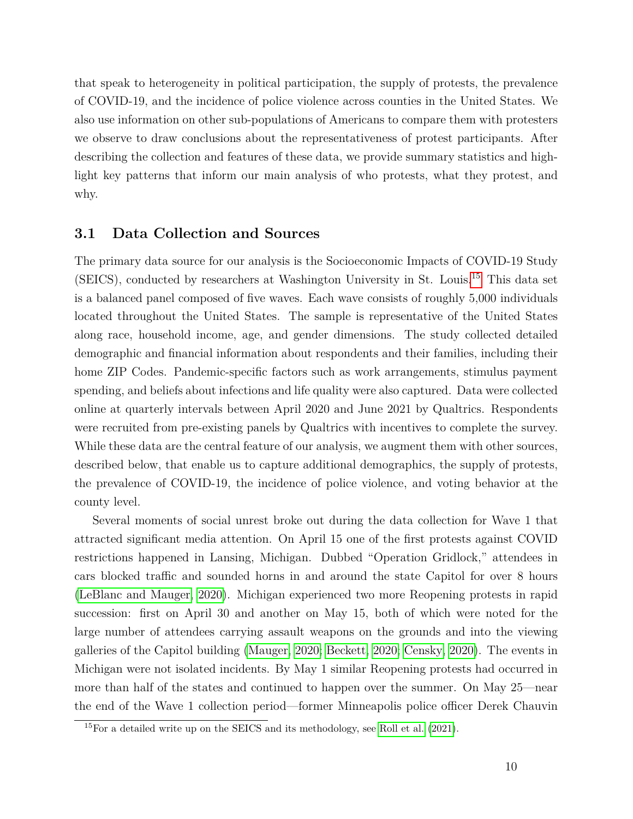that speak to heterogeneity in political participation, the supply of protests, the prevalence of COVID-19, and the incidence of police violence across counties in the United States. We also use information on other sub-populations of Americans to compare them with protesters we observe to draw conclusions about the representativeness of protest participants. After describing the collection and features of these data, we provide summary statistics and highlight key patterns that inform our main analysis of who protests, what they protest, and why.

#### **3.1 Data Collection and Sources**

The primary data source for our analysis is the Socioeconomic Impacts of COVID-19 Study (SEICS), conducted by researchers at Washington University in St. Louis.[15](#page-10-0) This data set is a balanced panel composed of five waves. Each wave consists of roughly 5,000 individuals located throughout the United States. The sample is representative of the United States along race, household income, age, and gender dimensions. The study collected detailed demographic and financial information about respondents and their families, including their home ZIP Codes. Pandemic-specific factors such as work arrangements, stimulus payment spending, and beliefs about infections and life quality were also captured. Data were collected online at quarterly intervals between April 2020 and June 2021 by Qualtrics. Respondents were recruited from pre-existing panels by Qualtrics with incentives to complete the survey. While these data are the central feature of our analysis, we augment them with other sources, described below, that enable us to capture additional demographics, the supply of protests, the prevalence of COVID-19, the incidence of police violence, and voting behavior at the county level.

Several moments of social unrest broke out during the data collection for Wave 1 that attracted significant media attention. On April 15 one of the first protests against COVID restrictions happened in Lansing, Michigan. Dubbed "Operation Gridlock," attendees in cars blocked traffic and sounded horns in and around the state Capitol for over 8 hours [\(LeBlanc and Mauger, 2020\)](#page-32-9). Michigan experienced two more Reopening protests in rapid succession: first on April 30 and another on May 15, both of which were noted for the large number of attendees carrying assault weapons on the grounds and into the viewing galleries of the Capitol building [\(Mauger, 2020;](#page-33-9) [Beckett, 2020;](#page-29-7) [Censky, 2020\)](#page-30-7). The events in Michigan were not isolated incidents. By May 1 similar Reopening protests had occurred in more than half of the states and continued to happen over the summer. On May 25—near the end of the Wave 1 collection period—former Minneapolis police officer Derek Chauvin

<span id="page-10-0"></span> $15$ For a detailed write up on the SEICS and its methodology, see [Roll et al.](#page-34-9) [\(2021\)](#page-34-9).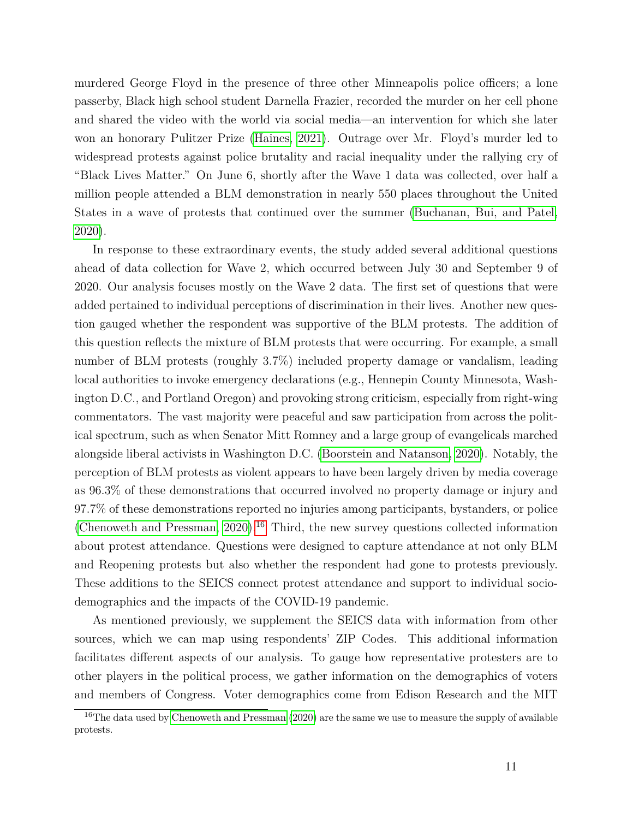murdered George Floyd in the presence of three other Minneapolis police officers; a lone passerby, Black high school student Darnella Frazier, recorded the murder on her cell phone and shared the video with the world via social media—an intervention for which she later won an honorary Pulitzer Prize [\(Haines, 2021\)](#page-31-9). Outrage over Mr. Floyd's murder led to widespread protests against police brutality and racial inequality under the rallying cry of "Black Lives Matter." On June 6, shortly after the Wave 1 data was collected, over half a million people attended a BLM demonstration in nearly 550 places throughout the United States in a wave of protests that continued over the summer [\(Buchanan, Bui, and Patel,](#page-29-8) [2020\)](#page-29-8).

In response to these extraordinary events, the study added several additional questions ahead of data collection for Wave 2, which occurred between July 30 and September 9 of 2020. Our analysis focuses mostly on the Wave 2 data. The first set of questions that were added pertained to individual perceptions of discrimination in their lives. Another new question gauged whether the respondent was supportive of the BLM protests. The addition of this question reflects the mixture of BLM protests that were occurring. For example, a small number of BLM protests (roughly 3.7%) included property damage or vandalism, leading local authorities to invoke emergency declarations (e.g., Hennepin County Minnesota, Washington D.C., and Portland Oregon) and provoking strong criticism, especially from right-wing commentators. The vast majority were peaceful and saw participation from across the political spectrum, such as when Senator Mitt Romney and a large group of evangelicals marched alongside liberal activists in Washington D.C. [\(Boorstein and Natanson, 2020\)](#page-29-9). Notably, the perception of BLM protests as violent appears to have been largely driven by media coverage as 96.3% of these demonstrations that occurred involved no property damage or injury and 97.7% of these demonstrations reported no injuries among participants, bystanders, or police (Chenoweth and Pressman,  $2020$ ).<sup>[16](#page-11-0)</sup> Third, the new survey questions collected information about protest attendance. Questions were designed to capture attendance at not only BLM and Reopening protests but also whether the respondent had gone to protests previously. These additions to the SEICS connect protest attendance and support to individual sociodemographics and the impacts of the COVID-19 pandemic.

As mentioned previously, we supplement the SEICS data with information from other sources, which we can map using respondents' ZIP Codes. This additional information facilitates different aspects of our analysis. To gauge how representative protesters are to other players in the political process, we gather information on the demographics of voters and members of Congress. Voter demographics come from Edison Research and the MIT

<span id="page-11-0"></span><sup>&</sup>lt;sup>16</sup>The data used by [Chenoweth and Pressman](#page-30-8) [\(2020\)](#page-30-8) are the same we use to measure the supply of available protests.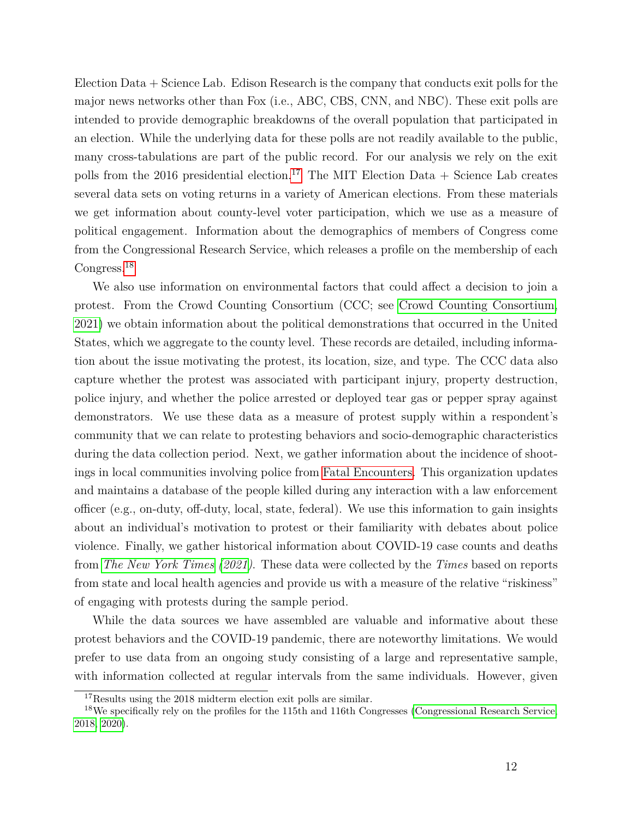Election Data + Science Lab. Edison Research is the company that conducts exit polls for the major news networks other than Fox (i.e., ABC, CBS, CNN, and NBC). These exit polls are intended to provide demographic breakdowns of the overall population that participated in an election. While the underlying data for these polls are not readily available to the public, many cross-tabulations are part of the public record. For our analysis we rely on the exit polls from the 2016 presidential election.<sup>[17](#page-12-0)</sup> The MIT Election Data  $+$  Science Lab creates several data sets on voting returns in a variety of American elections. From these materials we get information about county-level voter participation, which we use as a measure of political engagement. Information about the demographics of members of Congress come from the Congressional Research Service, which releases a profile on the membership of each Congress.[18](#page-12-1)

We also use information on environmental factors that could affect a decision to join a protest. From the Crowd Counting Consortium (CCC; see [Crowd Counting Consortium,](#page-30-9) [2021\)](#page-30-9) we obtain information about the political demonstrations that occurred in the United States, which we aggregate to the county level. These records are detailed, including information about the issue motivating the protest, its location, size, and type. The CCC data also capture whether the protest was associated with participant injury, property destruction, police injury, and whether the police arrested or deployed tear gas or pepper spray against demonstrators. We use these data as a measure of protest supply within a respondent's community that we can relate to protesting behaviors and socio-demographic characteristics during the data collection period. Next, we gather information about the incidence of shootings in local communities involving police from [Fatal Encounters.](#page-0-0) This organization updates and maintains a database of the people killed during any interaction with a law enforcement officer (e.g., on-duty, off-duty, local, state, federal). We use this information to gain insights about an individual's motivation to protest or their familiarity with debates about police violence. Finally, we gather historical information about COVID-19 case counts and deaths from *[The New York Times](#page-35-13) [\(2021\)](#page-35-13)*. These data were collected by the *Times* based on reports from state and local health agencies and provide us with a measure of the relative "riskiness" of engaging with protests during the sample period.

While the data sources we have assembled are valuable and informative about these protest behaviors and the COVID-19 pandemic, there are noteworthy limitations. We would prefer to use data from an ongoing study consisting of a large and representative sample, with information collected at regular intervals from the same individuals. However, given

<span id="page-12-1"></span><span id="page-12-0"></span><sup>&</sup>lt;sup>17</sup>Results using the 2018 midterm election exit polls are similar.

<sup>&</sup>lt;sup>18</sup>We specifically rely on the profiles for the 115th and 116th Congresses [\(Congressional Research Service,](#page-30-10) [2018,](#page-30-10) [2020\)](#page-30-11).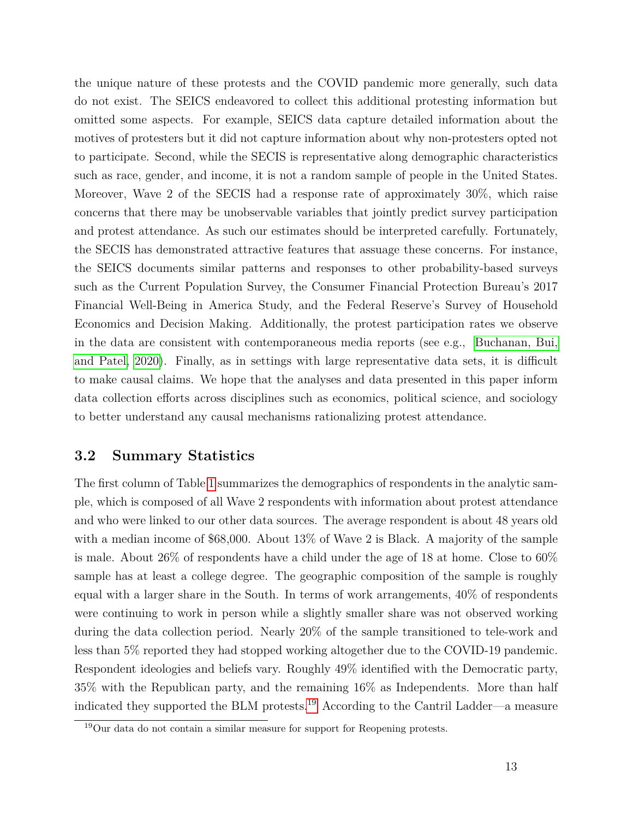the unique nature of these protests and the COVID pandemic more generally, such data do not exist. The SEICS endeavored to collect this additional protesting information but omitted some aspects. For example, SEICS data capture detailed information about the motives of protesters but it did not capture information about why non-protesters opted not to participate. Second, while the SECIS is representative along demographic characteristics such as race, gender, and income, it is not a random sample of people in the United States. Moreover, Wave 2 of the SECIS had a response rate of approximately 30%, which raise concerns that there may be unobservable variables that jointly predict survey participation and protest attendance. As such our estimates should be interpreted carefully. Fortunately, the SECIS has demonstrated attractive features that assuage these concerns. For instance, the SEICS documents similar patterns and responses to other probability-based surveys such as the Current Population Survey, the Consumer Financial Protection Bureau's 2017 Financial Well-Being in America Study, and the Federal Reserve's Survey of Household Economics and Decision Making. Additionally, the protest participation rates we observe in the data are consistent with contemporaneous media reports (see e.g., [Buchanan, Bui,](#page-29-8) [and Patel, 2020\)](#page-29-8). Finally, as in settings with large representative data sets, it is difficult to make causal claims. We hope that the analyses and data presented in this paper inform data collection efforts across disciplines such as economics, political science, and sociology to better understand any causal mechanisms rationalizing protest attendance.

#### **3.2 Summary Statistics**

The first column of Table [1](#page-37-0) summarizes the demographics of respondents in the analytic sample, which is composed of all Wave 2 respondents with information about protest attendance and who were linked to our other data sources. The average respondent is about 48 years old with a median income of \$68,000. About 13% of Wave 2 is Black. A majority of the sample is male. About 26% of respondents have a child under the age of 18 at home. Close to 60% sample has at least a college degree. The geographic composition of the sample is roughly equal with a larger share in the South. In terms of work arrangements, 40% of respondents were continuing to work in person while a slightly smaller share was not observed working during the data collection period. Nearly 20% of the sample transitioned to tele-work and less than 5% reported they had stopped working altogether due to the COVID-19 pandemic. Respondent ideologies and beliefs vary. Roughly 49% identified with the Democratic party, 35% with the Republican party, and the remaining 16% as Independents. More than half indicated they supported the BLM protests.[19](#page-13-0) According to the Cantril Ladder—a measure

<span id="page-13-0"></span><sup>19</sup>Our data do not contain a similar measure for support for Reopening protests.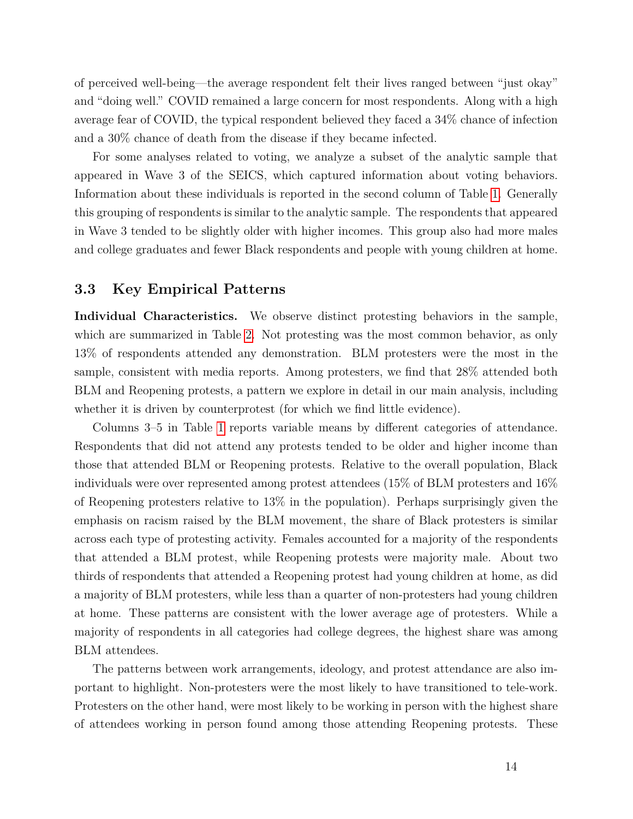of perceived well-being—the average respondent felt their lives ranged between "just okay" and "doing well." COVID remained a large concern for most respondents. Along with a high average fear of COVID, the typical respondent believed they faced a 34% chance of infection and a 30% chance of death from the disease if they became infected.

For some analyses related to voting, we analyze a subset of the analytic sample that appeared in Wave 3 of the SEICS, which captured information about voting behaviors. Information about these individuals is reported in the second column of Table [1.](#page-37-0) Generally this grouping of respondents is similar to the analytic sample. The respondents that appeared in Wave 3 tended to be slightly older with higher incomes. This group also had more males and college graduates and fewer Black respondents and people with young children at home.

#### **3.3 Key Empirical Patterns**

**Individual Characteristics.** We observe distinct protesting behaviors in the sample, which are summarized in Table [2.](#page-38-0) Not protesting was the most common behavior, as only 13% of respondents attended any demonstration. BLM protesters were the most in the sample, consistent with media reports. Among protesters, we find that 28% attended both BLM and Reopening protests, a pattern we explore in detail in our main analysis, including whether it is driven by counterprotest (for which we find little evidence).

Columns 3–5 in Table [1](#page-37-0) reports variable means by different categories of attendance. Respondents that did not attend any protests tended to be older and higher income than those that attended BLM or Reopening protests. Relative to the overall population, Black individuals were over represented among protest attendees (15% of BLM protesters and 16% of Reopening protesters relative to 13% in the population). Perhaps surprisingly given the emphasis on racism raised by the BLM movement, the share of Black protesters is similar across each type of protesting activity. Females accounted for a majority of the respondents that attended a BLM protest, while Reopening protests were majority male. About two thirds of respondents that attended a Reopening protest had young children at home, as did a majority of BLM protesters, while less than a quarter of non-protesters had young children at home. These patterns are consistent with the lower average age of protesters. While a majority of respondents in all categories had college degrees, the highest share was among BLM attendees.

The patterns between work arrangements, ideology, and protest attendance are also important to highlight. Non-protesters were the most likely to have transitioned to tele-work. Protesters on the other hand, were most likely to be working in person with the highest share of attendees working in person found among those attending Reopening protests. These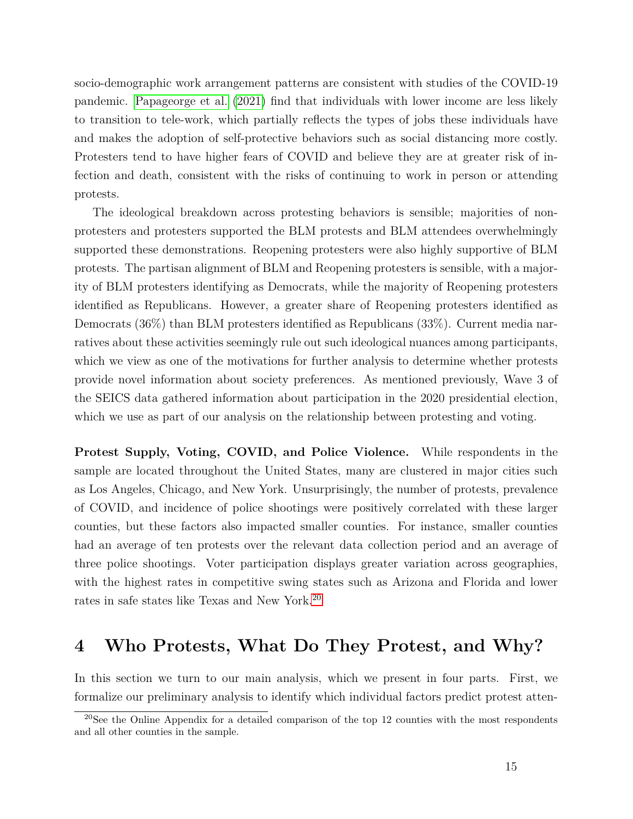socio-demographic work arrangement patterns are consistent with studies of the COVID-19 pandemic. [Papageorge et al.](#page-34-10) [\(2021\)](#page-34-10) find that individuals with lower income are less likely to transition to tele-work, which partially reflects the types of jobs these individuals have and makes the adoption of self-protective behaviors such as social distancing more costly. Protesters tend to have higher fears of COVID and believe they are at greater risk of infection and death, consistent with the risks of continuing to work in person or attending protests.

The ideological breakdown across protesting behaviors is sensible; majorities of nonprotesters and protesters supported the BLM protests and BLM attendees overwhelmingly supported these demonstrations. Reopening protesters were also highly supportive of BLM protests. The partisan alignment of BLM and Reopening protesters is sensible, with a majority of BLM protesters identifying as Democrats, while the majority of Reopening protesters identified as Republicans. However, a greater share of Reopening protesters identified as Democrats (36%) than BLM protesters identified as Republicans (33%). Current media narratives about these activities seemingly rule out such ideological nuances among participants, which we view as one of the motivations for further analysis to determine whether protests provide novel information about society preferences. As mentioned previously, Wave 3 of the SEICS data gathered information about participation in the 2020 presidential election, which we use as part of our analysis on the relationship between protesting and voting.

**Protest Supply, Voting, COVID, and Police Violence.** While respondents in the sample are located throughout the United States, many are clustered in major cities such as Los Angeles, Chicago, and New York. Unsurprisingly, the number of protests, prevalence of COVID, and incidence of police shootings were positively correlated with these larger counties, but these factors also impacted smaller counties. For instance, smaller counties had an average of ten protests over the relevant data collection period and an average of three police shootings. Voter participation displays greater variation across geographies, with the highest rates in competitive swing states such as Arizona and Florida and lower rates in safe states like Texas and New York.[20](#page-15-1)

## <span id="page-15-0"></span>**4 Who Protests, What Do They Protest, and Why?**

In this section we turn to our main analysis, which we present in four parts. First, we formalize our preliminary analysis to identify which individual factors predict protest atten-

<span id="page-15-1"></span><sup>20</sup>See the Online Appendix for a detailed comparison of the top 12 counties with the most respondents and all other counties in the sample.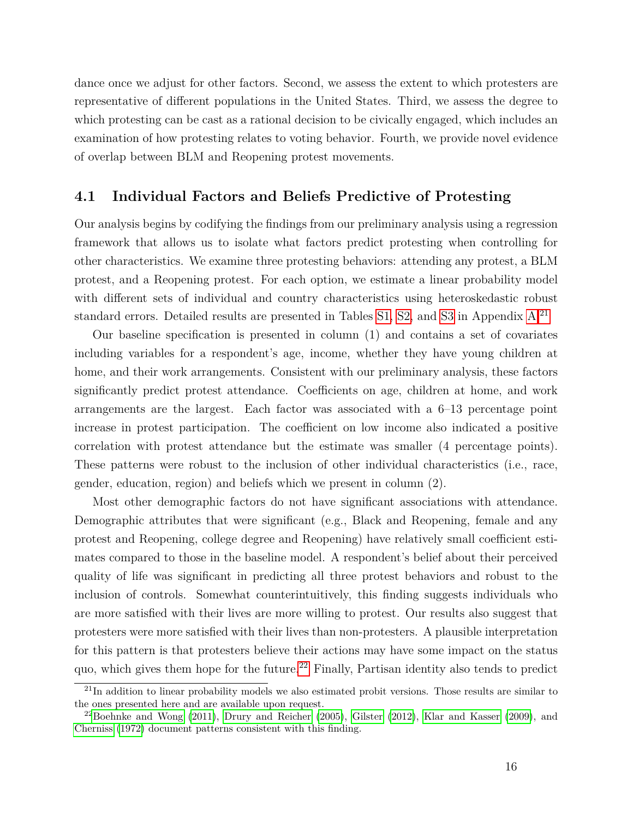dance once we adjust for other factors. Second, we assess the extent to which protesters are representative of different populations in the United States. Third, we assess the degree to which protesting can be cast as a rational decision to be civically engaged, which includes an examination of how protesting relates to voting behavior. Fourth, we provide novel evidence of overlap between BLM and Reopening protest movements.

#### **4.1 Individual Factors and Beliefs Predictive of Protesting**

Our analysis begins by codifying the findings from our preliminary analysis using a regression framework that allows us to isolate what factors predict protesting when controlling for other characteristics. We examine three protesting behaviors: attending any protest, a BLM protest, and a Reopening protest. For each option, we estimate a linear probability model with different sets of individual and country characteristics using heteroskedastic robust standard errors. Detailed results are presented in Tables [S1,](#page-47-0) [S2,](#page-48-0) and [S3](#page-39-0) in Appendix [A.](#page-47-1)<sup>[21](#page-16-0)</sup>

Our baseline specification is presented in column (1) and contains a set of covariates including variables for a respondent's age, income, whether they have young children at home, and their work arrangements. Consistent with our preliminary analysis, these factors significantly predict protest attendance. Coefficients on age, children at home, and work arrangements are the largest. Each factor was associated with a 6–13 percentage point increase in protest participation. The coefficient on low income also indicated a positive correlation with protest attendance but the estimate was smaller (4 percentage points). These patterns were robust to the inclusion of other individual characteristics (i.e., race, gender, education, region) and beliefs which we present in column (2).

Most other demographic factors do not have significant associations with attendance. Demographic attributes that were significant (e.g., Black and Reopening, female and any protest and Reopening, college degree and Reopening) have relatively small coefficient estimates compared to those in the baseline model. A respondent's belief about their perceived quality of life was significant in predicting all three protest behaviors and robust to the inclusion of controls. Somewhat counterintuitively, this finding suggests individuals who are more satisfied with their lives are more willing to protest. Our results also suggest that protesters were more satisfied with their lives than non-protesters. A plausible interpretation for this pattern is that protesters believe their actions may have some impact on the status quo, which gives them hope for the future.<sup>[22](#page-16-1)</sup> Finally, Partisan identity also tends to predict

<span id="page-16-0"></span> $^{21}$ In addition to linear probability models we also estimated probit versions. Those results are similar to the ones presented here and are available upon request.

<span id="page-16-1"></span> $^{22}$ [Boehnke and Wong](#page-29-10) [\(2011\)](#page-29-10), [Drury and Reicher](#page-31-10) [\(2005\)](#page-31-10), [Gilster](#page-31-11) [\(2012\)](#page-31-11), [Klar and Kasser](#page-32-10) [\(2009\)](#page-32-10), and [Cherniss](#page-30-12) [\(1972\)](#page-30-12) document patterns consistent with this finding.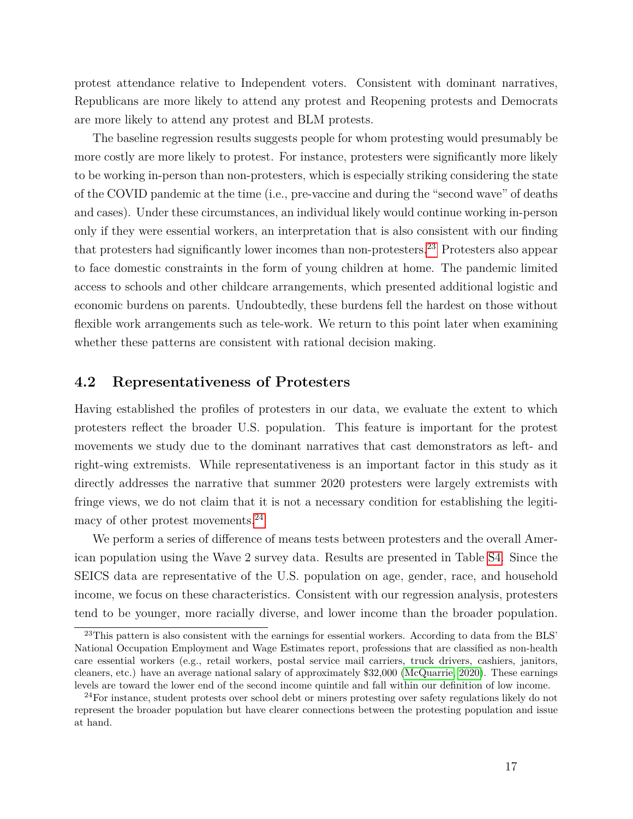protest attendance relative to Independent voters. Consistent with dominant narratives, Republicans are more likely to attend any protest and Reopening protests and Democrats are more likely to attend any protest and BLM protests.

The baseline regression results suggests people for whom protesting would presumably be more costly are more likely to protest. For instance, protesters were significantly more likely to be working in-person than non-protesters, which is especially striking considering the state of the COVID pandemic at the time (i.e., pre-vaccine and during the "second wave" of deaths and cases). Under these circumstances, an individual likely would continue working in-person only if they were essential workers, an interpretation that is also consistent with our finding that protesters had significantly lower incomes than non-protesters.[23](#page-17-0) Protesters also appear to face domestic constraints in the form of young children at home. The pandemic limited access to schools and other childcare arrangements, which presented additional logistic and economic burdens on parents. Undoubtedly, these burdens fell the hardest on those without flexible work arrangements such as tele-work. We return to this point later when examining whether these patterns are consistent with rational decision making.

#### **4.2 Representativeness of Protesters**

Having established the profiles of protesters in our data, we evaluate the extent to which protesters reflect the broader U.S. population. This feature is important for the protest movements we study due to the dominant narratives that cast demonstrators as left- and right-wing extremists. While representativeness is an important factor in this study as it directly addresses the narrative that summer 2020 protesters were largely extremists with fringe views, we do not claim that it is not a necessary condition for establishing the legitimacy of other protest movements.[24](#page-17-1)

We perform a series of difference of means tests between protesters and the overall American population using the Wave 2 survey data. Results are presented in Table [S4.](#page-56-0) Since the SEICS data are representative of the U.S. population on age, gender, race, and household income, we focus on these characteristics. Consistent with our regression analysis, protesters tend to be younger, more racially diverse, and lower income than the broader population.

<span id="page-17-0"></span> $^{23}$ This pattern is also consistent with the earnings for essential workers. According to data from the BLS' National Occupation Employment and Wage Estimates report, professions that are classified as non-health care essential workers (e.g., retail workers, postal service mail carriers, truck drivers, cashiers, janitors, cleaners, etc.) have an average national salary of approximately \$32,000 [\(McQuarrie, 2020\)](#page-33-10). These earnings levels are toward the lower end of the second income quintile and fall within our definition of low income.

<span id="page-17-1"></span><sup>&</sup>lt;sup>24</sup>For instance, student protests over school debt or miners protesting over safety regulations likely do not represent the broader population but have clearer connections between the protesting population and issue at hand.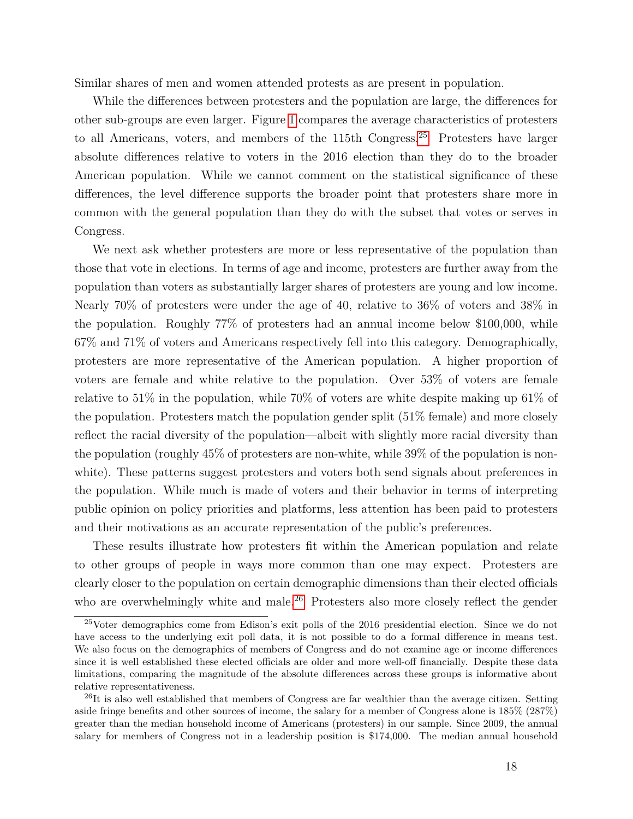Similar shares of men and women attended protests as are present in population.

While the differences between protesters and the population are large, the differences for other sub-groups are even larger. Figure [1](#page-44-0) compares the average characteristics of protesters to all Americans, voters, and members of the 115th Congress.[25](#page-18-0) Protesters have larger absolute differences relative to voters in the 2016 election than they do to the broader American population. While we cannot comment on the statistical significance of these differences, the level difference supports the broader point that protesters share more in common with the general population than they do with the subset that votes or serves in Congress.

We next ask whether protesters are more or less representative of the population than those that vote in elections. In terms of age and income, protesters are further away from the population than voters as substantially larger shares of protesters are young and low income. Nearly 70% of protesters were under the age of 40, relative to 36% of voters and 38% in the population. Roughly 77% of protesters had an annual income below \$100,000, while 67% and 71% of voters and Americans respectively fell into this category. Demographically, protesters are more representative of the American population. A higher proportion of voters are female and white relative to the population. Over 53% of voters are female relative to 51% in the population, while 70% of voters are white despite making up 61% of the population. Protesters match the population gender split (51% female) and more closely reflect the racial diversity of the population—albeit with slightly more racial diversity than the population (roughly 45% of protesters are non-white, while 39% of the population is nonwhite). These patterns suggest protesters and voters both send signals about preferences in the population. While much is made of voters and their behavior in terms of interpreting public opinion on policy priorities and platforms, less attention has been paid to protesters and their motivations as an accurate representation of the public's preferences.

These results illustrate how protesters fit within the American population and relate to other groups of people in ways more common than one may expect. Protesters are clearly closer to the population on certain demographic dimensions than their elected officials who are overwhelmingly white and male.<sup>[26](#page-18-1)</sup> Protesters also more closely reflect the gender

<span id="page-18-0"></span><sup>25</sup>Voter demographics come from Edison's exit polls of the 2016 presidential election. Since we do not have access to the underlying exit poll data, it is not possible to do a formal difference in means test. We also focus on the demographics of members of Congress and do not examine age or income differences since it is well established these elected officials are older and more well-off financially. Despite these data limitations, comparing the magnitude of the absolute differences across these groups is informative about relative representativeness.

<span id="page-18-1"></span><sup>&</sup>lt;sup>26</sup>It is also well established that members of Congress are far wealthier than the average citizen. Setting aside fringe benefits and other sources of income, the salary for a member of Congress alone is 185% (287%) greater than the median household income of Americans (protesters) in our sample. Since 2009, the annual salary for members of Congress not in a leadership position is \$174,000. The median annual household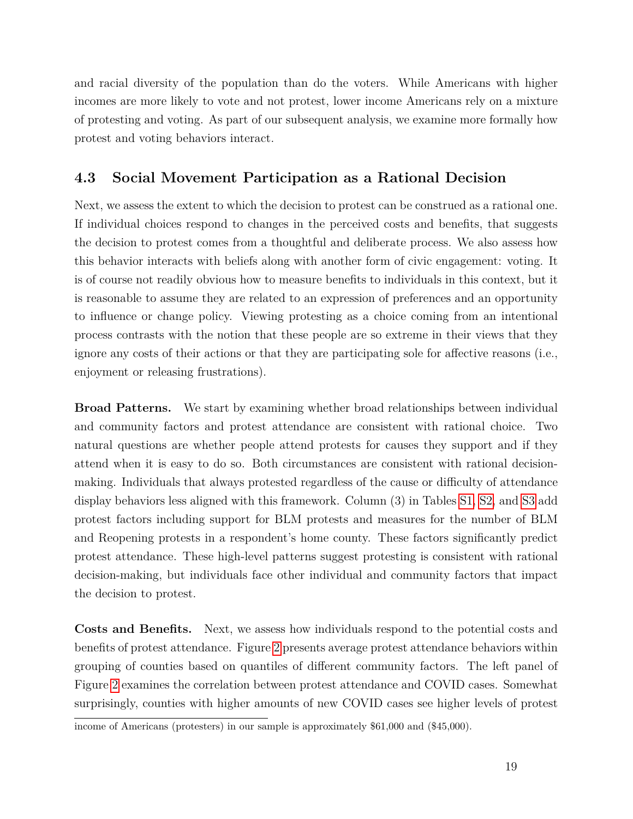and racial diversity of the population than do the voters. While Americans with higher incomes are more likely to vote and not protest, lower income Americans rely on a mixture of protesting and voting. As part of our subsequent analysis, we examine more formally how protest and voting behaviors interact.

### **4.3 Social Movement Participation as a Rational Decision**

Next, we assess the extent to which the decision to protest can be construed as a rational one. If individual choices respond to changes in the perceived costs and benefits, that suggests the decision to protest comes from a thoughtful and deliberate process. We also assess how this behavior interacts with beliefs along with another form of civic engagement: voting. It is of course not readily obvious how to measure benefits to individuals in this context, but it is reasonable to assume they are related to an expression of preferences and an opportunity to influence or change policy. Viewing protesting as a choice coming from an intentional process contrasts with the notion that these people are so extreme in their views that they ignore any costs of their actions or that they are participating sole for affective reasons (i.e., enjoyment or releasing frustrations).

**Broad Patterns.** We start by examining whether broad relationships between individual and community factors and protest attendance are consistent with rational choice. Two natural questions are whether people attend protests for causes they support and if they attend when it is easy to do so. Both circumstances are consistent with rational decisionmaking. Individuals that always protested regardless of the cause or difficulty of attendance display behaviors less aligned with this framework. Column (3) in Tables [S1,](#page-47-0) [S2,](#page-48-0) and [S3](#page-39-0) add protest factors including support for BLM protests and measures for the number of BLM and Reopening protests in a respondent's home county. These factors significantly predict protest attendance. These high-level patterns suggest protesting is consistent with rational decision-making, but individuals face other individual and community factors that impact the decision to protest.

**Costs and Benefits.** Next, we assess how individuals respond to the potential costs and benefits of protest attendance. Figure [2](#page-45-0) presents average protest attendance behaviors within grouping of counties based on quantiles of different community factors. The left panel of Figure [2](#page-45-0) examines the correlation between protest attendance and COVID cases. Somewhat surprisingly, counties with higher amounts of new COVID cases see higher levels of protest

income of Americans (protesters) in our sample is approximately \$61,000 and (\$45,000).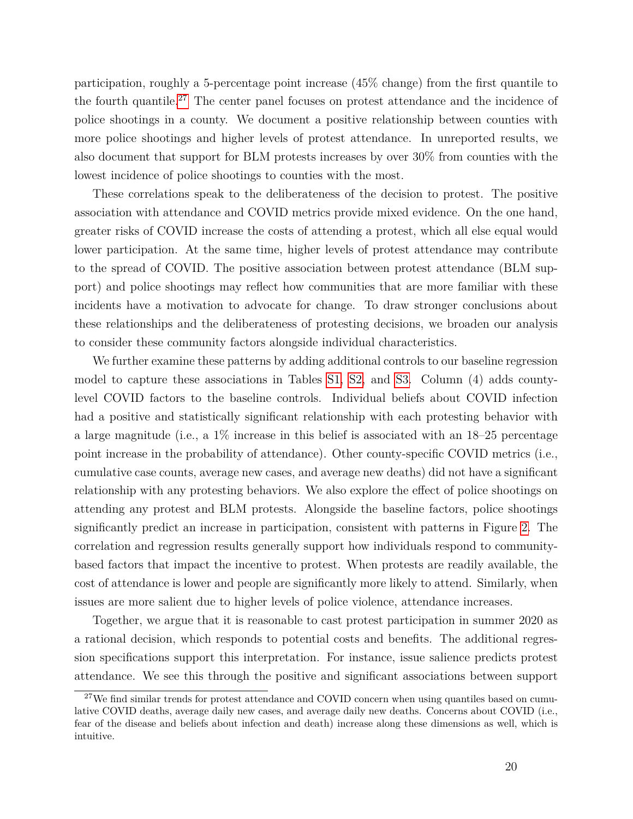participation, roughly a 5-percentage point increase (45% change) from the first quantile to the fourth quantile.[27](#page-20-0) The center panel focuses on protest attendance and the incidence of police shootings in a county. We document a positive relationship between counties with more police shootings and higher levels of protest attendance. In unreported results, we also document that support for BLM protests increases by over 30% from counties with the lowest incidence of police shootings to counties with the most.

These correlations speak to the deliberateness of the decision to protest. The positive association with attendance and COVID metrics provide mixed evidence. On the one hand, greater risks of COVID increase the costs of attending a protest, which all else equal would lower participation. At the same time, higher levels of protest attendance may contribute to the spread of COVID. The positive association between protest attendance (BLM support) and police shootings may reflect how communities that are more familiar with these incidents have a motivation to advocate for change. To draw stronger conclusions about these relationships and the deliberateness of protesting decisions, we broaden our analysis to consider these community factors alongside individual characteristics.

We further examine these patterns by adding additional controls to our baseline regression model to capture these associations in Tables [S1,](#page-47-0) [S2,](#page-48-0) and [S3.](#page-39-0) Column (4) adds countylevel COVID factors to the baseline controls. Individual beliefs about COVID infection had a positive and statistically significant relationship with each protesting behavior with a large magnitude (i.e., a 1% increase in this belief is associated with an 18–25 percentage point increase in the probability of attendance). Other county-specific COVID metrics (i.e., cumulative case counts, average new cases, and average new deaths) did not have a significant relationship with any protesting behaviors. We also explore the effect of police shootings on attending any protest and BLM protests. Alongside the baseline factors, police shootings significantly predict an increase in participation, consistent with patterns in Figure [2.](#page-45-0) The correlation and regression results generally support how individuals respond to communitybased factors that impact the incentive to protest. When protests are readily available, the cost of attendance is lower and people are significantly more likely to attend. Similarly, when issues are more salient due to higher levels of police violence, attendance increases.

Together, we argue that it is reasonable to cast protest participation in summer 2020 as a rational decision, which responds to potential costs and benefits. The additional regression specifications support this interpretation. For instance, issue salience predicts protest attendance. We see this through the positive and significant associations between support

<span id="page-20-0"></span><sup>&</sup>lt;sup>27</sup>We find similar trends for protest attendance and COVID concern when using quantiles based on cumulative COVID deaths, average daily new cases, and average daily new deaths. Concerns about COVID (i.e., fear of the disease and beliefs about infection and death) increase along these dimensions as well, which is intuitive.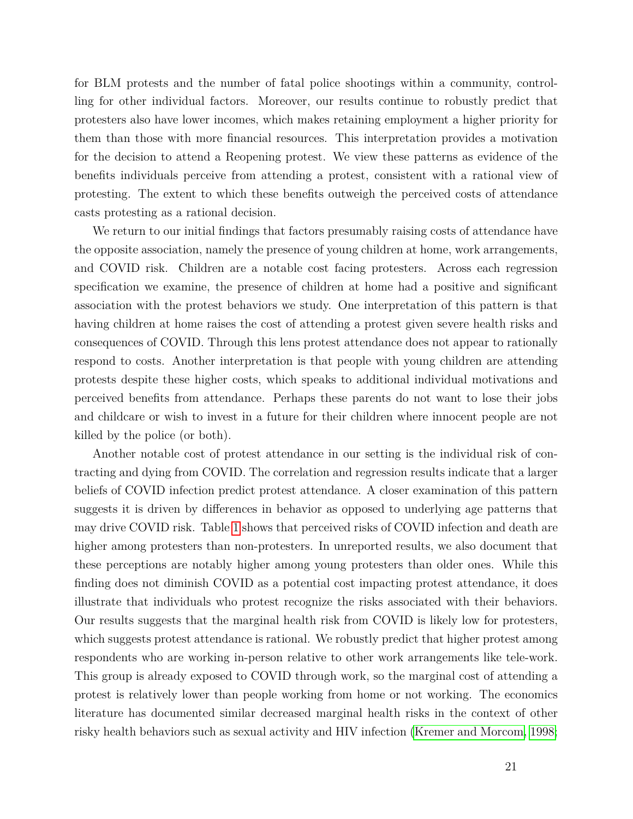for BLM protests and the number of fatal police shootings within a community, controlling for other individual factors. Moreover, our results continue to robustly predict that protesters also have lower incomes, which makes retaining employment a higher priority for them than those with more financial resources. This interpretation provides a motivation for the decision to attend a Reopening protest. We view these patterns as evidence of the benefits individuals perceive from attending a protest, consistent with a rational view of protesting. The extent to which these benefits outweigh the perceived costs of attendance casts protesting as a rational decision.

We return to our initial findings that factors presumably raising costs of attendance have the opposite association, namely the presence of young children at home, work arrangements, and COVID risk. Children are a notable cost facing protesters. Across each regression specification we examine, the presence of children at home had a positive and significant association with the protest behaviors we study. One interpretation of this pattern is that having children at home raises the cost of attending a protest given severe health risks and consequences of COVID. Through this lens protest attendance does not appear to rationally respond to costs. Another interpretation is that people with young children are attending protests despite these higher costs, which speaks to additional individual motivations and perceived benefits from attendance. Perhaps these parents do not want to lose their jobs and childcare or wish to invest in a future for their children where innocent people are not killed by the police (or both).

Another notable cost of protest attendance in our setting is the individual risk of contracting and dying from COVID. The correlation and regression results indicate that a larger beliefs of COVID infection predict protest attendance. A closer examination of this pattern suggests it is driven by differences in behavior as opposed to underlying age patterns that may drive COVID risk. Table [1](#page-37-0) shows that perceived risks of COVID infection and death are higher among protesters than non-protesters. In unreported results, we also document that these perceptions are notably higher among young protesters than older ones. While this finding does not diminish COVID as a potential cost impacting protest attendance, it does illustrate that individuals who protest recognize the risks associated with their behaviors. Our results suggests that the marginal health risk from COVID is likely low for protesters, which suggests protest attendance is rational. We robustly predict that higher protest among respondents who are working in-person relative to other work arrangements like tele-work. This group is already exposed to COVID through work, so the marginal cost of attending a protest is relatively lower than people working from home or not working. The economics literature has documented similar decreased marginal health risks in the context of other risky health behaviors such as sexual activity and HIV infection [\(Kremer and Morcom, 1998;](#page-32-11)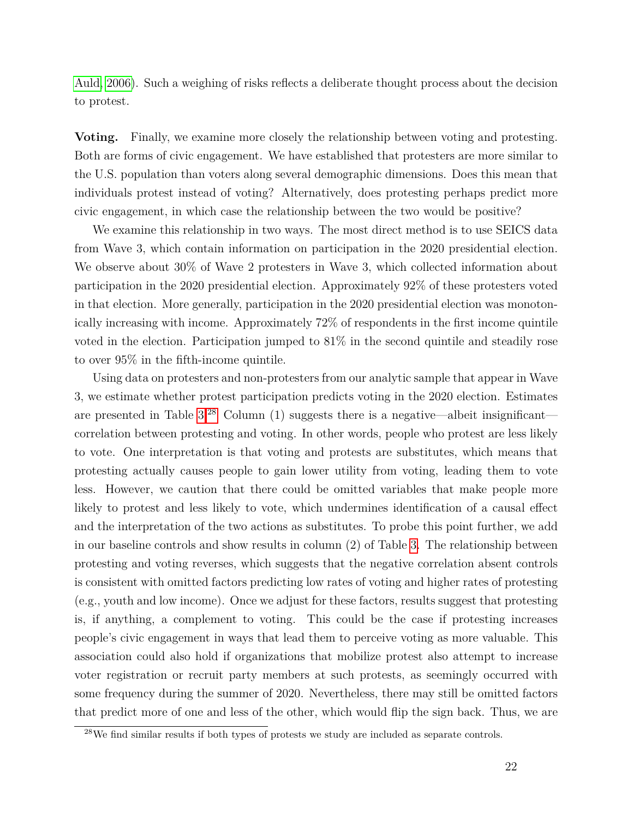[Auld, 2006\)](#page-29-11). Such a weighing of risks reflects a deliberate thought process about the decision to protest.

**Voting.** Finally, we examine more closely the relationship between voting and protesting. Both are forms of civic engagement. We have established that protesters are more similar to the U.S. population than voters along several demographic dimensions. Does this mean that individuals protest instead of voting? Alternatively, does protesting perhaps predict more civic engagement, in which case the relationship between the two would be positive?

We examine this relationship in two ways. The most direct method is to use SEICS data from Wave 3, which contain information on participation in the 2020 presidential election. We observe about 30% of Wave 2 protesters in Wave 3, which collected information about participation in the 2020 presidential election. Approximately 92% of these protesters voted in that election. More generally, participation in the 2020 presidential election was monotonically increasing with income. Approximately 72% of respondents in the first income quintile voted in the election. Participation jumped to 81% in the second quintile and steadily rose to over 95% in the fifth-income quintile.

Using data on protesters and non-protesters from our analytic sample that appear in Wave 3, we estimate whether protest participation predicts voting in the 2020 election. Estimates are presented in Table  $3^{28}$  $3^{28}$  $3^{28}$  Column (1) suggests there is a negative—albeit insignificant correlation between protesting and voting. In other words, people who protest are less likely to vote. One interpretation is that voting and protests are substitutes, which means that protesting actually causes people to gain lower utility from voting, leading them to vote less. However, we caution that there could be omitted variables that make people more likely to protest and less likely to vote, which undermines identification of a causal effect and the interpretation of the two actions as substitutes. To probe this point further, we add in our baseline controls and show results in column (2) of Table [3.](#page-39-0) The relationship between protesting and voting reverses, which suggests that the negative correlation absent controls is consistent with omitted factors predicting low rates of voting and higher rates of protesting (e.g., youth and low income). Once we adjust for these factors, results suggest that protesting is, if anything, a complement to voting. This could be the case if protesting increases people's civic engagement in ways that lead them to perceive voting as more valuable. This association could also hold if organizations that mobilize protest also attempt to increase voter registration or recruit party members at such protests, as seemingly occurred with some frequency during the summer of 2020. Nevertheless, there may still be omitted factors that predict more of one and less of the other, which would flip the sign back. Thus, we are

<span id="page-22-0"></span><sup>28</sup>We find similar results if both types of protests we study are included as separate controls.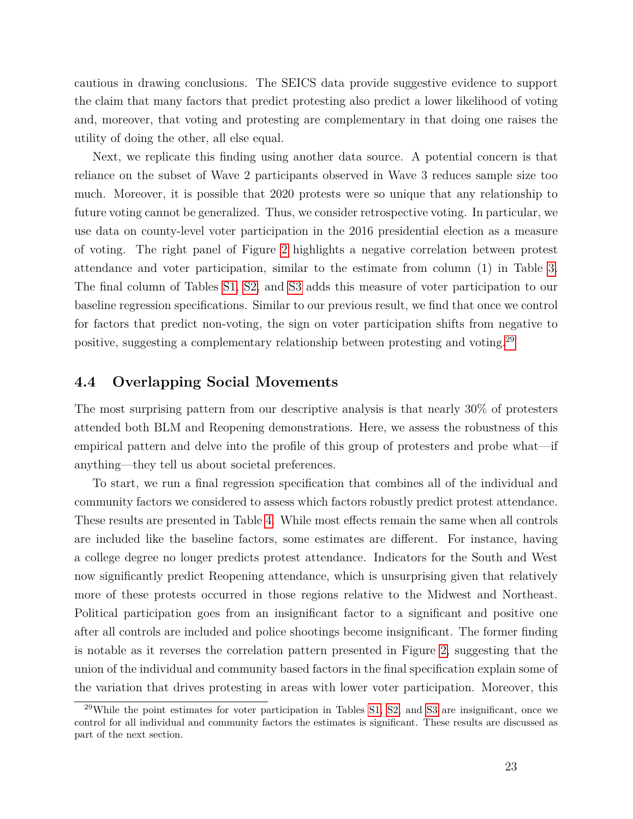cautious in drawing conclusions. The SEICS data provide suggestive evidence to support the claim that many factors that predict protesting also predict a lower likelihood of voting and, moreover, that voting and protesting are complementary in that doing one raises the utility of doing the other, all else equal.

Next, we replicate this finding using another data source. A potential concern is that reliance on the subset of Wave 2 participants observed in Wave 3 reduces sample size too much. Moreover, it is possible that 2020 protests were so unique that any relationship to future voting cannot be generalized. Thus, we consider retrospective voting. In particular, we use data on county-level voter participation in the 2016 presidential election as a measure of voting. The right panel of Figure [2](#page-45-0) highlights a negative correlation between protest attendance and voter participation, similar to the estimate from column (1) in Table [3.](#page-39-0) The final column of Tables [S1,](#page-47-0) [S2,](#page-48-0) and [S3](#page-39-0) adds this measure of voter participation to our baseline regression specifications. Similar to our previous result, we find that once we control for factors that predict non-voting, the sign on voter participation shifts from negative to positive, suggesting a complementary relationship between protesting and voting.[29](#page-23-0)

#### **4.4 Overlapping Social Movements**

The most surprising pattern from our descriptive analysis is that nearly 30% of protesters attended both BLM and Reopening demonstrations. Here, we assess the robustness of this empirical pattern and delve into the profile of this group of protesters and probe what—if anything—they tell us about societal preferences.

To start, we run a final regression specification that combines all of the individual and community factors we considered to assess which factors robustly predict protest attendance. These results are presented in Table [4.](#page-40-0) While most effects remain the same when all controls are included like the baseline factors, some estimates are different. For instance, having a college degree no longer predicts protest attendance. Indicators for the South and West now significantly predict Reopening attendance, which is unsurprising given that relatively more of these protests occurred in those regions relative to the Midwest and Northeast. Political participation goes from an insignificant factor to a significant and positive one after all controls are included and police shootings become insignificant. The former finding is notable as it reverses the correlation pattern presented in Figure [2,](#page-45-0) suggesting that the union of the individual and community based factors in the final specification explain some of the variation that drives protesting in areas with lower voter participation. Moreover, this

<span id="page-23-0"></span> $29$ While the point estimates for voter participation in Tables [S1,](#page-47-0) [S2,](#page-48-0) and [S3](#page-39-0) are insignificant, once we control for all individual and community factors the estimates is significant. These results are discussed as part of the next section.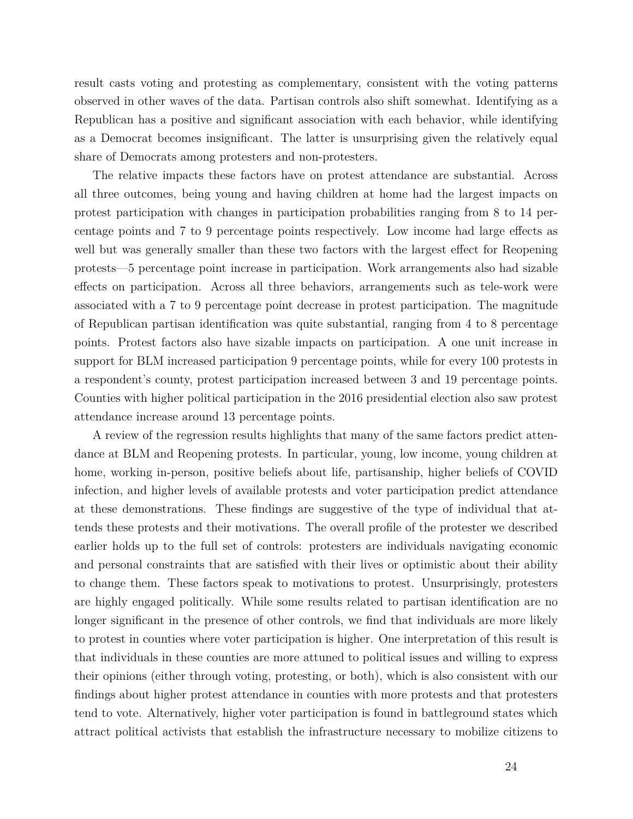result casts voting and protesting as complementary, consistent with the voting patterns observed in other waves of the data. Partisan controls also shift somewhat. Identifying as a Republican has a positive and significant association with each behavior, while identifying as a Democrat becomes insignificant. The latter is unsurprising given the relatively equal share of Democrats among protesters and non-protesters.

The relative impacts these factors have on protest attendance are substantial. Across all three outcomes, being young and having children at home had the largest impacts on protest participation with changes in participation probabilities ranging from 8 to 14 percentage points and 7 to 9 percentage points respectively. Low income had large effects as well but was generally smaller than these two factors with the largest effect for Reopening protests—5 percentage point increase in participation. Work arrangements also had sizable effects on participation. Across all three behaviors, arrangements such as tele-work were associated with a 7 to 9 percentage point decrease in protest participation. The magnitude of Republican partisan identification was quite substantial, ranging from 4 to 8 percentage points. Protest factors also have sizable impacts on participation. A one unit increase in support for BLM increased participation 9 percentage points, while for every 100 protests in a respondent's county, protest participation increased between 3 and 19 percentage points. Counties with higher political participation in the 2016 presidential election also saw protest attendance increase around 13 percentage points.

A review of the regression results highlights that many of the same factors predict attendance at BLM and Reopening protests. In particular, young, low income, young children at home, working in-person, positive beliefs about life, partisanship, higher beliefs of COVID infection, and higher levels of available protests and voter participation predict attendance at these demonstrations. These findings are suggestive of the type of individual that attends these protests and their motivations. The overall profile of the protester we described earlier holds up to the full set of controls: protesters are individuals navigating economic and personal constraints that are satisfied with their lives or optimistic about their ability to change them. These factors speak to motivations to protest. Unsurprisingly, protesters are highly engaged politically. While some results related to partisan identification are no longer significant in the presence of other controls, we find that individuals are more likely to protest in counties where voter participation is higher. One interpretation of this result is that individuals in these counties are more attuned to political issues and willing to express their opinions (either through voting, protesting, or both), which is also consistent with our findings about higher protest attendance in counties with more protests and that protesters tend to vote. Alternatively, higher voter participation is found in battleground states which attract political activists that establish the infrastructure necessary to mobilize citizens to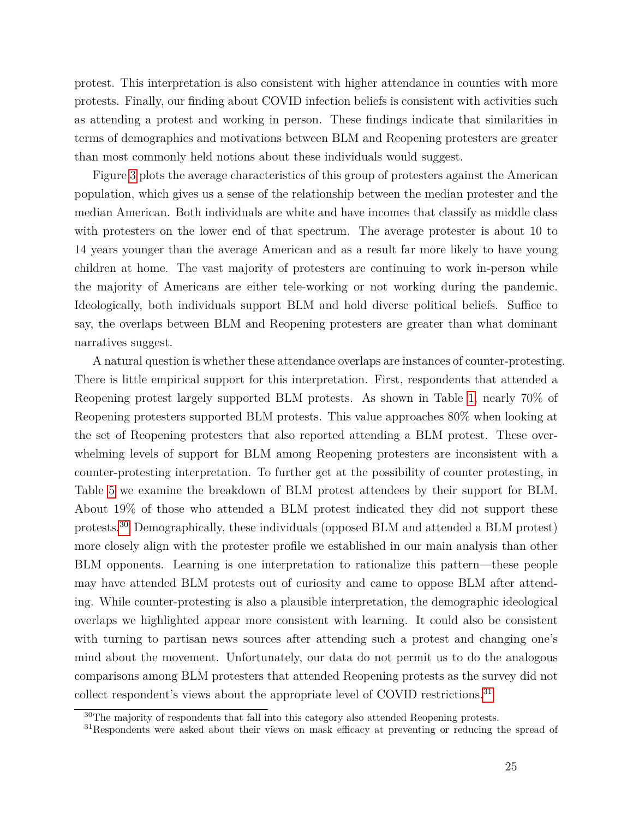protest. This interpretation is also consistent with higher attendance in counties with more protests. Finally, our finding about COVID infection beliefs is consistent with activities such as attending a protest and working in person. These findings indicate that similarities in terms of demographics and motivations between BLM and Reopening protesters are greater than most commonly held notions about these individuals would suggest.

Figure [3](#page-46-0) plots the average characteristics of this group of protesters against the American population, which gives us a sense of the relationship between the median protester and the median American. Both individuals are white and have incomes that classify as middle class with protesters on the lower end of that spectrum. The average protester is about 10 to 14 years younger than the average American and as a result far more likely to have young children at home. The vast majority of protesters are continuing to work in-person while the majority of Americans are either tele-working or not working during the pandemic. Ideologically, both individuals support BLM and hold diverse political beliefs. Suffice to say, the overlaps between BLM and Reopening protesters are greater than what dominant narratives suggest.

A natural question is whether these attendance overlaps are instances of counter-protesting. There is little empirical support for this interpretation. First, respondents that attended a Reopening protest largely supported BLM protests. As shown in Table [1,](#page-37-0) nearly 70% of Reopening protesters supported BLM protests. This value approaches 80% when looking at the set of Reopening protesters that also reported attending a BLM protest. These overwhelming levels of support for BLM among Reopening protesters are inconsistent with a counter-protesting interpretation. To further get at the possibility of counter protesting, in Table [5](#page-43-0) we examine the breakdown of BLM protest attendees by their support for BLM. About 19% of those who attended a BLM protest indicated they did not support these protests.[30](#page-25-0) Demographically, these individuals (opposed BLM and attended a BLM protest) more closely align with the protester profile we established in our main analysis than other BLM opponents. Learning is one interpretation to rationalize this pattern—these people may have attended BLM protests out of curiosity and came to oppose BLM after attending. While counter-protesting is also a plausible interpretation, the demographic ideological overlaps we highlighted appear more consistent with learning. It could also be consistent with turning to partisan news sources after attending such a protest and changing one's mind about the movement. Unfortunately, our data do not permit us to do the analogous comparisons among BLM protesters that attended Reopening protests as the survey did not collect respondent's views about the appropriate level of COVID restrictions.<sup>[31](#page-25-1)</sup>

<span id="page-25-0"></span> $30$ The majority of respondents that fall into this category also attended Reopening protests.

<span id="page-25-1"></span><sup>&</sup>lt;sup>31</sup>Respondents were asked about their views on mask efficacy at preventing or reducing the spread of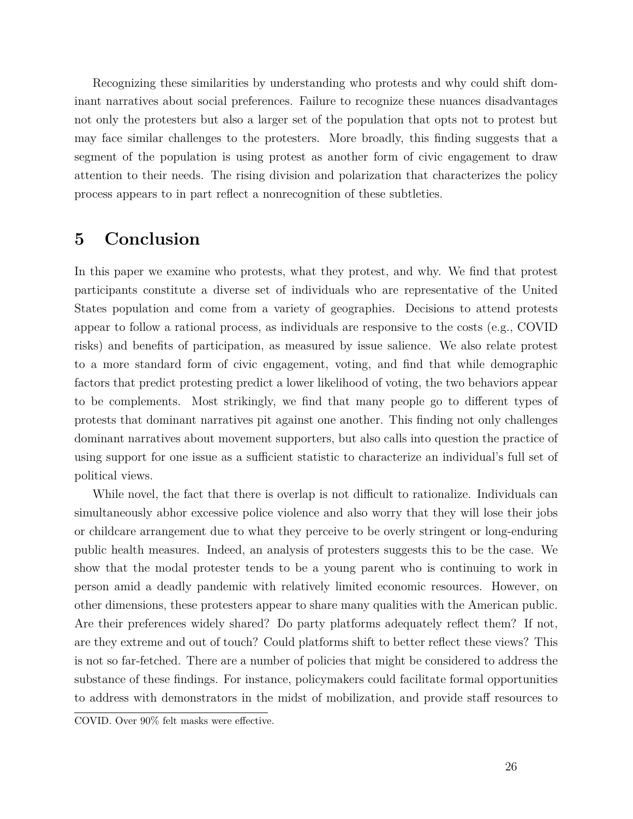Recognizing these similarities by understanding who protests and why could shift dominant narratives about social preferences. Failure to recognize these nuances disadvantages not only the protesters but also a larger set of the population that opts not to protest but may face similar challenges to the protesters. More broadly, this finding suggests that a segment of the population is using protest as another form of civic engagement to draw attention to their needs. The rising division and polarization that characterizes the policy process appears to in part reflect a nonrecognition of these subtleties.

### <span id="page-26-0"></span>**5 Conclusion**

In this paper we examine who protests, what they protest, and why. We find that protest participants constitute a diverse set of individuals who are representative of the United States population and come from a variety of geographies. Decisions to attend protests appear to follow a rational process, as individuals are responsive to the costs (e.g., COVID risks) and benefits of participation, as measured by issue salience. We also relate protest to a more standard form of civic engagement, voting, and find that while demographic factors that predict protesting predict a lower likelihood of voting, the two behaviors appear to be complements. Most strikingly, we find that many people go to different types of protests that dominant narratives pit against one another. This finding not only challenges dominant narratives about movement supporters, but also calls into question the practice of using support for one issue as a sufficient statistic to characterize an individual's full set of political views.

While novel, the fact that there is overlap is not difficult to rationalize. Individuals can simultaneously abhor excessive police violence and also worry that they will lose their jobs or childcare arrangement due to what they perceive to be overly stringent or long-enduring public health measures. Indeed, an analysis of protesters suggests this to be the case. We show that the modal protester tends to be a young parent who is continuing to work in person amid a deadly pandemic with relatively limited economic resources. However, on other dimensions, these protesters appear to share many qualities with the American public. Are their preferences widely shared? Do party platforms adequately reflect them? If not, are they extreme and out of touch? Could platforms shift to better reflect these views? This is not so far-fetched. There are a number of policies that might be considered to address the substance of these findings. For instance, policymakers could facilitate formal opportunities to address with demonstrators in the midst of mobilization, and provide staff resources to

COVID. Over 90% felt masks were effective.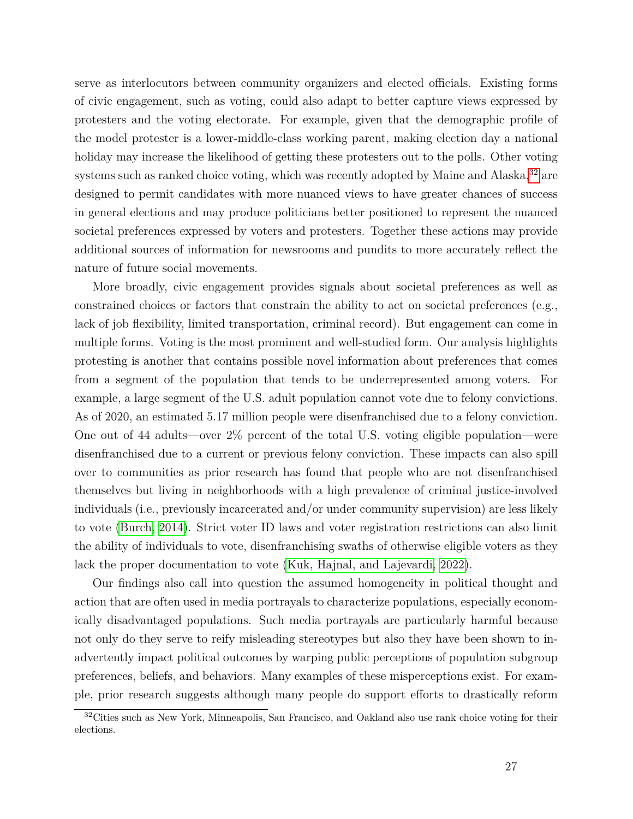serve as interlocutors between community organizers and elected officials. Existing forms of civic engagement, such as voting, could also adapt to better capture views expressed by protesters and the voting electorate. For example, given that the demographic profile of the model protester is a lower-middle-class working parent, making election day a national holiday may increase the likelihood of getting these protesters out to the polls. Other voting systems such as ranked choice voting, which was recently adopted by Maine and Alaska, $32$  are designed to permit candidates with more nuanced views to have greater chances of success in general elections and may produce politicians better positioned to represent the nuanced societal preferences expressed by voters and protesters. Together these actions may provide additional sources of information for newsrooms and pundits to more accurately reflect the nature of future social movements.

More broadly, civic engagement provides signals about societal preferences as well as constrained choices or factors that constrain the ability to act on societal preferences (e.g., lack of job flexibility, limited transportation, criminal record). But engagement can come in multiple forms. Voting is the most prominent and well-studied form. Our analysis highlights protesting is another that contains possible novel information about preferences that comes from a segment of the population that tends to be underrepresented among voters. For example, a large segment of the U.S. adult population cannot vote due to felony convictions. As of 2020, an estimated 5.17 million people were disenfranchised due to a felony conviction. One out of 44 adults—over 2% percent of the total U.S. voting eligible population—were disenfranchised due to a current or previous felony conviction. These impacts can also spill over to communities as prior research has found that people who are not disenfranchised themselves but living in neighborhoods with a high prevalence of criminal justice-involved individuals (i.e., previously incarcerated and/or under community supervision) are less likely to vote [\(Burch, 2014\)](#page-29-12). Strict voter ID laws and voter registration restrictions can also limit the ability of individuals to vote, disenfranchising swaths of otherwise eligible voters as they lack the proper documentation to vote [\(Kuk, Hajnal, and Lajevardi, 2022\)](#page-32-12).

Our findings also call into question the assumed homogeneity in political thought and action that are often used in media portrayals to characterize populations, especially economically disadvantaged populations. Such media portrayals are particularly harmful because not only do they serve to reify misleading stereotypes but also they have been shown to inadvertently impact political outcomes by warping public perceptions of population subgroup preferences, beliefs, and behaviors. Many examples of these misperceptions exist. For example, prior research suggests although many people do support efforts to drastically reform

<span id="page-27-0"></span><sup>&</sup>lt;sup>32</sup>Cities such as New York, Minneapolis, San Francisco, and Oakland also use rank choice voting for their elections.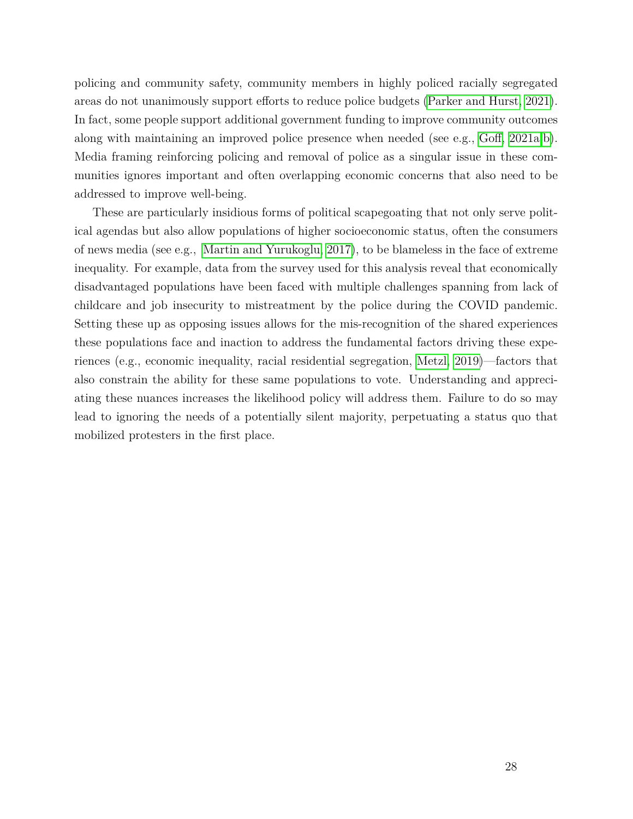policing and community safety, community members in highly policed racially segregated areas do not unanimously support efforts to reduce police budgets [\(Parker and Hurst, 2021\)](#page-34-11). In fact, some people support additional government funding to improve community outcomes along with maintaining an improved police presence when needed (see e.g., [Goff, 2021a](#page-31-12)[,b\)](#page-31-13). Media framing reinforcing policing and removal of police as a singular issue in these communities ignores important and often overlapping economic concerns that also need to be addressed to improve well-being.

These are particularly insidious forms of political scapegoating that not only serve political agendas but also allow populations of higher socioeconomic status, often the consumers of news media (see e.g., [Martin and Yurukoglu, 2017\)](#page-33-11), to be blameless in the face of extreme inequality. For example, data from the survey used for this analysis reveal that economically disadvantaged populations have been faced with multiple challenges spanning from lack of childcare and job insecurity to mistreatment by the police during the COVID pandemic. Setting these up as opposing issues allows for the mis-recognition of the shared experiences these populations face and inaction to address the fundamental factors driving these experiences (e.g., economic inequality, racial residential segregation, [Metzl, 2019\)](#page-34-12)—factors that also constrain the ability for these same populations to vote. Understanding and appreciating these nuances increases the likelihood policy will address them. Failure to do so may lead to ignoring the needs of a potentially silent majority, perpetuating a status quo that mobilized protesters in the first place.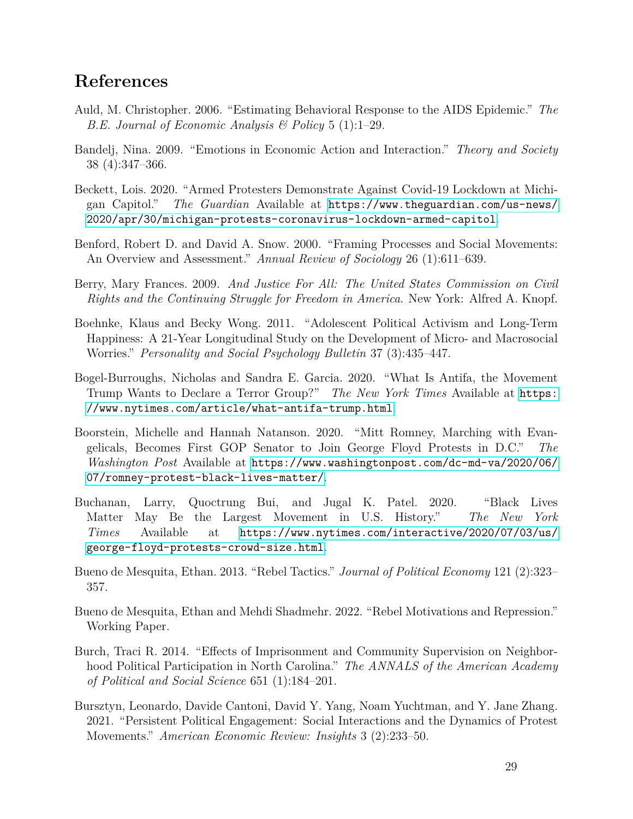## **References**

- <span id="page-29-11"></span>Auld, M. Christopher. 2006. "Estimating Behavioral Response to the AIDS Epidemic." *The B.E. Journal of Economic Analysis & Policy* 5 (1):1–29.
- <span id="page-29-5"></span>Bandelj, Nina. 2009. "Emotions in Economic Action and Interaction." *Theory and Society* 38 (4):347–366.
- <span id="page-29-7"></span>Beckett, Lois. 2020. "Armed Protesters Demonstrate Against Covid-19 Lockdown at Michigan Capitol." *The Guardian* Available at [https://www.theguardian.com/us-news/](https://www.theguardian.com/us-news/2020/apr/30/michigan-protests-coronavirus-lockdown-armed-capitol) [2020/apr/30/michigan-protests-coronavirus-lockdown-armed-capitol](https://www.theguardian.com/us-news/2020/apr/30/michigan-protests-coronavirus-lockdown-armed-capitol).
- <span id="page-29-3"></span>Benford, Robert D. and David A. Snow. 2000. "Framing Processes and Social Movements: An Overview and Assessment." *Annual Review of Sociology* 26 (1):611–639.
- <span id="page-29-1"></span>Berry, Mary Frances. 2009. *And Justice For All: The United States Commission on Civil Rights and the Continuing Struggle for Freedom in America*. New York: Alfred A. Knopf.
- <span id="page-29-10"></span>Boehnke, Klaus and Becky Wong. 2011. "Adolescent Political Activism and Long-Term Happiness: A 21-Year Longitudinal Study on the Development of Micro- and Macrosocial Worries." *Personality and Social Psychology Bulletin* 37 (3):435–447.
- <span id="page-29-0"></span>Bogel-Burroughs, Nicholas and Sandra E. Garcia. 2020. "What Is Antifa, the Movement Trump Wants to Declare a Terror Group?" *The New York Times* Available at [https:](https://www.nytimes.com/article/what-antifa-trump.html) [//www.nytimes.com/article/what-antifa-trump.html](https://www.nytimes.com/article/what-antifa-trump.html).
- <span id="page-29-9"></span>Boorstein, Michelle and Hannah Natanson. 2020. "Mitt Romney, Marching with Evangelicals, Becomes First GOP Senator to Join George Floyd Protests in D.C." *The Washington Post* Available at [https://www.washingtonpost.com/dc-md-va/2020/06/](https://www.washingtonpost.com/dc-md-va/2020/06/07/romney-protest-black-lives-matter/) [07/romney-protest-black-lives-matter/](https://www.washingtonpost.com/dc-md-va/2020/06/07/romney-protest-black-lives-matter/).
- <span id="page-29-8"></span>Buchanan, Larry, Quoctrung Bui, and Jugal K. Patel. 2020. "Black Lives Matter May Be the Largest Movement in U.S. History." *The New York Times* Available at [https://www.nytimes.com/interactive/2020/07/03/us/](https://www.nytimes.com/interactive/2020/07/03/us/george-floyd-protests-crowd-size.html) [george-floyd-protests-crowd-size.html](https://www.nytimes.com/interactive/2020/07/03/us/george-floyd-protests-crowd-size.html).
- <span id="page-29-2"></span>Bueno de Mesquita, Ethan. 2013. "Rebel Tactics." *Journal of Political Economy* 121 (2):323– 357.
- <span id="page-29-4"></span>Bueno de Mesquita, Ethan and Mehdi Shadmehr. 2022. "Rebel Motivations and Repression." Working Paper.
- <span id="page-29-12"></span>Burch, Traci R. 2014. "Effects of Imprisonment and Community Supervision on Neighborhood Political Participation in North Carolina." *The ANNALS of the American Academy of Political and Social Science* 651 (1):184–201.
- <span id="page-29-6"></span>Bursztyn, Leonardo, Davide Cantoni, David Y. Yang, Noam Yuchtman, and Y. Jane Zhang. 2021. "Persistent Political Engagement: Social Interactions and the Dynamics of Protest Movements." *American Economic Review: Insights* 3 (2):233–50.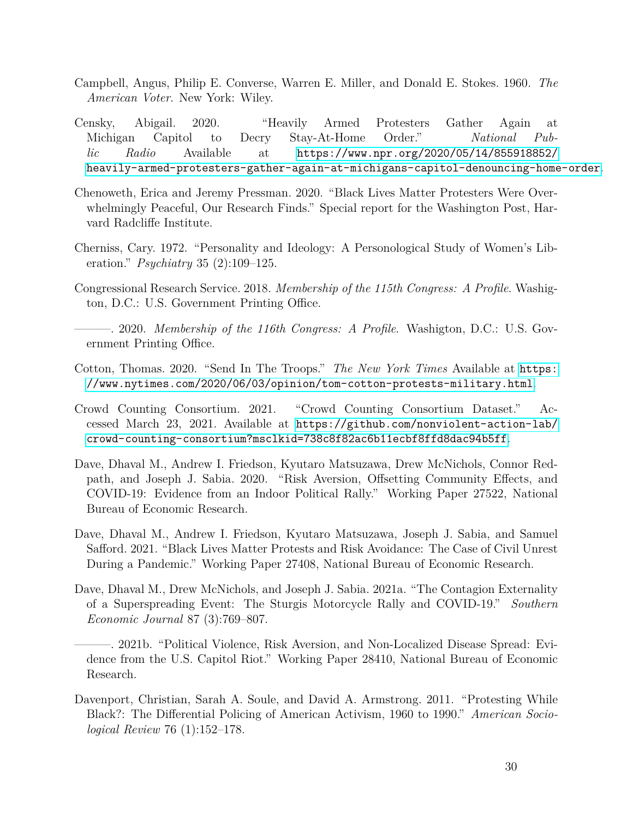- <span id="page-30-2"></span>Campbell, Angus, Philip E. Converse, Warren E. Miller, and Donald E. Stokes. 1960. *The American Voter*. New York: Wiley.
- <span id="page-30-7"></span>Censky, Abigail. 2020. "Heavily Armed Protesters Gather Again at Michigan Capitol to Decry Stay-At-Home Order." *National Public Radio* Available at [https://www.npr.org/2020/05/14/855918852/](https://www.npr.org/2020/05/14/855918852/heavily-armed-protesters-gather-again-at-michigans-capitol-denouncing-home-order) [heavily-armed-protesters-gather-again-at-michigans-capitol-denouncing-home-order](https://www.npr.org/2020/05/14/855918852/heavily-armed-protesters-gather-again-at-michigans-capitol-denouncing-home-order).
- <span id="page-30-8"></span>Chenoweth, Erica and Jeremy Pressman. 2020. "Black Lives Matter Protesters Were Overwhelmingly Peaceful, Our Research Finds." Special report for the Washington Post, Harvard Radcliffe Institute.
- <span id="page-30-12"></span>Cherniss, Cary. 1972. "Personality and Ideology: A Personological Study of Women's Liberation." *Psychiatry* 35 (2):109–125.
- <span id="page-30-10"></span>Congressional Research Service. 2018. *Membership of the 115th Congress: A Profile*. Washigton, D.C.: U.S. Government Printing Office.
- <span id="page-30-11"></span>———. 2020. *Membership of the 116th Congress: A Profile*. Washigton, D.C.: U.S. Government Printing Office.
- <span id="page-30-0"></span>Cotton, Thomas. 2020. "Send In The Troops." *The New York Times* Available at [https:](https://www.nytimes.com/2020/06/03/opinion/tom-cotton-protests-military.html) [//www.nytimes.com/2020/06/03/opinion/tom-cotton-protests-military.html](https://www.nytimes.com/2020/06/03/opinion/tom-cotton-protests-military.html).
- <span id="page-30-9"></span>Crowd Counting Consortium. 2021. "Crowd Counting Consortium Dataset." Accessed March 23, 2021. Available at [https://github.com/nonviolent-action-lab/](https://github.com/nonviolent-action-lab/crowd-counting-consortium?msclkid=738c8f82ac6b11ecbf8ffd8dac94b5ff) [crowd-counting-consortium?msclkid=738c8f82ac6b11ecbf8ffd8dac94b5ff](https://github.com/nonviolent-action-lab/crowd-counting-consortium?msclkid=738c8f82ac6b11ecbf8ffd8dac94b5ff).
- <span id="page-30-3"></span>Dave, Dhaval M., Andrew I. Friedson, Kyutaro Matsuzawa, Drew McNichols, Connor Redpath, and Joseph J. Sabia. 2020. "Risk Aversion, Offsetting Community Effects, and COVID-19: Evidence from an Indoor Political Rally." Working Paper 27522, National Bureau of Economic Research.
- <span id="page-30-4"></span>Dave, Dhaval M., Andrew I. Friedson, Kyutaro Matsuzawa, Joseph J. Sabia, and Samuel Safford. 2021. "Black Lives Matter Protests and Risk Avoidance: The Case of Civil Unrest During a Pandemic." Working Paper 27408, National Bureau of Economic Research.
- <span id="page-30-6"></span><span id="page-30-5"></span>Dave, Dhaval M., Drew McNichols, and Joseph J. Sabia. 2021a. "The Contagion Externality of a Superspreading Event: The Sturgis Motorcycle Rally and COVID-19." *Southern Economic Journal* 87 (3):769–807.
	- ———. 2021b. "Political Violence, Risk Aversion, and Non-Localized Disease Spread: Evidence from the U.S. Capitol Riot." Working Paper 28410, National Bureau of Economic Research.
- <span id="page-30-1"></span>Davenport, Christian, Sarah A. Soule, and David A. Armstrong. 2011. "Protesting While Black?: The Differential Policing of American Activism, 1960 to 1990." *American Sociological Review* 76 (1):152–178.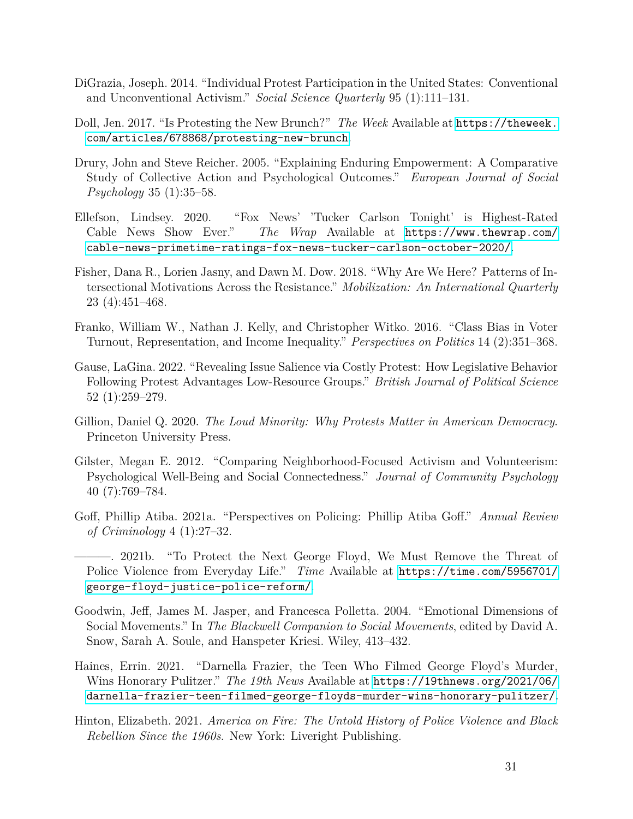- <span id="page-31-7"></span>DiGrazia, Joseph. 2014. "Individual Protest Participation in the United States: Conventional and Unconventional Activism." *Social Science Quarterly* 95 (1):111–131.
- <span id="page-31-3"></span>Doll, Jen. 2017. "Is Protesting the New Brunch?" *The Week* Available at [https://theweek.](https://theweek.com/articles/678868/protesting-new-brunch) [com/articles/678868/protesting-new-brunch](https://theweek.com/articles/678868/protesting-new-brunch).
- <span id="page-31-10"></span>Drury, John and Steve Reicher. 2005. "Explaining Enduring Empowerment: A Comparative Study of Collective Action and Psychological Outcomes." *European Journal of Social Psychology* 35 (1):35–58.
- <span id="page-31-5"></span>Ellefson, Lindsey. 2020. "Fox News' 'Tucker Carlson Tonight' is Highest-Rated Cable News Show Ever." *The Wrap* Available at [https://www.thewrap.com/](https://www.thewrap.com/cable-news-primetime-ratings-fox-news-tucker-carlson-october-2020/) [cable-news-primetime-ratings-fox-news-tucker-carlson-october-2020/](https://www.thewrap.com/cable-news-primetime-ratings-fox-news-tucker-carlson-october-2020/).
- <span id="page-31-8"></span>Fisher, Dana R., Lorien Jasny, and Dawn M. Dow. 2018. "Why Are We Here? Patterns of Intersectional Motivations Across the Resistance." *Mobilization: An International Quarterly* 23 (4):451–468.
- <span id="page-31-4"></span>Franko, William W., Nathan J. Kelly, and Christopher Witko. 2016. "Class Bias in Voter Turnout, Representation, and Income Inequality." *Perspectives on Politics* 14 (2):351–368.
- <span id="page-31-0"></span>Gause, LaGina. 2022. "Revealing Issue Salience via Costly Protest: How Legislative Behavior Following Protest Advantages Low-Resource Groups." *British Journal of Political Science* 52 (1):259–279.
- <span id="page-31-1"></span>Gillion, Daniel Q. 2020. *The Loud Minority: Why Protests Matter in American Democracy*. Princeton University Press.
- <span id="page-31-11"></span>Gilster, Megan E. 2012. "Comparing Neighborhood-Focused Activism and Volunteerism: Psychological Well-Being and Social Connectedness." *Journal of Community Psychology* 40 (7):769–784.
- <span id="page-31-12"></span>Goff, Phillip Atiba. 2021a. "Perspectives on Policing: Phillip Atiba Goff." *Annual Review of Criminology* 4 (1):27–32.
- <span id="page-31-13"></span>———. 2021b. "To Protect the Next George Floyd, We Must Remove the Threat of Police Violence from Everyday Life." *Time* Available at [https://time.com/5956701/](https://time.com/5956701/george-floyd-justice-police-reform/) [george-floyd-justice-police-reform/](https://time.com/5956701/george-floyd-justice-police-reform/).
- <span id="page-31-6"></span>Goodwin, Jeff, James M. Jasper, and Francesca Polletta. 2004. "Emotional Dimensions of Social Movements." In *The Blackwell Companion to Social Movements*, edited by David A. Snow, Sarah A. Soule, and Hanspeter Kriesi. Wiley, 413–432.
- <span id="page-31-9"></span>Haines, Errin. 2021. "Darnella Frazier, the Teen Who Filmed George Floyd's Murder, Wins Honorary Pulitzer." *The 19th News* Available at [https://19thnews.org/2021/06/](https://19thnews.org/2021/06/darnella-frazier-teen-filmed-george-floyds-murder-wins-honorary-pulitzer/) [darnella-frazier-teen-filmed-george-floyds-murder-wins-honorary-pulitzer/](https://19thnews.org/2021/06/darnella-frazier-teen-filmed-george-floyds-murder-wins-honorary-pulitzer/).
- <span id="page-31-2"></span>Hinton, Elizabeth. 2021. *America on Fire: The Untold History of Police Violence and Black Rebellion Since the 1960s*. New York: Liveright Publishing.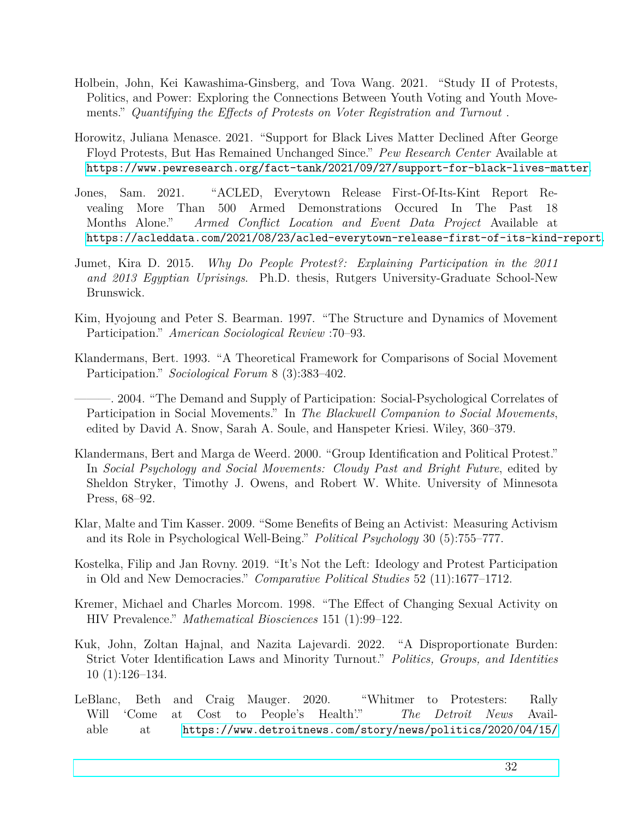- <span id="page-32-1"></span>Holbein, John, Kei Kawashima-Ginsberg, and Tova Wang. 2021. "Study II of Protests, Politics, and Power: Exploring the Connections Between Youth Voting and Youth Movements." *Quantifying the Effects of Protests on Voter Registration and Turnout* .
- <span id="page-32-2"></span>Horowitz, Juliana Menasce. 2021. "Support for Black Lives Matter Declined After George Floyd Protests, But Has Remained Unchanged Since." *Pew Research Center* Available at [https://www.pewresearch.org/fact-tank/2021/09/27/support-for-black-lives-matter](https://www.pewresearch.org/fact-tank/2021/09/27/support-for-black-lives-matter-declined-after-george-floyd-protests-but-has-remained-unchanged-since/).
- <span id="page-32-0"></span>Jones, Sam. 2021. "ACLED, Everytown Release First-Of-Its-Kint Report Revealing More Than 500 Armed Demonstrations Occured In The Past 18 Months Alone." *Armed Conflict Location and Event Data Project* Available at [https://acleddata.com/2021/08/23/acled-everytown-release-first-of-its-kind-report](https://acleddata.com/2021/08/23/acled-everytown-release-first-of-its-kind-report-revealing-more-than-500-armed-demonstrations-occurred-in-the-past-18-months-alone/).
- <span id="page-32-8"></span>Jumet, Kira D. 2015. *Why Do People Protest?: Explaining Participation in the 2011 and 2013 Egyptian Uprisings*. Ph.D. thesis, Rutgers University-Graduate School-New Brunswick.
- <span id="page-32-6"></span>Kim, Hyojoung and Peter S. Bearman. 1997. "The Structure and Dynamics of Movement Participation." *American Sociological Review* :70–93.
- <span id="page-32-7"></span>Klandermans, Bert. 1993. "A Theoretical Framework for Comparisons of Social Movement Participation." *Sociological Forum* 8 (3):383–402.
- <span id="page-32-3"></span>———. 2004. "The Demand and Supply of Participation: Social-Psychological Correlates of Participation in Social Movements." In *The Blackwell Companion to Social Movements*, edited by David A. Snow, Sarah A. Soule, and Hanspeter Kriesi. Wiley, 360–379.
- <span id="page-32-5"></span>Klandermans, Bert and Marga de Weerd. 2000. "Group Identification and Political Protest." In *Social Psychology and Social Movements: Cloudy Past and Bright Future*, edited by Sheldon Stryker, Timothy J. Owens, and Robert W. White. University of Minnesota Press, 68–92.
- <span id="page-32-10"></span>Klar, Malte and Tim Kasser. 2009. "Some Benefits of Being an Activist: Measuring Activism and its Role in Psychological Well-Being." *Political Psychology* 30 (5):755–777.
- <span id="page-32-4"></span>Kostelka, Filip and Jan Rovny. 2019. "It's Not the Left: Ideology and Protest Participation in Old and New Democracies." *Comparative Political Studies* 52 (11):1677–1712.
- <span id="page-32-11"></span>Kremer, Michael and Charles Morcom. 1998. "The Effect of Changing Sexual Activity on HIV Prevalence." *Mathematical Biosciences* 151 (1):99–122.
- <span id="page-32-12"></span>Kuk, John, Zoltan Hajnal, and Nazita Lajevardi. 2022. "A Disproportionate Burden: Strict Voter Identification Laws and Minority Turnout." *Politics, Groups, and Identities* 10 (1):126–134.
- <span id="page-32-9"></span>LeBlanc, Beth and Craig Mauger. 2020. "Whitmer to Protesters: Rally Will 'Come at Cost to People's Health'." *The Detroit News* Available at [https://www.detroitnews.com/story/news/politics/2020/04/15/](https://www.detroitnews.com/story/news/politics/2020/04/15/stay-home-protest-michigan-capitol-opposition-whitmer-order-coronavirus/2989230001/)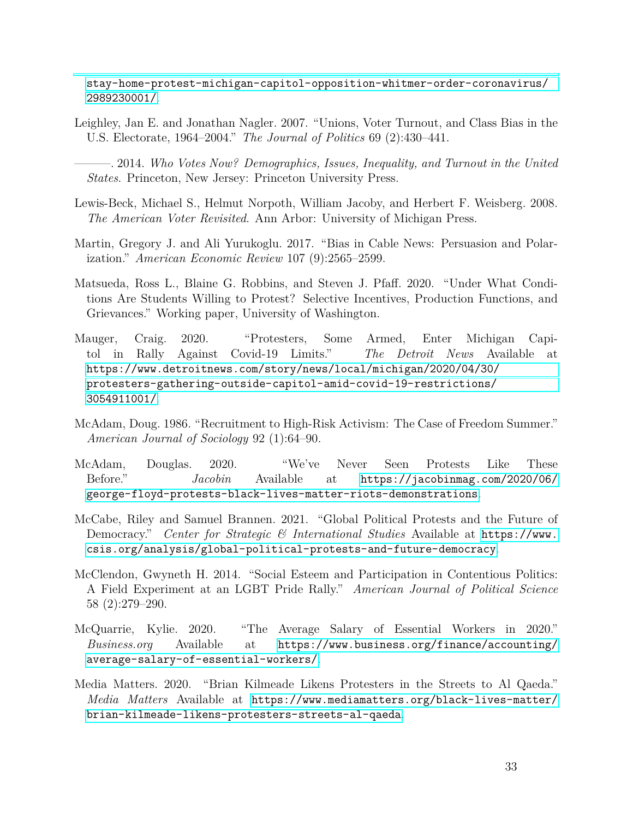[stay-home-protest-michigan-capitol-opposition-whitmer-order-coronavirus/](https://www.detroitnews.com/story/news/politics/2020/04/15/stay-home-protest-michigan-capitol-opposition-whitmer-order-coronavirus/2989230001/) [2989230001/](https://www.detroitnews.com/story/news/politics/2020/04/15/stay-home-protest-michigan-capitol-opposition-whitmer-order-coronavirus/2989230001/).

<span id="page-33-3"></span>Leighley, Jan E. and Jonathan Nagler. 2007. "Unions, Voter Turnout, and Class Bias in the U.S. Electorate, 1964–2004." *The Journal of Politics* 69 (2):430–441.

<span id="page-33-2"></span>———. 2014. *Who Votes Now? Demographics, Issues, Inequality, and Turnout in the United States*. Princeton, New Jersey: Princeton University Press.

- <span id="page-33-1"></span>Lewis-Beck, Michael S., Helmut Norpoth, William Jacoby, and Herbert F. Weisberg. 2008. *The American Voter Revisited*. Ann Arbor: University of Michigan Press.
- <span id="page-33-11"></span>Martin, Gregory J. and Ali Yurukoglu. 2017. "Bias in Cable News: Persuasion and Polarization." *American Economic Review* 107 (9):2565–2599.
- <span id="page-33-5"></span>Matsueda, Ross L., Blaine G. Robbins, and Steven J. Pfaff. 2020. "Under What Conditions Are Students Willing to Protest? Selective Incentives, Production Functions, and Grievances." Working paper, University of Washington.
- <span id="page-33-9"></span>Mauger, Craig. 2020. "Protesters, Some Armed, Enter Michigan Capitol in Rally Against Covid-19 Limits." *The Detroit News* Available at [https://www.detroitnews.com/story/news/local/michigan/2020/04/30/](https://www.detroitnews.com/story/news/local/michigan/2020/04/30/protesters-gathering-outside-capitol-amid-covid-19-restrictions/3054911001/) [protesters-gathering-outside-capitol-amid-covid-19-restrictions/](https://www.detroitnews.com/story/news/local/michigan/2020/04/30/protesters-gathering-outside-capitol-amid-covid-19-restrictions/3054911001/) [3054911001/](https://www.detroitnews.com/story/news/local/michigan/2020/04/30/protesters-gathering-outside-capitol-amid-covid-19-restrictions/3054911001/).
- <span id="page-33-6"></span>McAdam, Doug. 1986. "Recruitment to High-Risk Activism: The Case of Freedom Summer." *American Journal of Sociology* 92 (1):64–90.
- <span id="page-33-7"></span>McAdam, Douglas. 2020. "We've Never Seen Protests Like These Before." *Jacobin* Available at [https://jacobinmag.com/2020/06/](https://jacobinmag.com/2020/06/george-floyd-protests-black-lives-matter-riots-demonstrations) [george-floyd-protests-black-lives-matter-riots-demonstrations](https://jacobinmag.com/2020/06/george-floyd-protests-black-lives-matter-riots-demonstrations).
- <span id="page-33-8"></span>McCabe, Riley and Samuel Brannen. 2021. "Global Political Protests and the Future of Democracy." *Center for Strategic & International Studies* Available at [https://www.](https://www.csis.org/analysis/global-political-protests-and-future-democracy) [csis.org/analysis/global-political-protests-and-future-democracy](https://www.csis.org/analysis/global-political-protests-and-future-democracy).
- <span id="page-33-4"></span>McClendon, Gwyneth H. 2014. "Social Esteem and Participation in Contentious Politics: A Field Experiment at an LGBT Pride Rally." *American Journal of Political Science* 58 (2):279–290.
- <span id="page-33-10"></span>McQuarrie, Kylie. 2020. "The Average Salary of Essential Workers in 2020." *Business.org* Available at [https://www.business.org/finance/accounting/](https://www.business.org/finance/accounting/average-salary-of-essential-workers/) [average-salary-of-essential-workers/](https://www.business.org/finance/accounting/average-salary-of-essential-workers/).
- <span id="page-33-0"></span>Media Matters. 2020. "Brian Kilmeade Likens Protesters in the Streets to Al Qaeda." *Media Matters* Available at [https://www.mediamatters.org/black-lives-matter/](https://www.mediamatters.org/black-lives-matter/brian-kilmeade-likens-protesters-streets-al-qaeda) [brian-kilmeade-likens-protesters-streets-al-qaeda](https://www.mediamatters.org/black-lives-matter/brian-kilmeade-likens-protesters-streets-al-qaeda).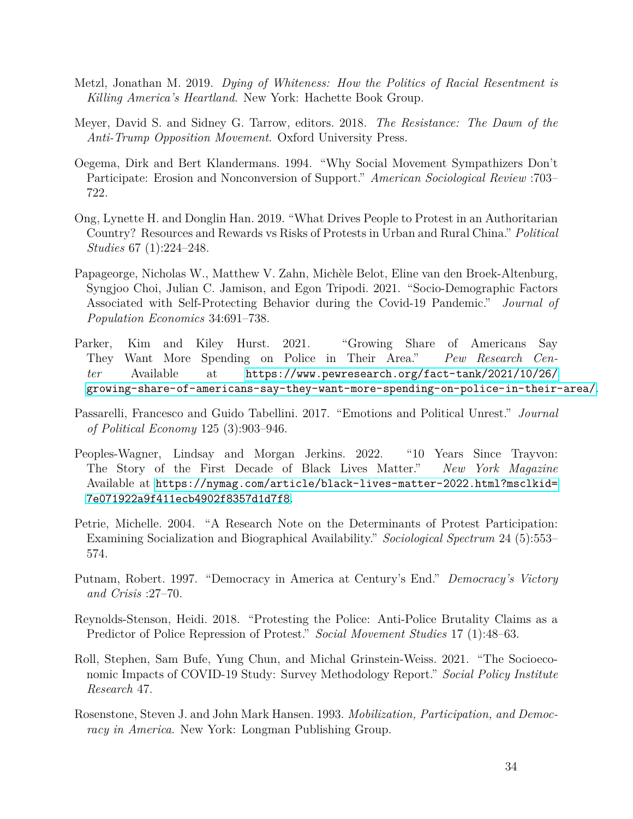- <span id="page-34-12"></span>Metzl, Jonathan M. 2019. *Dying of Whiteness: How the Politics of Racial Resentment is Killing America's Heartland*. New York: Hachette Book Group.
- <span id="page-34-8"></span>Meyer, David S. and Sidney G. Tarrow, editors. 2018. *The Resistance: The Dawn of the Anti-Trump Opposition Movement*. Oxford University Press.
- <span id="page-34-4"></span>Oegema, Dirk and Bert Klandermans. 1994. "Why Social Movement Sympathizers Don't Participate: Erosion and Nonconversion of Support." *American Sociological Review* :703– 722.
- <span id="page-34-7"></span>Ong, Lynette H. and Donglin Han. 2019. "What Drives People to Protest in an Authoritarian Country? Resources and Rewards vs Risks of Protests in Urban and Rural China." *Political Studies* 67 (1):224–248.
- <span id="page-34-10"></span>Papageorge, Nicholas W., Matthew V. Zahn, Michèle Belot, Eline van den Broek-Altenburg, Syngjoo Choi, Julian C. Jamison, and Egon Tripodi. 2021. "Socio-Demographic Factors Associated with Self-Protecting Behavior during the Covid-19 Pandemic." *Journal of Population Economics* 34:691–738.
- <span id="page-34-11"></span>Parker, Kim and Kiley Hurst. 2021. "Growing Share of Americans Say They Want More Spending on Police in Their Area." *Pew Research Center* Available at [https://www.pewresearch.org/fact-tank/2021/10/26/](https://www.pewresearch.org/fact-tank/2021/10/26/growing-share-of-americans-say-they-want-more-spending-on-police-in-their-area/) [growing-share-of-americans-say-they-want-more-spending-on-police-in-their-area/](https://www.pewresearch.org/fact-tank/2021/10/26/growing-share-of-americans-say-they-want-more-spending-on-police-in-their-area/).
- <span id="page-34-5"></span>Passarelli, Francesco and Guido Tabellini. 2017. "Emotions and Political Unrest." *Journal of Political Economy* 125 (3):903–946.
- <span id="page-34-1"></span>Peoples-Wagner, Lindsay and Morgan Jerkins. 2022. "10 Years Since Trayvon: The Story of the First Decade of Black Lives Matter." *New York Magazine* Available at [https://nymag.com/article/black-lives-matter-2022.html?msclkid=](https://nymag.com/article/black-lives-matter-2022.html?msclkid=7e071922a9f411ecb4902f8357d1d7f8) [7e071922a9f411ecb4902f8357d1d7f8](https://nymag.com/article/black-lives-matter-2022.html?msclkid=7e071922a9f411ecb4902f8357d1d7f8).
- <span id="page-34-6"></span>Petrie, Michelle. 2004. "A Research Note on the Determinants of Protest Participation: Examining Socialization and Biographical Availability." *Sociological Spectrum* 24 (5):553– 574.
- <span id="page-34-0"></span>Putnam, Robert. 1997. "Democracy in America at Century's End." *Democracy's Victory and Crisis* :27–70.
- <span id="page-34-2"></span>Reynolds-Stenson, Heidi. 2018. "Protesting the Police: Anti-Police Brutality Claims as a Predictor of Police Repression of Protest." *Social Movement Studies* 17 (1):48–63.
- <span id="page-34-9"></span>Roll, Stephen, Sam Bufe, Yung Chun, and Michal Grinstein-Weiss. 2021. "The Socioeconomic Impacts of COVID-19 Study: Survey Methodology Report." *Social Policy Institute Research* 47.
- <span id="page-34-3"></span>Rosenstone, Steven J. and John Mark Hansen. 1993. *Mobilization, Participation, and Democracy in America*. New York: Longman Publishing Group.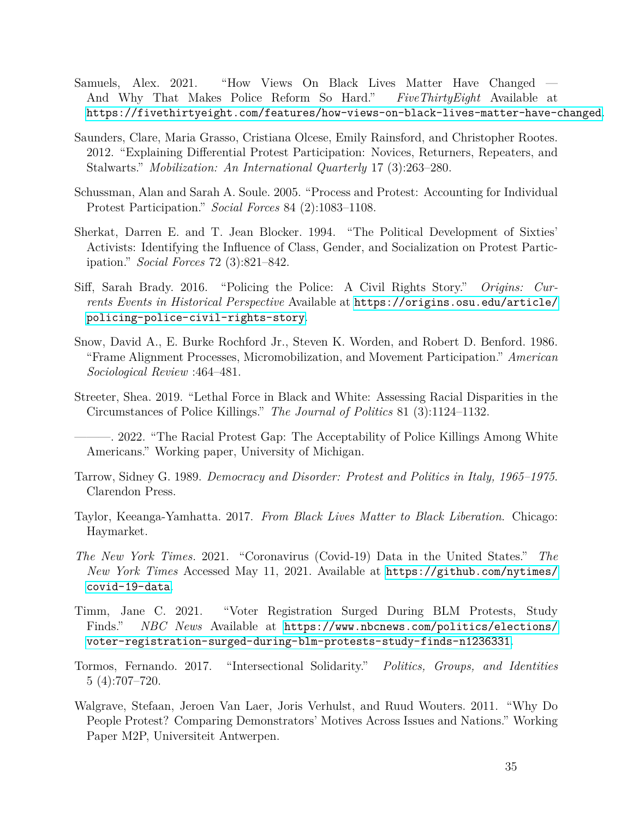- <span id="page-35-6"></span>Samuels, Alex. 2021. "How Views On Black Lives Matter Have Changed — And Why That Makes Police Reform So Hard." *FiveThirtyEight* Available at [https://fivethirtyeight.com/features/how-views-on-black-lives-matter-have-changed](https://fivethirtyeight.com/features/how-views-on-black-lives-matter-have-changed-and-why-that-makes-police-reform-so-hard/).
- <span id="page-35-11"></span>Saunders, Clare, Maria Grasso, Cristiana Olcese, Emily Rainsford, and Christopher Rootes. 2012. "Explaining Differential Protest Participation: Novices, Returners, Repeaters, and Stalwarts." *Mobilization: An International Quarterly* 17 (3):263–280.
- <span id="page-35-10"></span>Schussman, Alan and Sarah A. Soule. 2005. "Process and Protest: Accounting for Individual Protest Participation." *Social Forces* 84 (2):1083–1108.
- <span id="page-35-12"></span>Sherkat, Darren E. and T. Jean Blocker. 1994. "The Political Development of Sixties' Activists: Identifying the Influence of Class, Gender, and Socialization on Protest Participation." *Social Forces* 72 (3):821–842.
- <span id="page-35-2"></span>Siff, Sarah Brady. 2016. "Policing the Police: A Civil Rights Story." *Origins: Currents Events in Historical Perspective* Available at [https://origins.osu.edu/article/](https://origins.osu.edu/article/policing-police-civil-rights-story) [policing-police-civil-rights-story](https://origins.osu.edu/article/policing-police-civil-rights-story).
- <span id="page-35-7"></span>Snow, David A., E. Burke Rochford Jr., Steven K. Worden, and Robert D. Benford. 1986. "Frame Alignment Processes, Micromobilization, and Movement Participation." *American Sociological Review* :464–481.
- <span id="page-35-3"></span>Streeter, Shea. 2019. "Lethal Force in Black and White: Assessing Racial Disparities in the Circumstances of Police Killings." *The Journal of Politics* 81 (3):1124–1132.

- <span id="page-35-0"></span>Tarrow, Sidney G. 1989. *Democracy and Disorder: Protest and Politics in Italy, 1965–1975*. Clarendon Press.
- <span id="page-35-1"></span>Taylor, Keeanga-Yamhatta. 2017. *From Black Lives Matter to Black Liberation*. Chicago: Haymarket.
- <span id="page-35-13"></span>*The New York Times*. 2021. "Coronavirus (Covid-19) Data in the United States." *The New York Times* Accessed May 11, 2021. Available at [https://github.com/nytimes/](https://github.com/nytimes/covid-19-data) [covid-19-data](https://github.com/nytimes/covid-19-data).
- <span id="page-35-5"></span>Timm, Jane C. 2021. "Voter Registration Surged During BLM Protests, Study Finds." *NBC News* Available at [https://www.nbcnews.com/politics/elections/](https://www.nbcnews.com/politics/elections/voter-registration-surged-during-blm-protests-study-finds-n1236331) [voter-registration-surged-during-blm-protests-study-finds-n1236331](https://www.nbcnews.com/politics/elections/voter-registration-surged-during-blm-protests-study-finds-n1236331).
- <span id="page-35-9"></span>Tormos, Fernando. 2017. "Intersectional Solidarity." *Politics, Groups, and Identities* 5 (4):707–720.
- <span id="page-35-8"></span>Walgrave, Stefaan, Jeroen Van Laer, Joris Verhulst, and Ruud Wouters. 2011. "Why Do People Protest? Comparing Demonstrators' Motives Across Issues and Nations." Working Paper M2P, Universiteit Antwerpen.

<span id="page-35-4"></span><sup>–. 2022. &</sup>quot;The Racial Protest Gap: The Acceptability of Police Killings Among White Americans." Working paper, University of Michigan.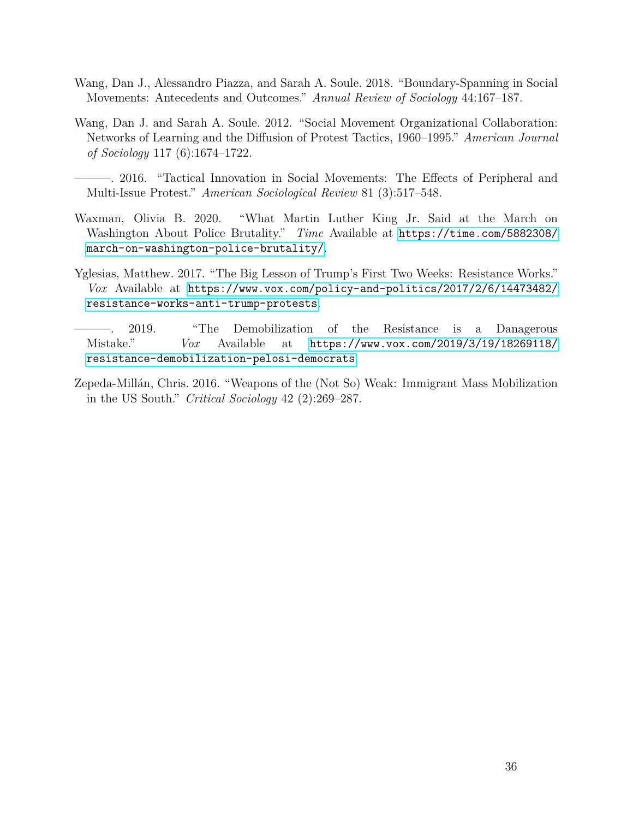- <span id="page-36-5"></span>Wang, Dan J., Alessandro Piazza, and Sarah A. Soule. 2018. "Boundary-Spanning in Social Movements: Antecedents and Outcomes." *Annual Review of Sociology* 44:167–187.
- <span id="page-36-3"></span>Wang, Dan J. and Sarah A. Soule. 2012. "Social Movement Organizational Collaboration: Networks of Learning and the Diffusion of Protest Tactics, 1960–1995." *American Journal of Sociology* 117 (6):1674–1722.
- <span id="page-36-4"></span>———. 2016. "Tactical Innovation in Social Movements: The Effects of Peripheral and Multi-Issue Protest." *American Sociological Review* 81 (3):517–548.
- <span id="page-36-0"></span>Waxman, Olivia B. 2020. "What Martin Luther King Jr. Said at the March on Washington About Police Brutality." *Time* Available at [https://time.com/5882308/](https://time.com/5882308/march-on-washington-police-brutality/) [march-on-washington-police-brutality/](https://time.com/5882308/march-on-washington-police-brutality/).
- <span id="page-36-1"></span>Yglesias, Matthew. 2017. "The Big Lesson of Trump's First Two Weeks: Resistance Works." *Vox* Available at [https://www.vox.com/policy-and-politics/2017/2/6/14473482/](https://www.vox.com/policy-and-politics/2017/2/6/14473482/resistance-works-anti-trump-protests) [resistance-works-anti-trump-protests](https://www.vox.com/policy-and-politics/2017/2/6/14473482/resistance-works-anti-trump-protests).
- <span id="page-36-2"></span>———. 2019. "The Demobilization of the Resistance is a Danagerous Mistake." *Vox* Available at [https://www.vox.com/2019/3/19/18269118/](https://www.vox.com/2019/3/19/18269118/resistance-demobilization-pelosi-democrats) [resistance-demobilization-pelosi-democrats](https://www.vox.com/2019/3/19/18269118/resistance-demobilization-pelosi-democrats).
- <span id="page-36-6"></span>Zepeda-Millán, Chris. 2016. "Weapons of the (Not So) Weak: Immigrant Mass Mobilization in the US South." *Critical Sociology* 42 (2):269–287.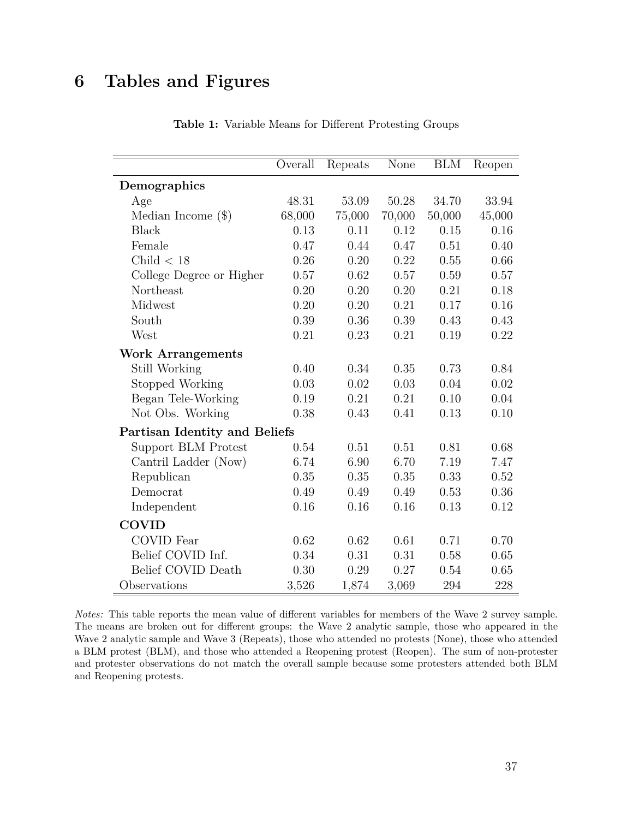# <span id="page-37-0"></span>**6 Tables and Figures**

|                               | Overall | Repeats | None   | <b>BLM</b> | Reopen |
|-------------------------------|---------|---------|--------|------------|--------|
| Demographics                  |         |         |        |            |        |
| Age                           | 48.31   | 53.09   | 50.28  | 34.70      | 33.94  |
| Median Income $(\$)$          | 68,000  | 75,000  | 70,000 | 50,000     | 45,000 |
| <b>Black</b>                  | 0.13    | 0.11    | 0.12   | 0.15       | 0.16   |
| Female                        | 0.47    | 0.44    | 0.47   | 0.51       | 0.40   |
| Child $< 18$                  | 0.26    | 0.20    | 0.22   | 0.55       | 0.66   |
| College Degree or Higher      | 0.57    | 0.62    | 0.57   | 0.59       | 0.57   |
| Northeast                     | 0.20    | 0.20    | 0.20   | 0.21       | 0.18   |
| Midwest                       | 0.20    | 0.20    | 0.21   | 0.17       | 0.16   |
| South                         | 0.39    | 0.36    | 0.39   | 0.43       | 0.43   |
| West                          | 0.21    | 0.23    | 0.21   | 0.19       | 0.22   |
| <b>Work Arrangements</b>      |         |         |        |            |        |
| Still Working                 | 0.40    | 0.34    | 0.35   | 0.73       | 0.84   |
| Stopped Working               | 0.03    | 0.02    | 0.03   | 0.04       | 0.02   |
| Began Tele-Working            | 0.19    | 0.21    | 0.21   | 0.10       | 0.04   |
| Not Obs. Working              | 0.38    | 0.43    | 0.41   | 0.13       | 0.10   |
| Partisan Identity and Beliefs |         |         |        |            |        |
| Support BLM Protest           | 0.54    | 0.51    | 0.51   | 0.81       | 0.68   |
| Cantril Ladder (Now)          | 6.74    | 6.90    | 6.70   | 7.19       | 7.47   |
| Republican                    | 0.35    | 0.35    | 0.35   | 0.33       | 0.52   |
| Democrat                      | 0.49    | 0.49    | 0.49   | 0.53       | 0.36   |
| Independent                   | 0.16    | 0.16    | 0.16   | 0.13       | 0.12   |
| <b>COVID</b>                  |         |         |        |            |        |
| <b>COVID</b> Fear             | 0.62    | 0.62    | 0.61   | 0.71       | 0.70   |
| Belief COVID Inf.             | 0.34    | 0.31    | 0.31   | 0.58       | 0.65   |
| Belief COVID Death            | 0.30    | 0.29    | 0.27   | 0.54       | 0.65   |
| Observations                  | 3,526   | 1,874   | 3,069  | 294        | 228    |

**Table 1:** Variable Means for Different Protesting Groups

*Notes:* This table reports the mean value of different variables for members of the Wave 2 survey sample. The means are broken out for different groups: the Wave 2 analytic sample, those who appeared in the Wave 2 analytic sample and Wave 3 (Repeats), those who attended no protests (None), those who attended a BLM protest (BLM), and those who attended a Reopening protest (Reopen). The sum of non-protester and protester observations do not match the overall sample because some protesters attended both BLM and Reopening protests.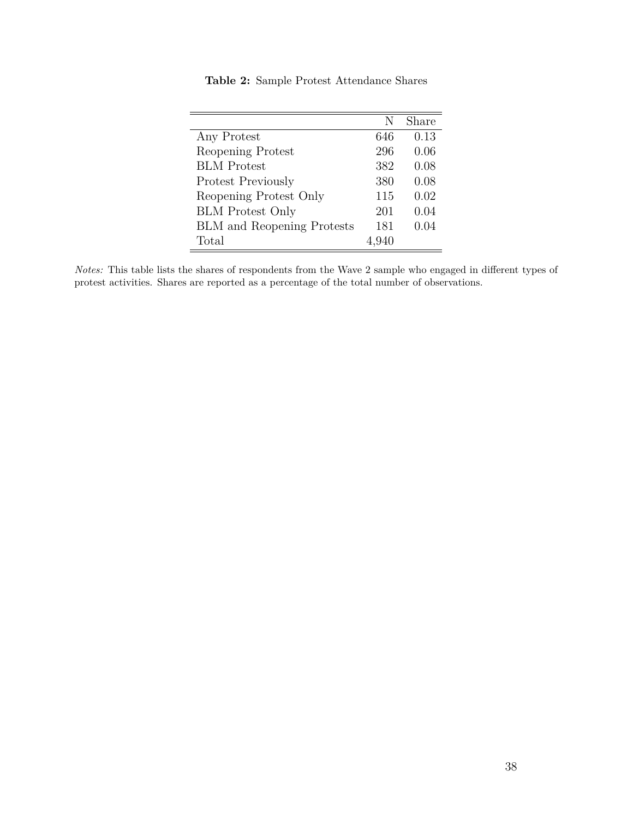<span id="page-38-0"></span>

|                                   | N     | Share |
|-----------------------------------|-------|-------|
|                                   |       |       |
| Any Protest                       | 646   | 0.13  |
| Reopening Protest                 | 296   | 0.06  |
| <b>BLM</b> Protest                | 382   | 0.08  |
| <b>Protest Previously</b>         | 380   | 0.08  |
| Reopening Protest Only            | 115   | 0.02  |
| <b>BLM</b> Protest Only           | 201   | 0.04  |
| <b>BLM</b> and Reopening Protests | 181   | 0.04  |
| Total                             | 4,940 |       |

**Table 2:** Sample Protest Attendance Shares

*Notes:* This table lists the shares of respondents from the Wave 2 sample who engaged in different types of protest activities. Shares are reported as a percentage of the total number of observations.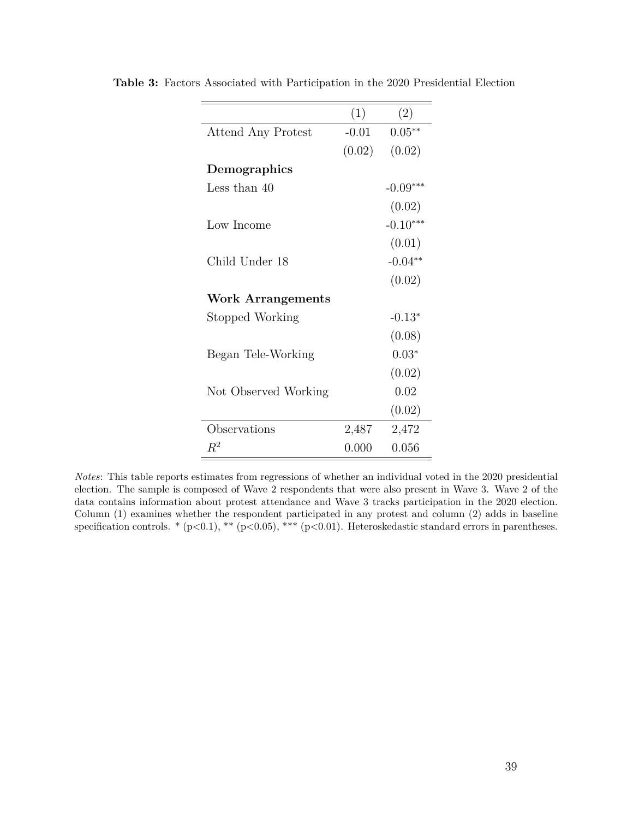|                          | (1)     | (2)        |
|--------------------------|---------|------------|
| Attend Any Protest       | $-0.01$ | $0.05**$   |
|                          | (0.02)  | (0.02)     |
| Demographics             |         |            |
| Less than 40             |         | $-0.09***$ |
|                          |         | (0.02)     |
| Low Income               |         | $-0.10***$ |
|                          |         | (0.01)     |
| Child Under 18           |         | $-0.04**$  |
|                          |         | (0.02)     |
| <b>Work Arrangements</b> |         |            |
| Stopped Working          |         | $-0.13*$   |
|                          |         | (0.08)     |
| Began Tele-Working       |         | $0.03*$    |
|                          |         | (0.02)     |
| Not Observed Working     |         | 0.02       |
|                          |         | (0.02)     |
| Observations             | 2,487   | 2,472      |
| $R^2$                    | 0.000   | 0.056      |

<span id="page-39-0"></span>**Table 3:** Factors Associated with Participation in the 2020 Presidential Election

*Notes*: This table reports estimates from regressions of whether an individual voted in the 2020 presidential election. The sample is composed of Wave 2 respondents that were also present in Wave 3. Wave 2 of the data contains information about protest attendance and Wave 3 tracks participation in the 2020 election. Column (1) examines whether the respondent participated in any protest and column (2) adds in baseline specification controls. \* (p<0.1), \*\* (p<0.05), \*\*\* (p<0.01). Heteroskedastic standard errors in parentheses.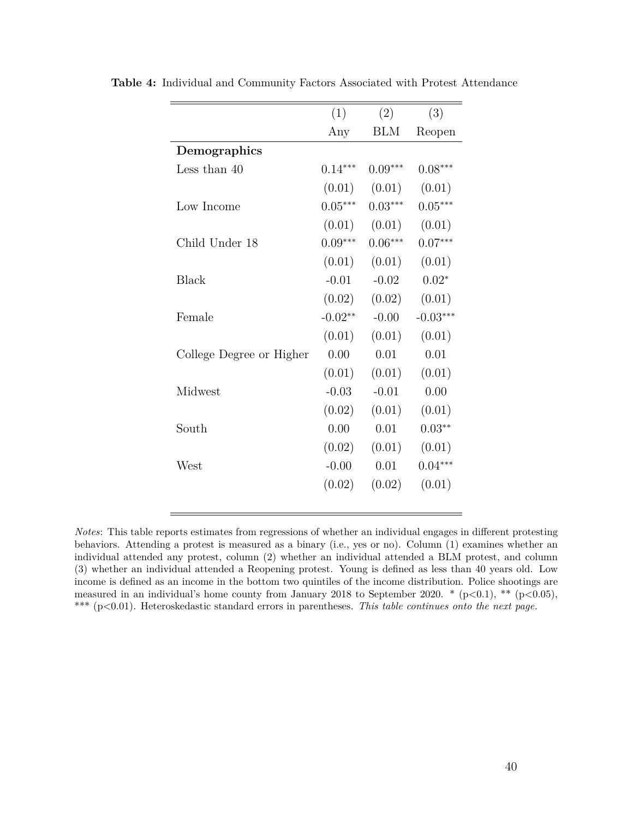|                          | (1)       | (2)        | (3)        |
|--------------------------|-----------|------------|------------|
|                          | Any       | <b>BLM</b> | Reopen     |
| Demographics             |           |            |            |
| Less than $40$           | $0.14***$ | $0.09***$  | $0.08***$  |
|                          | (0.01)    | (0.01)     | (0.01)     |
| Low Income               | $0.05***$ | $0.03***$  | $0.05***$  |
|                          | (0.01)    | (0.01)     | (0.01)     |
| Child Under 18           | $0.09***$ | $0.06***$  | $0.07***$  |
|                          | (0.01)    | (0.01)     | (0.01)     |
| <b>Black</b>             | $-0.01$   | $-0.02$    | $0.02*$    |
|                          | (0.02)    | (0.02)     | (0.01)     |
| Female                   | $-0.02**$ | $-0.00$    | $-0.03***$ |
|                          | (0.01)    | (0.01)     | (0.01)     |
| College Degree or Higher | 0.00      | 0.01       | 0.01       |
|                          | (0.01)    | (0.01)     | (0.01)     |
| Midwest                  | $-0.03$   | $-0.01$    | 0.00       |
|                          | (0.02)    | (0.01)     | (0.01)     |
| South                    | 0.00      | 0.01       | $0.03**$   |
|                          | (0.02)    | (0.01)     | (0.01)     |
| West                     | $-0.00$   | 0.01       | $0.04***$  |
|                          | (0.02)    | (0.02)     | (0.01)     |
|                          |           |            |            |

<span id="page-40-0"></span>**Table 4:** Individual and Community Factors Associated with Protest Attendance

*Notes*: This table reports estimates from regressions of whether an individual engages in different protesting behaviors. Attending a protest is measured as a binary (i.e., yes or no). Column (1) examines whether an individual attended any protest, column (2) whether an individual attended a BLM protest, and column (3) whether an individual attended a Reopening protest. Young is defined as less than 40 years old. Low income is defined as an income in the bottom two quintiles of the income distribution. Police shootings are measured in an individual's home county from January 2018 to September 2020. \* (p*<*0.1), \*\* (p*<*0.05), \*\*\* (p*<*0.01). Heteroskedastic standard errors in parentheses. *This table continues onto the next page.*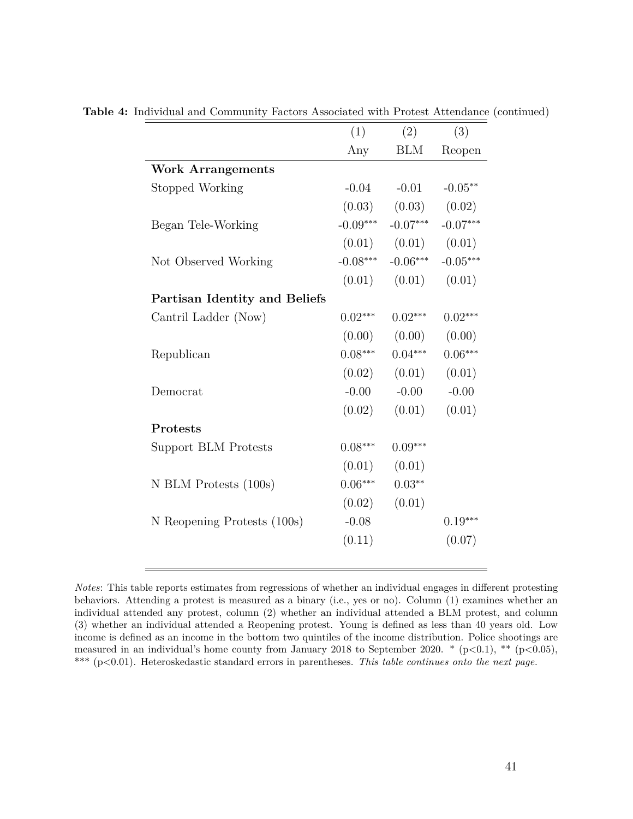|                               | (1)        | (2)        | (3)        |
|-------------------------------|------------|------------|------------|
|                               | Any        | <b>BLM</b> | Reopen     |
| <b>Work Arrangements</b>      |            |            |            |
| Stopped Working               | $-0.04$    | $-0.01$    | $-0.05**$  |
|                               | (0.03)     | (0.03)     | (0.02)     |
| Began Tele-Working            | $-0.09***$ | $-0.07***$ | $-0.07***$ |
|                               | (0.01)     | (0.01)     | (0.01)     |
| Not Observed Working          | $-0.08***$ | $-0.06***$ | $-0.05***$ |
|                               | (0.01)     | (0.01)     | (0.01)     |
| Partisan Identity and Beliefs |            |            |            |
| Cantril Ladder (Now)          | $0.02***$  | $0.02***$  | $0.02***$  |
|                               | (0.00)     | (0.00)     | (0.00)     |
| Republican                    | $0.08***$  | $0.04***$  | $0.06***$  |
|                               | (0.02)     | (0.01)     | (0.01)     |
| Democrat                      | $-0.00$    | $-0.00$    | $-0.00$    |
|                               | (0.02)     | (0.01)     | (0.01)     |
| Protests                      |            |            |            |
| Support BLM Protests          | $0.08***$  | $0.09***$  |            |
|                               | (0.01)     | (0.01)     |            |
| N BLM Protests (100s)         | $0.06***$  | $0.03**$   |            |
|                               | (0.02)     | (0.01)     |            |
| N Reopening Protests (100s)   | $-0.08$    |            | $0.19***$  |
|                               | (0.11)     |            | (0.07)     |
|                               |            |            |            |

**Table 4:** Individual and Community Factors Associated with Protest Attendance (continued)

*Notes*: This table reports estimates from regressions of whether an individual engages in different protesting behaviors. Attending a protest is measured as a binary (i.e., yes or no). Column (1) examines whether an individual attended any protest, column (2) whether an individual attended a BLM protest, and column (3) whether an individual attended a Reopening protest. Young is defined as less than 40 years old. Low income is defined as an income in the bottom two quintiles of the income distribution. Police shootings are measured in an individual's home county from January 2018 to September 2020. \* (p*<*0.1), \*\* (p*<*0.05), \*\*\* (p*<*0.01). Heteroskedastic standard errors in parentheses. *This table continues onto the next page.*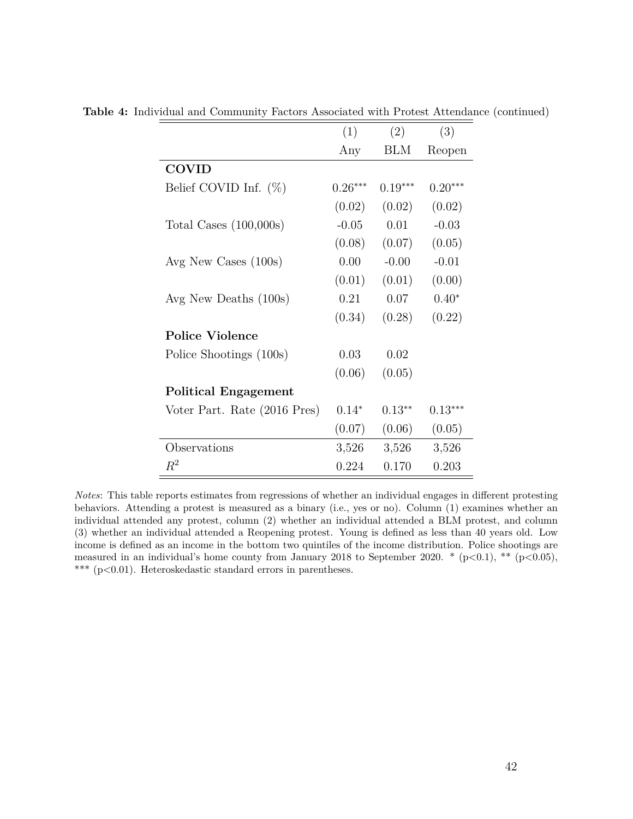|                              | (1)       | (2)       | (3)       |
|------------------------------|-----------|-----------|-----------|
|                              | Any       | BLM       | Reopen    |
| <b>COVID</b>                 |           |           |           |
| Belief COVID Inf. $(\%)$     | $0.26***$ | $0.19***$ | $0.20***$ |
|                              | (0.02)    | (0.02)    | (0.02)    |
| Total Cases $(100,000s)$     | $-0.05$   | 0.01      | $-0.03$   |
|                              | (0.08)    | (0.07)    | (0.05)    |
| Avg New Cases $(100s)$       | 0.00      | $-0.00$   | $-0.01$   |
|                              | (0.01)    | (0.01)    | (0.00)    |
| Avg New Deaths (100s)        | 0.21      | 0.07      | $0.40*$   |
|                              | (0.34)    | (0.28)    | (0.22)    |
| <b>Police Violence</b>       |           |           |           |
| Police Shootings (100s)      | 0.03      | 0.02      |           |
|                              | (0.06)    | (0.05)    |           |
| <b>Political Engagement</b>  |           |           |           |
| Voter Part. Rate (2016 Pres) | $0.14*$   | $0.13**$  | $0.13***$ |
|                              | (0.07)    | (0.06)    | (0.05)    |
| Observations                 | 3,526     | 3,526     | 3,526     |
| $\,R^2$                      | 0.224     | 0.170     | 0.203     |

**Table 4:** Individual and Community Factors Associated with Protest Attendance (continued)

*Notes*: This table reports estimates from regressions of whether an individual engages in different protesting behaviors. Attending a protest is measured as a binary (i.e., yes or no). Column (1) examines whether an individual attended any protest, column (2) whether an individual attended a BLM protest, and column (3) whether an individual attended a Reopening protest. Young is defined as less than 40 years old. Low income is defined as an income in the bottom two quintiles of the income distribution. Police shootings are measured in an individual's home county from January 2018 to September 2020. \* (p*<*0.1), \*\* (p*<*0.05), \*\*\* (p*<*0.01). Heteroskedastic standard errors in parentheses.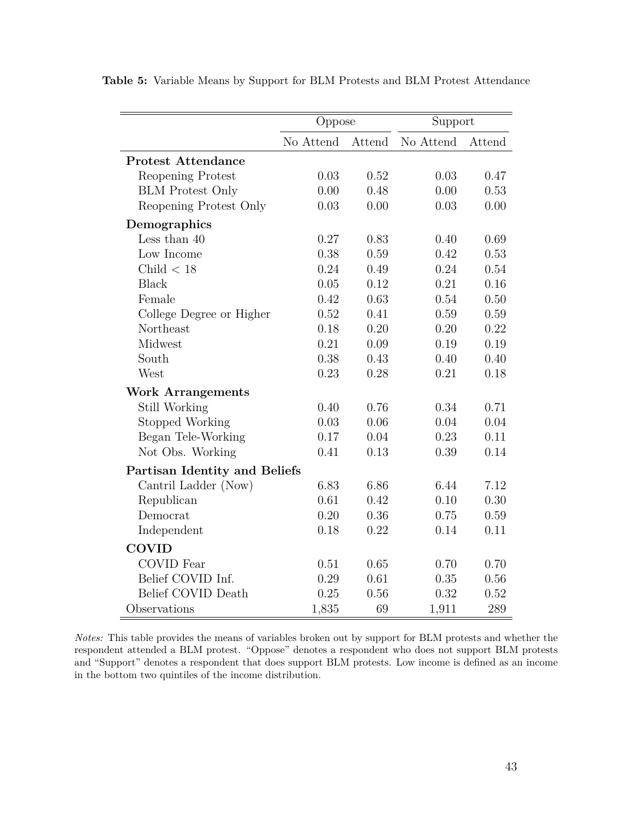|                               | Oppose    |          | Support   |        |  |
|-------------------------------|-----------|----------|-----------|--------|--|
|                               | No Attend | Attend   | No Attend | Attend |  |
| <b>Protest Attendance</b>     |           |          |           |        |  |
| Reopening Protest             | 0.03      | 0.52     | 0.03      | 0.47   |  |
| <b>BLM</b> Protest Only       | 0.00      | 0.48     | 0.00      | 0.53   |  |
| Reopening Protest Only        | 0.03      | 0.00     | 0.03      | 0.00   |  |
| Demographics                  |           |          |           |        |  |
| Less than $40$                | 0.27      | 0.83     | 0.40      | 0.69   |  |
| Low Income                    | 0.38      | 0.59     | 0.42      | 0.53   |  |
| Child $<$ 18                  | 0.24      | 0.49     | 0.24      | 0.54   |  |
| <b>Black</b>                  | 0.05      | $0.12\,$ | 0.21      | 0.16   |  |
| Female                        | 0.42      | 0.63     | 0.54      | 0.50   |  |
| College Degree or Higher      | 0.52      | 0.41     | 0.59      | 0.59   |  |
| Northeast                     | 0.18      | 0.20     | 0.20      | 0.22   |  |
| Midwest                       | 0.21      | 0.09     | 0.19      | 0.19   |  |
| South                         | 0.38      | 0.43     | 0.40      | 0.40   |  |
| West                          | 0.23      | 0.28     | 0.21      | 0.18   |  |
| <b>Work Arrangements</b>      |           |          |           |        |  |
| Still Working                 | 0.40      | 0.76     | 0.34      | 0.71   |  |
| Stopped Working               | 0.03      | 0.06     | 0.04      | 0.04   |  |
| Began Tele-Working            | 0.17      | 0.04     | 0.23      | 0.11   |  |
| Not Obs. Working              | 0.41      | 0.13     | 0.39      | 0.14   |  |
| Partisan Identity and Beliefs |           |          |           |        |  |
| Cantril Ladder (Now)          | 6.83      | 6.86     | 6.44      | 7.12   |  |
| Republican                    | 0.61      | 0.42     | 0.10      | 0.30   |  |
| Democrat                      | 0.20      | 0.36     | 0.75      | 0.59   |  |
| Independent                   | 0.18      | 0.22     | 0.14      | 0.11   |  |
| <b>COVID</b>                  |           |          |           |        |  |
| <b>COVID</b> Fear             | 0.51      | 0.65     | 0.70      | 0.70   |  |
| Belief COVID Inf.             | 0.29      | 0.61     | 0.35      | 0.56   |  |
| Belief COVID Death            | 0.25      | 0.56     | 0.32      | 0.52   |  |
| Observations                  | 1,835     | 69       | 1,911     | 289    |  |

<span id="page-43-0"></span>**Table 5:** Variable Means by Support for BLM Protests and BLM Protest Attendance

*Notes:* This table provides the means of variables broken out by support for BLM protests and whether the respondent attended a BLM protest. "Oppose" denotes a respondent who does not support BLM protests and "Support" denotes a respondent that does support BLM protests. Low income is defined as an income in the bottom two quintiles of the income distribution.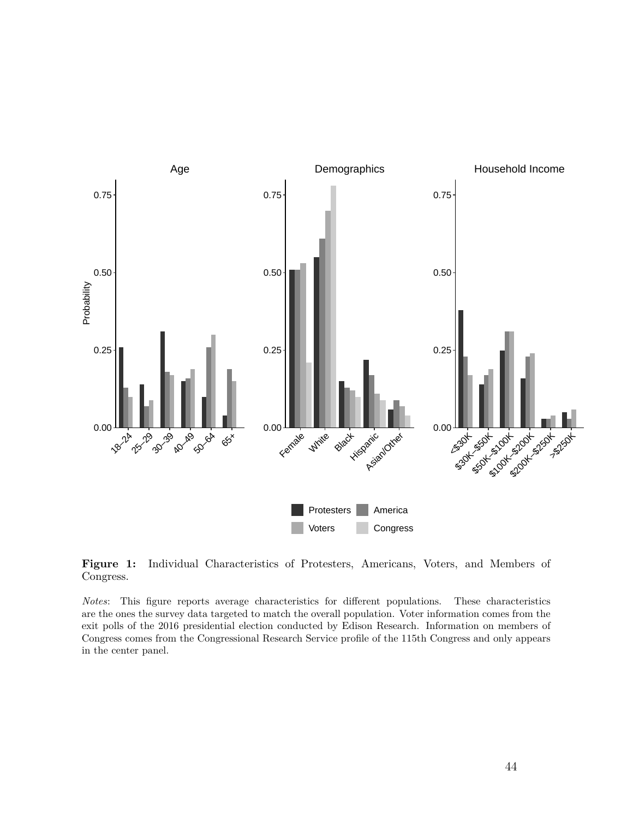<span id="page-44-0"></span>

**Figure 1:** Individual Characteristics of Protesters, Americans, Voters, and Members of Congress.

*Notes*: This figure reports average characteristics for different populations. These characteristics are the ones the survey data targeted to match the overall population. Voter information comes from the exit polls of the 2016 presidential election conducted by Edison Research. Information on members of Congress comes from the Congressional Research Service profile of the 115th Congress and only appears in the center panel.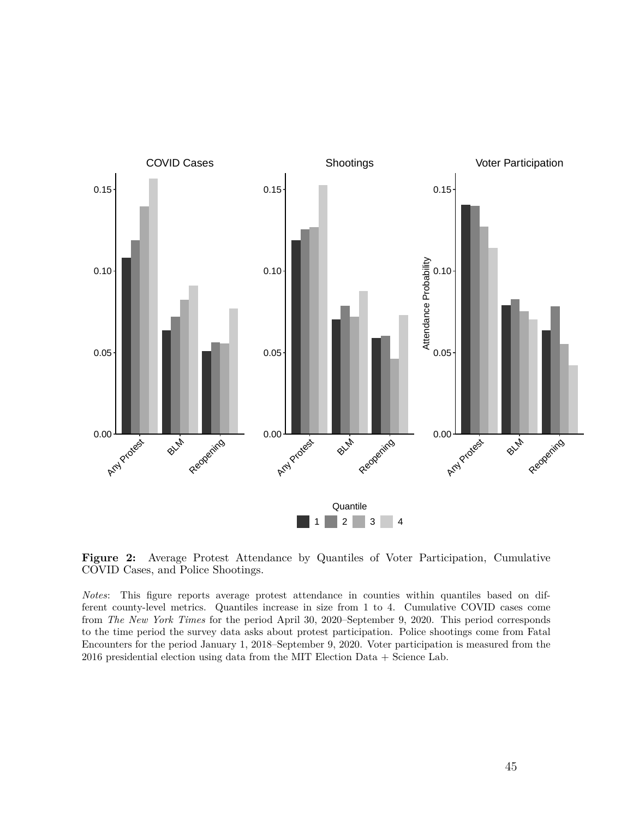<span id="page-45-0"></span>

**Figure 2:** Average Protest Attendance by Quantiles of Voter Participation, Cumulative COVID Cases, and Police Shootings.

*Notes*: This figure reports average protest attendance in counties within quantiles based on different county-level metrics. Quantiles increase in size from 1 to 4. Cumulative COVID cases come from *The New York Times* for the period April 30, 2020–September 9, 2020. This period corresponds to the time period the survey data asks about protest participation. Police shootings come from Fatal Encounters for the period January 1, 2018–September 9, 2020. Voter participation is measured from the 2016 presidential election using data from the MIT Election Data + Science Lab.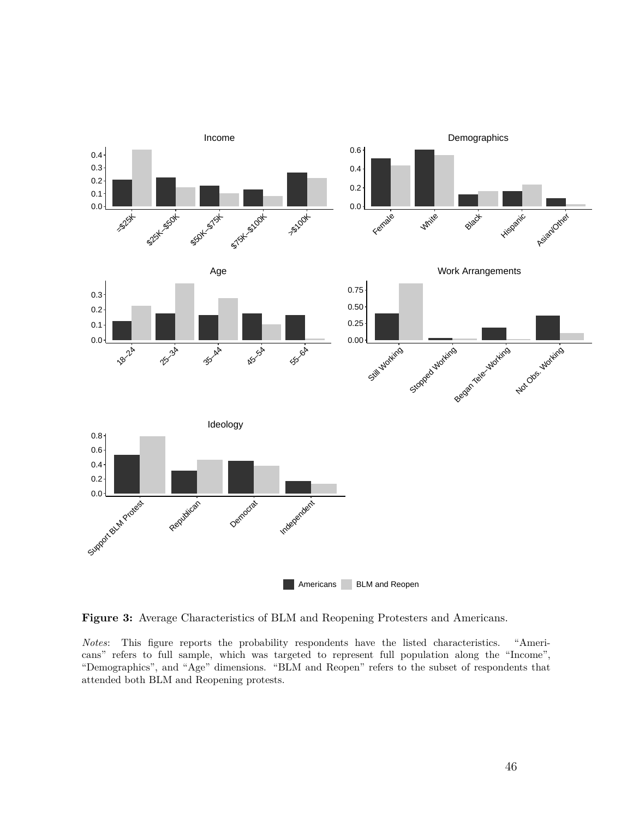<span id="page-46-0"></span>

**Figure 3:** Average Characteristics of BLM and Reopening Protesters and Americans.

*Notes*: This figure reports the probability respondents have the listed characteristics. "Americans" refers to full sample, which was targeted to represent full population along the "Income", "Demographics", and "Age" dimensions. "BLM and Reopen" refers to the subset of respondents that attended both BLM and Reopening protests.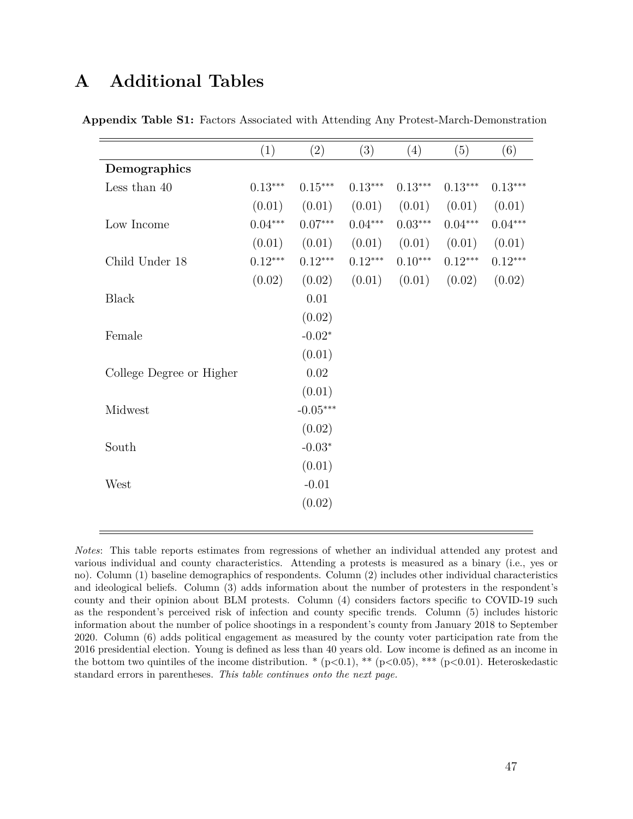## <span id="page-47-1"></span>**A Additional Tables**

|                          | (1)       | (2)        | (3)       | (4)       | (5)       | (6)       |
|--------------------------|-----------|------------|-----------|-----------|-----------|-----------|
| Demographics             |           |            |           |           |           |           |
| Less than $40$           | $0.13***$ | $0.15***$  | $0.13***$ | $0.13***$ | $0.13***$ | $0.13***$ |
|                          | (0.01)    | (0.01)     | (0.01)    | (0.01)    | (0.01)    | (0.01)    |
| Low Income               | $0.04***$ | $0.07***$  | $0.04***$ | $0.03***$ | $0.04***$ | $0.04***$ |
|                          | (0.01)    | (0.01)     | (0.01)    | (0.01)    | (0.01)    | (0.01)    |
| Child Under 18           | $0.12***$ | $0.12***$  | $0.12***$ | $0.10***$ | $0.12***$ | $0.12***$ |
|                          | (0.02)    | (0.02)     | (0.01)    | (0.01)    | (0.02)    | (0.02)    |
| <b>Black</b>             |           | 0.01       |           |           |           |           |
|                          |           | (0.02)     |           |           |           |           |
| Female                   |           | $-0.02*$   |           |           |           |           |
|                          |           | (0.01)     |           |           |           |           |
| College Degree or Higher |           | $0.02\,$   |           |           |           |           |
|                          |           | (0.01)     |           |           |           |           |
| Midwest                  |           | $-0.05***$ |           |           |           |           |
|                          |           | (0.02)     |           |           |           |           |
| South                    |           | $-0.03*$   |           |           |           |           |
|                          |           | (0.01)     |           |           |           |           |
| West                     |           | $-0.01$    |           |           |           |           |
|                          |           | (0.02)     |           |           |           |           |
|                          |           |            |           |           |           |           |

<span id="page-47-0"></span>**Appendix Table S1:** Factors Associated with Attending Any Protest-March-Demonstration

*Notes*: This table reports estimates from regressions of whether an individual attended any protest and various individual and county characteristics. Attending a protests is measured as a binary (i.e., yes or no). Column (1) baseline demographics of respondents. Column (2) includes other individual characteristics and ideological beliefs. Column (3) adds information about the number of protesters in the respondent's county and their opinion about BLM protests. Column (4) considers factors specific to COVID-19 such as the respondent's perceived risk of infection and county specific trends. Column (5) includes historic information about the number of police shootings in a respondent's county from January 2018 to September 2020. Column (6) adds political engagement as measured by the county voter participation rate from the 2016 presidential election. Young is defined as less than 40 years old. Low income is defined as an income in the bottom two quintiles of the income distribution.  $*(p<0.1), ** (p<0.05), ** (p<0.01)$ . Heteroskedastic standard errors in parentheses. *This table continues onto the next page.*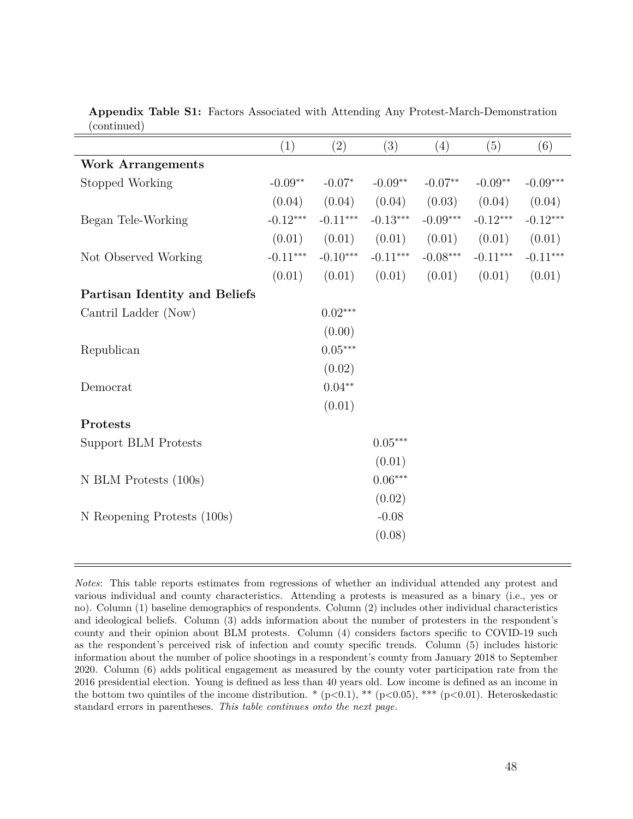| $\sqrt{2}$                    |            |            |                       |                        |            |            |
|-------------------------------|------------|------------|-----------------------|------------------------|------------|------------|
|                               | (1)        | (2)        | (3)                   | (4)                    | (5)        | (6)        |
| <b>Work Arrangements</b>      |            |            |                       |                        |            |            |
| Stopped Working               | $-0.09**$  | $-0.07*$   | $-0.09**$             | $-0.07**$              | $-0.09**$  | $-0.09***$ |
|                               | (0.04)     | (0.04)     | (0.04)                | (0.03)                 | (0.04)     | (0.04)     |
| Began Tele-Working            | $-0.12***$ | $-0.11***$ | $-0.13***$            | $-0.09***$             | $-0.12***$ | $-0.12***$ |
|                               | (0.01)     | (0.01)     | (0.01)                | (0.01)                 | (0.01)     | (0.01)     |
| Not Observed Working          | $-0.11***$ | $-0.10***$ | $-0.11***$            | $-0.08^{\ast\ast\ast}$ | $-0.11***$ | $-0.11***$ |
|                               | (0.01)     | (0.01)     | (0.01)                | (0.01)                 | (0.01)     | (0.01)     |
| Partisan Identity and Beliefs |            |            |                       |                        |            |            |
| Cantril Ladder (Now)          |            | $0.02***$  |                       |                        |            |            |
|                               |            | (0.00)     |                       |                        |            |            |
| Republican                    |            | $0.05***$  |                       |                        |            |            |
|                               |            | (0.02)     |                       |                        |            |            |
| Democrat                      |            | $0.04**$   |                       |                        |            |            |
|                               |            | (0.01)     |                       |                        |            |            |
| Protests                      |            |            |                       |                        |            |            |
| <b>Support BLM Protests</b>   |            |            | $0.05^{\ast\ast\ast}$ |                        |            |            |
|                               |            |            | (0.01)                |                        |            |            |
| N BLM Protests (100s)         |            |            | $0.06***$             |                        |            |            |
|                               |            |            | (0.02)                |                        |            |            |
| N Reopening Protests (100s)   |            |            | $-0.08$               |                        |            |            |
|                               |            |            | (0.08)                |                        |            |            |
|                               |            |            |                       |                        |            |            |

<span id="page-48-0"></span>**Appendix Table S1:** Factors Associated with Attending Any Protest-March-Demonstration (continued)

*Notes*: This table reports estimates from regressions of whether an individual attended any protest and various individual and county characteristics. Attending a protests is measured as a binary (i.e., yes or no). Column (1) baseline demographics of respondents. Column (2) includes other individual characteristics and ideological beliefs. Column (3) adds information about the number of protesters in the respondent's county and their opinion about BLM protests. Column (4) considers factors specific to COVID-19 such as the respondent's perceived risk of infection and county specific trends. Column (5) includes historic information about the number of police shootings in a respondent's county from January 2018 to September 2020. Column (6) adds political engagement as measured by the county voter participation rate from the 2016 presidential election. Young is defined as less than 40 years old. Low income is defined as an income in the bottom two quintiles of the income distribution.  $*(p<0.1), ** (p<0.05), ** (p<0.01)$ . Heteroskedastic standard errors in parentheses. *This table continues onto the next page.*

 $=$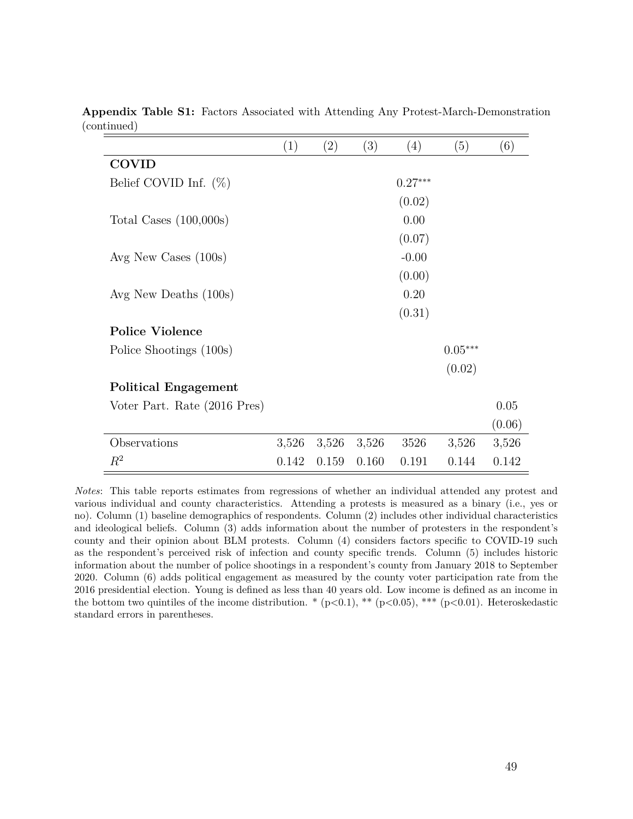|                              | (1)   | (2)   | (3)   | (4)       | (5)       | (6)    |
|------------------------------|-------|-------|-------|-----------|-----------|--------|
| <b>COVID</b>                 |       |       |       |           |           |        |
| Belief COVID Inf. $(\%)$     |       |       |       | $0.27***$ |           |        |
|                              |       |       |       | (0.02)    |           |        |
| Total Cases $(100,000s)$     |       |       |       | 0.00      |           |        |
|                              |       |       |       | (0.07)    |           |        |
| Avg New Cases $(100s)$       |       |       |       | $-0.00$   |           |        |
|                              |       |       |       | (0.00)    |           |        |
| Avg New Deaths $(100s)$      |       |       |       | 0.20      |           |        |
|                              |       |       |       | (0.31)    |           |        |
| <b>Police Violence</b>       |       |       |       |           |           |        |
| Police Shootings (100s)      |       |       |       |           | $0.05***$ |        |
|                              |       |       |       |           | (0.02)    |        |
| <b>Political Engagement</b>  |       |       |       |           |           |        |
| Voter Part. Rate (2016 Pres) |       |       |       |           |           | 0.05   |
|                              |       |       |       |           |           | (0.06) |
| Observations                 | 3,526 | 3,526 | 3,526 | 3526      | 3,526     | 3,526  |
| $\,R^2$                      | 0.142 | 0.159 | 0.160 | 0.191     | 0.144     | 0.142  |

**Appendix Table S1:** Factors Associated with Attending Any Protest-March-Demonstration (continued)

*Notes*: This table reports estimates from regressions of whether an individual attended any protest and various individual and county characteristics. Attending a protests is measured as a binary (i.e., yes or no). Column (1) baseline demographics of respondents. Column (2) includes other individual characteristics and ideological beliefs. Column (3) adds information about the number of protesters in the respondent's county and their opinion about BLM protests. Column (4) considers factors specific to COVID-19 such as the respondent's perceived risk of infection and county specific trends. Column (5) includes historic information about the number of police shootings in a respondent's county from January 2018 to September 2020. Column (6) adds political engagement as measured by the county voter participation rate from the 2016 presidential election. Young is defined as less than 40 years old. Low income is defined as an income in the bottom two quintiles of the income distribution. \* (p*<*0.1), \*\* (p*<*0.05), \*\*\* (p*<*0.01). Heteroskedastic standard errors in parentheses.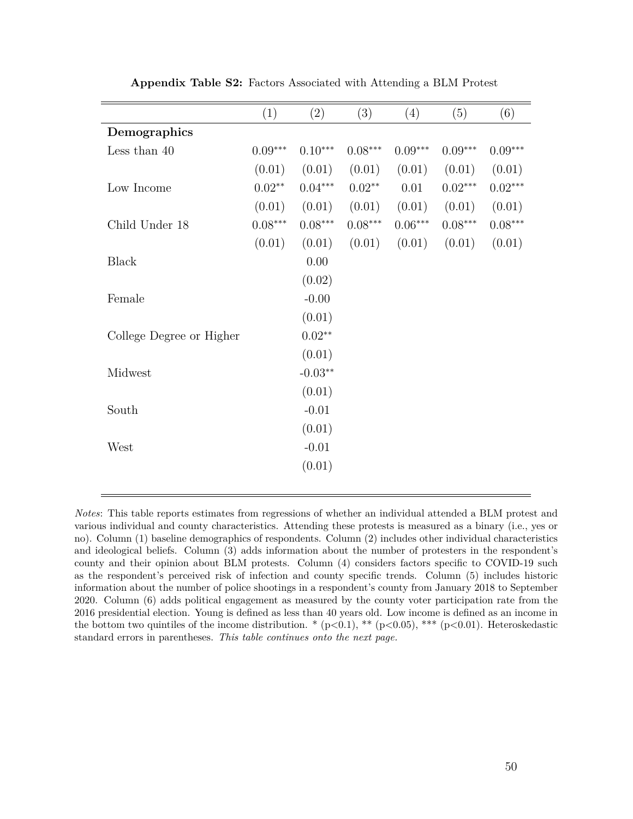|                          | (1)       | (2)       | (3)       | (4)       | (5)       | (6)       |
|--------------------------|-----------|-----------|-----------|-----------|-----------|-----------|
| Demographics             |           |           |           |           |           |           |
| Less than $40$           | $0.09***$ | $0.10***$ | $0.08***$ | $0.09***$ | $0.09***$ | $0.09***$ |
|                          | (0.01)    | (0.01)    | (0.01)    | (0.01)    | (0.01)    | (0.01)    |
| Low Income               | $0.02**$  | $0.04***$ | $0.02**$  | 0.01      | $0.02***$ | $0.02***$ |
|                          | (0.01)    | (0.01)    | (0.01)    | (0.01)    | (0.01)    | (0.01)    |
| Child Under 18           | $0.08***$ | $0.08***$ | $0.08***$ | $0.06***$ | $0.08***$ | $0.08***$ |
|                          | (0.01)    | (0.01)    | (0.01)    | (0.01)    | (0.01)    | (0.01)    |
| <b>Black</b>             |           | 0.00      |           |           |           |           |
|                          |           | (0.02)    |           |           |           |           |
| Female                   |           | $-0.00$   |           |           |           |           |
|                          |           | (0.01)    |           |           |           |           |
| College Degree or Higher |           | $0.02**$  |           |           |           |           |
|                          |           | (0.01)    |           |           |           |           |
| Midwest                  |           | $-0.03**$ |           |           |           |           |
|                          |           | (0.01)    |           |           |           |           |
| South                    |           | $-0.01$   |           |           |           |           |
|                          |           | (0.01)    |           |           |           |           |
| West                     |           | $-0.01$   |           |           |           |           |
|                          |           | (0.01)    |           |           |           |           |
|                          |           |           |           |           |           |           |

**Appendix Table S2:** Factors Associated with Attending a BLM Protest

*Notes*: This table reports estimates from regressions of whether an individual attended a BLM protest and various individual and county characteristics. Attending these protests is measured as a binary (i.e., yes or no). Column (1) baseline demographics of respondents. Column (2) includes other individual characteristics and ideological beliefs. Column (3) adds information about the number of protesters in the respondent's county and their opinion about BLM protests. Column (4) considers factors specific to COVID-19 such as the respondent's perceived risk of infection and county specific trends. Column (5) includes historic information about the number of police shootings in a respondent's county from January 2018 to September 2020. Column (6) adds political engagement as measured by the county voter participation rate from the 2016 presidential election. Young is defined as less than 40 years old. Low income is defined as an income in the bottom two quintiles of the income distribution.  $*(p<0.1), ** (p<0.05), ** (p<0.01)$ . Heteroskedastic standard errors in parentheses. *This table continues onto the next page.*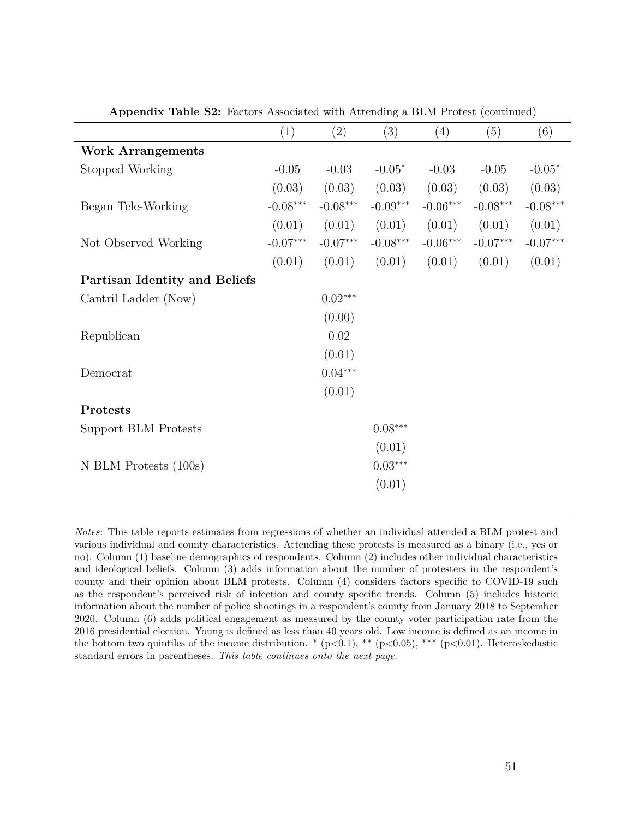| . .                           |            |            |            |            |            |            |
|-------------------------------|------------|------------|------------|------------|------------|------------|
|                               | (1)        | (2)        | (3)        | (4)        | (5)        | (6)        |
| <b>Work Arrangements</b>      |            |            |            |            |            |            |
| Stopped Working               | $-0.05$    | $-0.03$    | $-0.05*$   | $-0.03$    | $-0.05$    | $-0.05*$   |
|                               | (0.03)     | (0.03)     | (0.03)     | (0.03)     | (0.03)     | (0.03)     |
| Began Tele-Working            | $-0.08***$ | $-0.08***$ | $-0.09***$ | $-0.06***$ | $-0.08***$ | $-0.08***$ |
|                               | (0.01)     | (0.01)     | (0.01)     | (0.01)     | (0.01)     | (0.01)     |
| Not Observed Working          | $-0.07***$ | $-0.07***$ | $-0.08***$ | $-0.06***$ | $-0.07***$ | $-0.07***$ |
|                               | (0.01)     | (0.01)     | (0.01)     | (0.01)     | (0.01)     | (0.01)     |
| Partisan Identity and Beliefs |            |            |            |            |            |            |
| Cantril Ladder (Now)          |            | $0.02***$  |            |            |            |            |
|                               |            | (0.00)     |            |            |            |            |
| Republican                    |            | $0.02\,$   |            |            |            |            |
|                               |            | (0.01)     |            |            |            |            |
| Democrat                      |            | $0.04***$  |            |            |            |            |
|                               |            | (0.01)     |            |            |            |            |
| Protests                      |            |            |            |            |            |            |
| Support BLM Protests          |            |            | $0.08***$  |            |            |            |
|                               |            |            | (0.01)     |            |            |            |
| $N$ BLM Protests $(100s)$     |            |            | $0.03***$  |            |            |            |
|                               |            |            | (0.01)     |            |            |            |
|                               |            |            |            |            |            |            |

**Appendix Table S2:** Factors Associated with Attending a BLM Protest (continued)

*Notes*: This table reports estimates from regressions of whether an individual attended a BLM protest and various individual and county characteristics. Attending these protests is measured as a binary (i.e., yes or no). Column (1) baseline demographics of respondents. Column (2) includes other individual characteristics and ideological beliefs. Column (3) adds information about the number of protesters in the respondent's county and their opinion about BLM protests. Column (4) considers factors specific to COVID-19 such as the respondent's perceived risk of infection and county specific trends. Column (5) includes historic information about the number of police shootings in a respondent's county from January 2018 to September 2020. Column (6) adds political engagement as measured by the county voter participation rate from the 2016 presidential election. Young is defined as less than 40 years old. Low income is defined as an income in the bottom two quintiles of the income distribution. \* (p*<*0.1), \*\* (p*<*0.05), \*\*\* (p*<*0.01). Heteroskedastic standard errors in parentheses. *This table continues onto the next page.*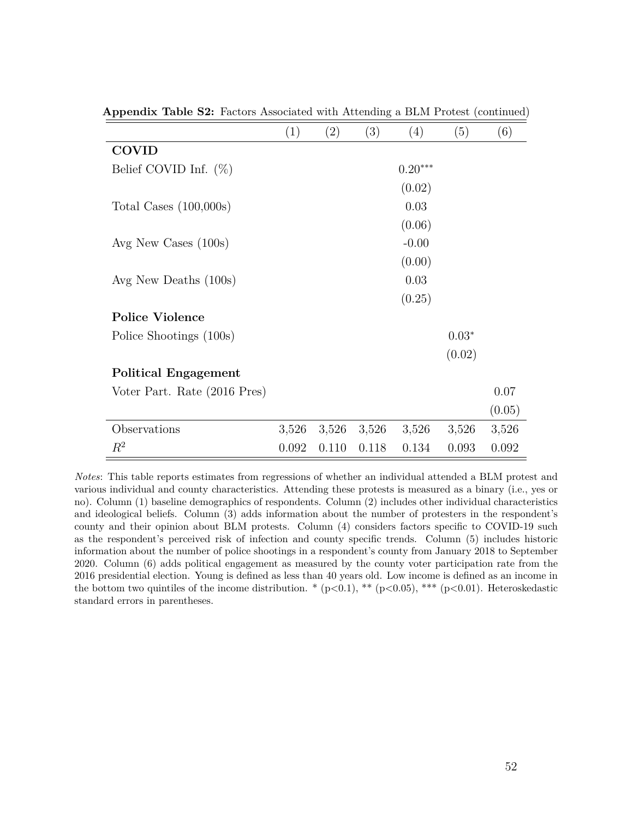|                              | $\left( 1\right)$ | $\left( 2\right)$ | $\left( 3\right)$ | $\left(4\right)$ | (5)     | $\left( 6\right)$ |
|------------------------------|-------------------|-------------------|-------------------|------------------|---------|-------------------|
| <b>COVID</b>                 |                   |                   |                   |                  |         |                   |
| Belief COVID Inf. $(\%)$     |                   |                   |                   | $0.20***$        |         |                   |
|                              |                   |                   |                   | (0.02)           |         |                   |
| Total Cases $(100,000s)$     |                   |                   |                   | 0.03             |         |                   |
|                              |                   |                   |                   | (0.06)           |         |                   |
| Avg New Cases $(100s)$       |                   |                   |                   | $-0.00$          |         |                   |
|                              |                   |                   |                   | (0.00)           |         |                   |
| Avg New Deaths $(100s)$      |                   |                   |                   | 0.03             |         |                   |
|                              |                   |                   |                   | (0.25)           |         |                   |
| <b>Police Violence</b>       |                   |                   |                   |                  |         |                   |
| Police Shootings (100s)      |                   |                   |                   |                  | $0.03*$ |                   |
|                              |                   |                   |                   |                  | (0.02)  |                   |
| <b>Political Engagement</b>  |                   |                   |                   |                  |         |                   |
| Voter Part. Rate (2016 Pres) |                   |                   |                   |                  |         | 0.07              |
|                              |                   |                   |                   |                  |         | (0.05)            |
| Observations                 | 3,526             | 3,526             | 3,526             | 3,526            | 3,526   | 3,526             |
| $\,R^2$                      | 0.092             | 0.110             | 0.118             | 0.134            | 0.093   | 0.092             |

**Appendix Table S2:** Factors Associated with Attending a BLM Protest (continued)

*Notes*: This table reports estimates from regressions of whether an individual attended a BLM protest and various individual and county characteristics. Attending these protests is measured as a binary (i.e., yes or no). Column (1) baseline demographics of respondents. Column (2) includes other individual characteristics and ideological beliefs. Column (3) adds information about the number of protesters in the respondent's county and their opinion about BLM protests. Column (4) considers factors specific to COVID-19 such as the respondent's perceived risk of infection and county specific trends. Column (5) includes historic information about the number of police shootings in a respondent's county from January 2018 to September 2020. Column (6) adds political engagement as measured by the county voter participation rate from the 2016 presidential election. Young is defined as less than 40 years old. Low income is defined as an income in the bottom two quintiles of the income distribution. \* (p*<*0.1), \*\* (p*<*0.05), \*\*\* (p*<*0.01). Heteroskedastic standard errors in parentheses.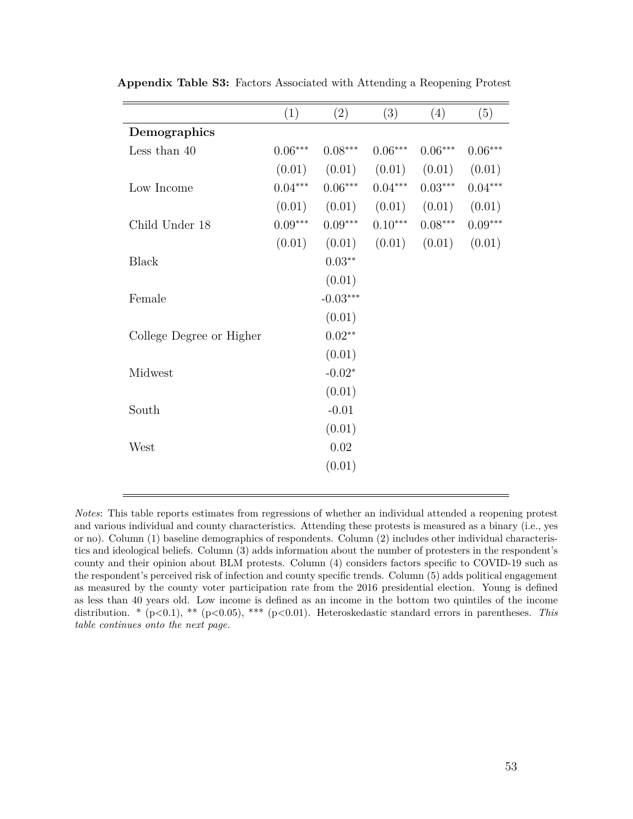|                          | (1)       | (2)        | (3)       | (4)       | (5)       |
|--------------------------|-----------|------------|-----------|-----------|-----------|
| Demographics             |           |            |           |           |           |
| Less than 40             | $0.06***$ | $0.08***$  | $0.06***$ | $0.06***$ | $0.06***$ |
|                          | (0.01)    | (0.01)     | (0.01)    | (0.01)    | (0.01)    |
| Low Income               | $0.04***$ | $0.06***$  | $0.04***$ | $0.03***$ | $0.04***$ |
|                          | (0.01)    | (0.01)     | (0.01)    | (0.01)    | (0.01)    |
| Child Under 18           | $0.09***$ | $0.09***$  | $0.10***$ | $0.08***$ | $0.09***$ |
|                          | (0.01)    | (0.01)     | (0.01)    | (0.01)    | (0.01)    |
| <b>Black</b>             |           | $0.03**$   |           |           |           |
|                          |           | (0.01)     |           |           |           |
| Female                   |           | $-0.03***$ |           |           |           |
|                          |           | (0.01)     |           |           |           |
| College Degree or Higher |           | $0.02**$   |           |           |           |
|                          |           | (0.01)     |           |           |           |
| Midwest                  |           | $-0.02*$   |           |           |           |
|                          |           | (0.01)     |           |           |           |
| South                    |           | $-0.01$    |           |           |           |
|                          |           | (0.01)     |           |           |           |
| West                     |           | 0.02       |           |           |           |
|                          |           | (0.01)     |           |           |           |
|                          |           |            |           |           |           |

**Appendix Table S3:** Factors Associated with Attending a Reopening Protest

*Notes*: This table reports estimates from regressions of whether an individual attended a reopening protest and various individual and county characteristics. Attending these protests is measured as a binary (i.e., yes or no). Column (1) baseline demographics of respondents. Column (2) includes other individual characteristics and ideological beliefs. Column (3) adds information about the number of protesters in the respondent's county and their opinion about BLM protests. Column (4) considers factors specific to COVID-19 such as the respondent's perceived risk of infection and county specific trends. Column (5) adds political engagement as measured by the county voter participation rate from the 2016 presidential election. Young is defined as less than 40 years old. Low income is defined as an income in the bottom two quintiles of the income distribution. \* (p*<*0.1), \*\* (p*<*0.05), \*\*\* (p*<*0.01). Heteroskedastic standard errors in parentheses. *This table continues onto the next page.*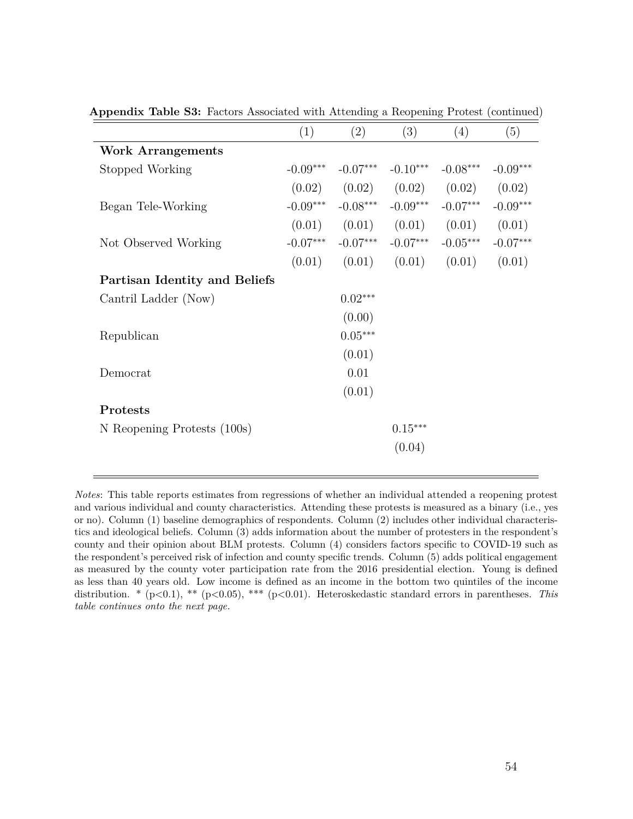|                                      | (1)        | (2)        | (3)            | (4)        | (5)        |
|--------------------------------------|------------|------------|----------------|------------|------------|
| <b>Work Arrangements</b>             |            |            |                |            |            |
| Stopped Working                      | $-0.09***$ | $-0.07***$ | $-0.10***$     | $-0.08***$ | $-0.09***$ |
|                                      | (0.02)     | (0.02)     | (0.02)         | (0.02)     | (0.02)     |
| Began Tele-Working                   | $-0.09***$ | $-0.08***$ | $-0.09***$     | $-0.07***$ | $-0.09***$ |
|                                      | (0.01)     | (0.01)     | (0.01)         | (0.01)     | (0.01)     |
| Not Observed Working                 | $-0.07***$ | $-0.07***$ | $-0.07***$     | $-0.05***$ | $-0.07***$ |
|                                      | (0.01)     | (0.01)     | (0.01)         | (0.01)     | (0.01)     |
| <b>Partisan Identity and Beliefs</b> |            |            |                |            |            |
| Cantril Ladder (Now)                 |            | $0.02***$  |                |            |            |
|                                      |            | (0.00)     |                |            |            |
| Republican                           |            | $0.05***$  |                |            |            |
|                                      |            | (0.01)     |                |            |            |
| Democrat                             |            | 0.01       |                |            |            |
|                                      |            | (0.01)     |                |            |            |
| Protests                             |            |            |                |            |            |
| N Reopening Protests (100s)          |            |            | $0.15^{***}\,$ |            |            |
|                                      |            |            | (0.04)         |            |            |
|                                      |            |            |                |            |            |

**Appendix Table S3:** Factors Associated with Attending a Reopening Protest (continued)

*Notes*: This table reports estimates from regressions of whether an individual attended a reopening protest and various individual and county characteristics. Attending these protests is measured as a binary (i.e., yes or no). Column (1) baseline demographics of respondents. Column (2) includes other individual characteristics and ideological beliefs. Column (3) adds information about the number of protesters in the respondent's county and their opinion about BLM protests. Column (4) considers factors specific to COVID-19 such as the respondent's perceived risk of infection and county specific trends. Column (5) adds political engagement as measured by the county voter participation rate from the 2016 presidential election. Young is defined as less than 40 years old. Low income is defined as an income in the bottom two quintiles of the income distribution. \* (p*<*0.1), \*\* (p*<*0.05), \*\*\* (p*<*0.01). Heteroskedastic standard errors in parentheses. *This table continues onto the next page.*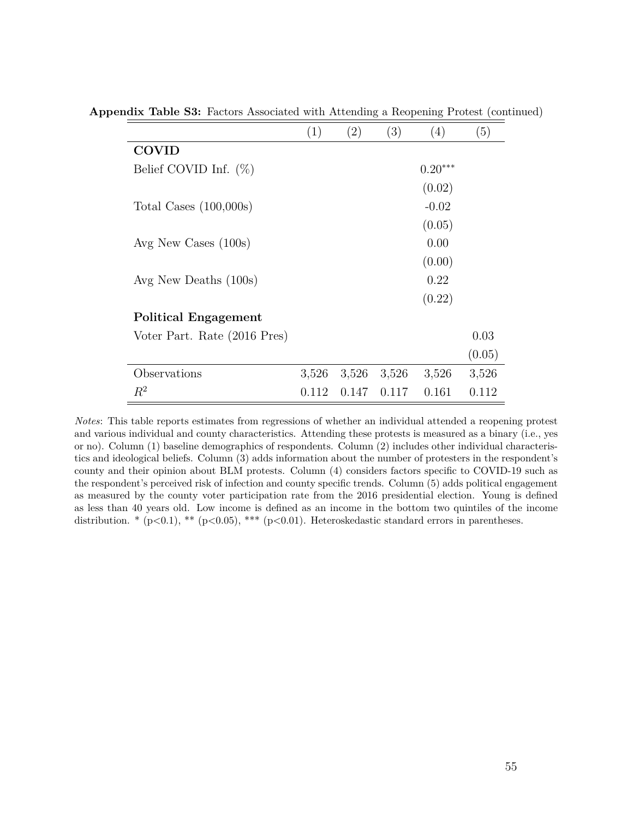|                              | $\left( 1\right)$ | $\left( 2\right)$ | (3)   | (4)       | (5)    |
|------------------------------|-------------------|-------------------|-------|-----------|--------|
| <b>COVID</b>                 |                   |                   |       |           |        |
| Belief COVID Inf. $(\%)$     |                   |                   |       | $0.20***$ |        |
|                              |                   |                   |       | (0.02)    |        |
| Total Cases $(100,000s)$     |                   |                   |       | $-0.02$   |        |
|                              |                   |                   |       | (0.05)    |        |
| Avg New Cases $(100s)$       |                   |                   |       | 0.00      |        |
|                              |                   |                   |       | (0.00)    |        |
| Avg New Deaths (100s)        |                   |                   |       | 0.22      |        |
|                              |                   |                   |       | (0.22)    |        |
| <b>Political Engagement</b>  |                   |                   |       |           |        |
| Voter Part. Rate (2016 Pres) |                   |                   |       |           | 0.03   |
|                              |                   |                   |       |           | (0.05) |
| Observations                 | 3,526             | 3,526             | 3,526 | 3,526     | 3,526  |
| $R^2$                        | 0.112             | 0.147             | 0.117 | 0.161     | 0.112  |

**Appendix Table S3:** Factors Associated with Attending a Reopening Protest (continued)

*Notes*: This table reports estimates from regressions of whether an individual attended a reopening protest and various individual and county characteristics. Attending these protests is measured as a binary (i.e., yes or no). Column (1) baseline demographics of respondents. Column (2) includes other individual characteristics and ideological beliefs. Column (3) adds information about the number of protesters in the respondent's county and their opinion about BLM protests. Column (4) considers factors specific to COVID-19 such as the respondent's perceived risk of infection and county specific trends. Column (5) adds political engagement as measured by the county voter participation rate from the 2016 presidential election. Young is defined as less than 40 years old. Low income is defined as an income in the bottom two quintiles of the income distribution. \* (p*<*0.1), \*\* (p*<*0.05), \*\*\* (p*<*0.01). Heteroskedastic standard errors in parentheses.